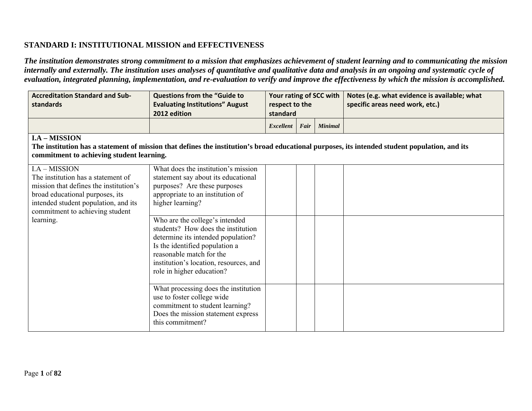### **STANDARD I: INSTITUTIONAL MISSION and EFFECTIVENESS**

*The institution demonstrates strong commitment to a mission that emphasizes achievement of student learning and to communicating the mission internally and externally. The institution uses analyses of quantitative and qualitative data and analysis in an ongoing and systematic cycle of evaluation, integrated planning, implementation, and re-evaluation to verify and improve the effectiveness by which the mission is accomplished.* 

| <b>Accreditation Standard and Sub-</b><br>standards                                                                                                                                                                      | <b>Questions from the "Guide to</b><br><b>Evaluating Institutions" August</b><br>2012 edition                                                                                                                                                                                                                                                                                                                         | Your rating of SCC with<br>respect to the<br>standard |      |                | Notes (e.g. what evidence is available; what<br>specific areas need work, etc.) |  |  |  |
|--------------------------------------------------------------------------------------------------------------------------------------------------------------------------------------------------------------------------|-----------------------------------------------------------------------------------------------------------------------------------------------------------------------------------------------------------------------------------------------------------------------------------------------------------------------------------------------------------------------------------------------------------------------|-------------------------------------------------------|------|----------------|---------------------------------------------------------------------------------|--|--|--|
|                                                                                                                                                                                                                          |                                                                                                                                                                                                                                                                                                                                                                                                                       | <b>Excellent</b>                                      | Fair | <b>Minimal</b> |                                                                                 |  |  |  |
| <b>I.A - MISSION</b><br>The institution has a statement of mission that defines the institution's broad educational purposes, its intended student population, and its<br>commitment to achieving student learning.      |                                                                                                                                                                                                                                                                                                                                                                                                                       |                                                       |      |                |                                                                                 |  |  |  |
| I.A - MISSION<br>The institution has a statement of<br>mission that defines the institution's<br>broad educational purposes, its<br>intended student population, and its<br>commitment to achieving student<br>learning. | What does the institution's mission<br>statement say about its educational<br>purposes? Are these purposes<br>appropriate to an institution of<br>higher learning?<br>Who are the college's intended<br>students? How does the institution<br>determine its intended population?<br>Is the identified population a<br>reasonable match for the<br>institution's location, resources, and<br>role in higher education? |                                                       |      |                |                                                                                 |  |  |  |
|                                                                                                                                                                                                                          | What processing does the institution<br>use to foster college wide<br>commitment to student learning?<br>Does the mission statement express<br>this commitment?                                                                                                                                                                                                                                                       |                                                       |      |                |                                                                                 |  |  |  |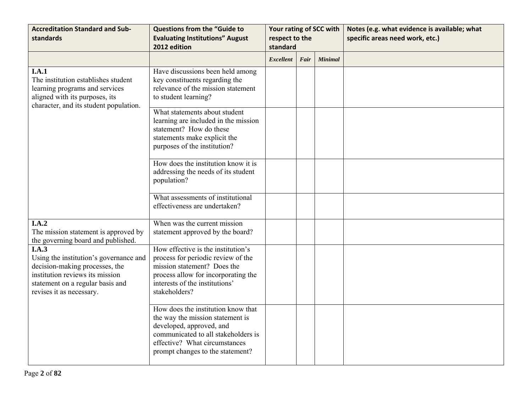| <b>Accreditation Standard and Sub-</b><br>standards                                                                                                                                  | <b>Questions from the "Guide to</b><br><b>Evaluating Institutions" August</b><br>2012 edition                                                                                                                  | Your rating of SCC with<br>respect to the<br>standard |      |                | Notes (e.g. what evidence is available; what<br>specific areas need work, etc.) |
|--------------------------------------------------------------------------------------------------------------------------------------------------------------------------------------|----------------------------------------------------------------------------------------------------------------------------------------------------------------------------------------------------------------|-------------------------------------------------------|------|----------------|---------------------------------------------------------------------------------|
|                                                                                                                                                                                      |                                                                                                                                                                                                                | <b>Excellent</b>                                      | Fair | <b>Minimal</b> |                                                                                 |
| I.A.1<br>The institution establishes student<br>learning programs and services<br>aligned with its purposes, its<br>character, and its student population.                           | Have discussions been held among<br>key constituents regarding the<br>relevance of the mission statement<br>to student learning?                                                                               |                                                       |      |                |                                                                                 |
|                                                                                                                                                                                      | What statements about student<br>learning are included in the mission<br>statement? How do these<br>statements make explicit the<br>purposes of the institution?                                               |                                                       |      |                |                                                                                 |
|                                                                                                                                                                                      | How does the institution know it is<br>addressing the needs of its student<br>population?                                                                                                                      |                                                       |      |                |                                                                                 |
|                                                                                                                                                                                      | What assessments of institutional<br>effectiveness are undertaken?                                                                                                                                             |                                                       |      |                |                                                                                 |
| I.A.2<br>The mission statement is approved by<br>the governing board and published.                                                                                                  | When was the current mission<br>statement approved by the board?                                                                                                                                               |                                                       |      |                |                                                                                 |
| I.A.3<br>Using the institution's governance and<br>decision-making processes, the<br>institution reviews its mission<br>statement on a regular basis and<br>revises it as necessary. | How effective is the institution's<br>process for periodic review of the<br>mission statement? Does the<br>process allow for incorporating the<br>interests of the institutions'<br>stakeholders?              |                                                       |      |                |                                                                                 |
|                                                                                                                                                                                      | How does the institution know that<br>the way the mission statement is<br>developed, approved, and<br>communicated to all stakeholders is<br>effective? What circumstances<br>prompt changes to the statement? |                                                       |      |                |                                                                                 |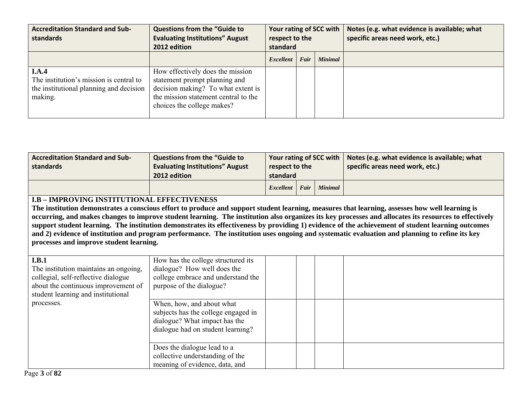| <b>Accreditation Standard and Sub-</b><br>standards                                                    | <b>Questions from the "Guide to</b><br><b>Evaluating Institutions" August</b><br>2012 edition                                                                                 | Your rating of SCC with<br>respect to the<br>standard |      |                | Notes (e.g. what evidence is available; what<br>specific areas need work, etc.) |
|--------------------------------------------------------------------------------------------------------|-------------------------------------------------------------------------------------------------------------------------------------------------------------------------------|-------------------------------------------------------|------|----------------|---------------------------------------------------------------------------------|
|                                                                                                        |                                                                                                                                                                               | Excellent                                             | Fair | <b>Minimal</b> |                                                                                 |
| I.A.4<br>The institution's mission is central to<br>the institutional planning and decision<br>making. | How effectively does the mission<br>statement prompt planning and<br>decision making? To what extent is<br>the mission statement central to the<br>choices the college makes? |                                                       |      |                |                                                                                 |

| <b>Accreditation Standard and Sub-</b><br>standards | <b>Questions from the "Guide to</b><br><b>Evaluating Institutions" August</b><br>2012 edition | respect to the<br>standard |  |  | Your rating of SCC with $\vert$ Notes (e.g. what evidence is available; what<br>specific areas need work, etc.) |
|-----------------------------------------------------|-----------------------------------------------------------------------------------------------|----------------------------|--|--|-----------------------------------------------------------------------------------------------------------------|
|                                                     |                                                                                               | Excellent   Fair   Minimal |  |  |                                                                                                                 |

#### **I.B – IMPROVING INSTITUTIONAL EFFECTIVENESS**

**The institution demonstrates a conscious effort to produce and support student learning, measures that learning, assesses how well learning is occurring, and makes changes to improve student learning. The institution also organizes its key processes and allocates its resources to effectively support student learning. The institution demonstrates its effectiveness by providing 1) evidence of the achievement of student learning outcomes and 2) evidence of institution and program performance. The institution uses ongoing and systematic evaluation and planning to refine its key processes and improve student learning.** 

| I.B.1<br>The institution maintains an ongoing,<br>collegial, self-reflective dialogue<br>about the continuous improvement of<br>student learning and institutional<br>processes. | How has the college structured its<br>dialogue? How well does the<br>college embrace and understand the<br>purpose of the dialogue?    |  |  |
|----------------------------------------------------------------------------------------------------------------------------------------------------------------------------------|----------------------------------------------------------------------------------------------------------------------------------------|--|--|
|                                                                                                                                                                                  | When, how, and about what<br>subjects has the college engaged in<br>dialogue? What impact has the<br>dialogue had on student learning? |  |  |
|                                                                                                                                                                                  | Does the dialogue lead to a<br>collective understanding of the<br>meaning of evidence, data, and                                       |  |  |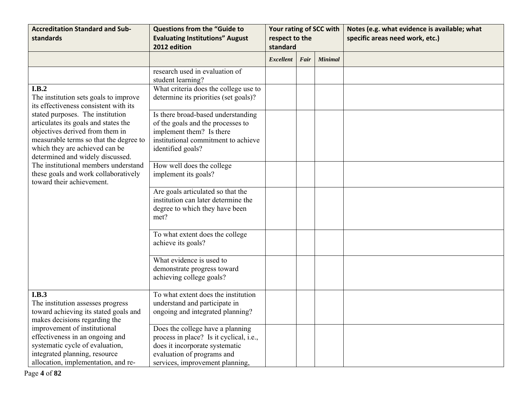| <b>Accreditation Standard and Sub-</b><br>standards                                                                                                                                                                                                                                                                                      | <b>Questions from the "Guide to</b><br><b>Evaluating Institutions" August</b><br>2012 edition                                                                                  | Your rating of SCC with<br>respect to the<br>standard |      |                | Notes (e.g. what evidence is available; what<br>specific areas need work, etc.) |
|------------------------------------------------------------------------------------------------------------------------------------------------------------------------------------------------------------------------------------------------------------------------------------------------------------------------------------------|--------------------------------------------------------------------------------------------------------------------------------------------------------------------------------|-------------------------------------------------------|------|----------------|---------------------------------------------------------------------------------|
|                                                                                                                                                                                                                                                                                                                                          |                                                                                                                                                                                | <b>Excellent</b>                                      | Fair | <b>Minimal</b> |                                                                                 |
| I.B.2                                                                                                                                                                                                                                                                                                                                    | research used in evaluation of<br>student learning?<br>What criteria does the college use to                                                                                   |                                                       |      |                |                                                                                 |
| The institution sets goals to improve<br>its effectiveness consistent with its                                                                                                                                                                                                                                                           | determine its priorities (set goals)?                                                                                                                                          |                                                       |      |                |                                                                                 |
| stated purposes. The institution<br>articulates its goals and states the<br>objectives derived from them in<br>measurable terms so that the degree to<br>which they are achieved can be<br>determined and widely discussed.<br>The institutional members understand<br>these goals and work collaboratively<br>toward their achievement. | Is there broad-based understanding<br>of the goals and the processes to<br>implement them? Is there<br>institutional commitment to achieve<br>identified goals?                |                                                       |      |                |                                                                                 |
|                                                                                                                                                                                                                                                                                                                                          | How well does the college<br>implement its goals?                                                                                                                              |                                                       |      |                |                                                                                 |
|                                                                                                                                                                                                                                                                                                                                          | Are goals articulated so that the<br>institution can later determine the<br>degree to which they have been<br>met?                                                             |                                                       |      |                |                                                                                 |
|                                                                                                                                                                                                                                                                                                                                          | To what extent does the college<br>achieve its goals?                                                                                                                          |                                                       |      |                |                                                                                 |
|                                                                                                                                                                                                                                                                                                                                          | What evidence is used to<br>demonstrate progress toward<br>achieving college goals?                                                                                            |                                                       |      |                |                                                                                 |
| I.B.3<br>The institution assesses progress<br>toward achieving its stated goals and<br>makes decisions regarding the                                                                                                                                                                                                                     | To what extent does the institution<br>understand and participate in<br>ongoing and integrated planning?                                                                       |                                                       |      |                |                                                                                 |
| improvement of institutional<br>effectiveness in an ongoing and<br>systematic cycle of evaluation,<br>integrated planning, resource<br>allocation, implementation, and re-                                                                                                                                                               | Does the college have a planning<br>process in place? Is it cyclical, i.e.,<br>does it incorporate systematic<br>evaluation of programs and<br>services, improvement planning, |                                                       |      |                |                                                                                 |

Page **4** of **82**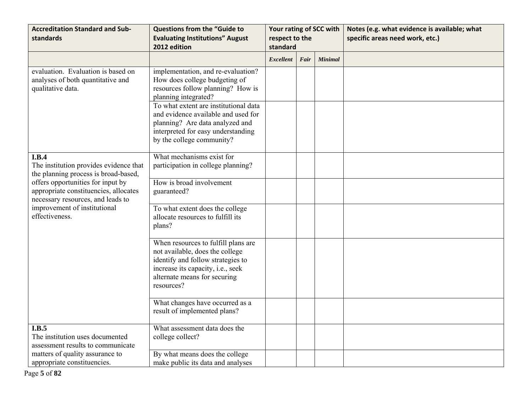| <b>Accreditation Standard and Sub-</b><br>standards                                                             | <b>Questions from the "Guide to</b><br><b>Evaluating Institutions" August</b><br>2012 edition                                                                                                  | Your rating of SCC with<br>respect to the<br>standard |      |                | Notes (e.g. what evidence is available; what<br>specific areas need work, etc.) |
|-----------------------------------------------------------------------------------------------------------------|------------------------------------------------------------------------------------------------------------------------------------------------------------------------------------------------|-------------------------------------------------------|------|----------------|---------------------------------------------------------------------------------|
|                                                                                                                 |                                                                                                                                                                                                | <b>Excellent</b>                                      | Fair | <b>Minimal</b> |                                                                                 |
| evaluation. Evaluation is based on<br>analyses of both quantitative and<br>qualitative data.                    | implementation, and re-evaluation?<br>How does college budgeting of<br>resources follow planning? How is<br>planning integrated?<br>To what extent are institutional data                      |                                                       |      |                |                                                                                 |
|                                                                                                                 | and evidence available and used for<br>planning? Are data analyzed and<br>interpreted for easy understanding<br>by the college community?                                                      |                                                       |      |                |                                                                                 |
| I.B.4<br>The institution provides evidence that<br>the planning process is broad-based,                         | What mechanisms exist for<br>participation in college planning?                                                                                                                                |                                                       |      |                |                                                                                 |
| offers opportunities for input by<br>appropriate constituencies, allocates<br>necessary resources, and leads to | How is broad involvement<br>guaranteed?                                                                                                                                                        |                                                       |      |                |                                                                                 |
| improvement of institutional<br>effectiveness.                                                                  | To what extent does the college<br>allocate resources to fulfill its<br>plans?                                                                                                                 |                                                       |      |                |                                                                                 |
|                                                                                                                 | When resources to fulfill plans are<br>not available, does the college<br>identify and follow strategies to<br>increase its capacity, i.e., seek<br>alternate means for securing<br>resources? |                                                       |      |                |                                                                                 |
|                                                                                                                 | What changes have occurred as a<br>result of implemented plans?                                                                                                                                |                                                       |      |                |                                                                                 |
| I.B.5<br>The institution uses documented<br>assessment results to communicate                                   | What assessment data does the<br>college collect?                                                                                                                                              |                                                       |      |                |                                                                                 |
| matters of quality assurance to<br>appropriate constituencies.                                                  | By what means does the college<br>make public its data and analyses                                                                                                                            |                                                       |      |                |                                                                                 |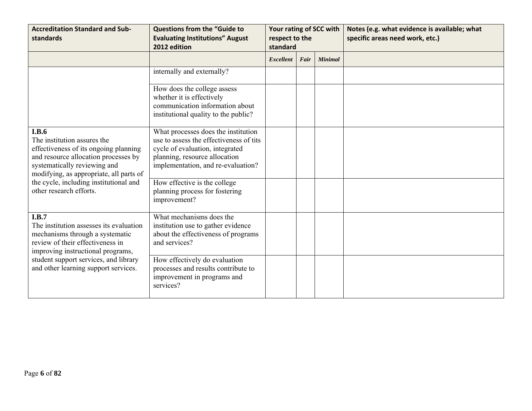| <b>Accreditation Standard and Sub-</b><br>standards                                                                                                                                                     | <b>Questions from the "Guide to</b><br><b>Evaluating Institutions" August</b><br>2012 edition                                                                                            | Your rating of SCC with<br>respect to the<br>standard |      |                | Notes (e.g. what evidence is available; what<br>specific areas need work, etc.) |
|---------------------------------------------------------------------------------------------------------------------------------------------------------------------------------------------------------|------------------------------------------------------------------------------------------------------------------------------------------------------------------------------------------|-------------------------------------------------------|------|----------------|---------------------------------------------------------------------------------|
|                                                                                                                                                                                                         |                                                                                                                                                                                          | <b>Excellent</b>                                      | Fair | <b>Minimal</b> |                                                                                 |
|                                                                                                                                                                                                         | internally and externally?                                                                                                                                                               |                                                       |      |                |                                                                                 |
|                                                                                                                                                                                                         | How does the college assess<br>whether it is effectively<br>communication information about<br>institutional quality to the public?                                                      |                                                       |      |                |                                                                                 |
| <b>I.B.6</b><br>The institution assures the<br>effectiveness of its ongoing planning<br>and resource allocation processes by<br>systematically reviewing and<br>modifying, as appropriate, all parts of | What processes does the institution<br>use to assess the effectiveness of tits<br>cycle of evaluation, integrated<br>planning, resource allocation<br>implementation, and re-evaluation? |                                                       |      |                |                                                                                 |
| the cycle, including institutional and<br>other research efforts.                                                                                                                                       | How effective is the college<br>planning process for fostering<br>improvement?                                                                                                           |                                                       |      |                |                                                                                 |
| I.B.7<br>The institution assesses its evaluation<br>mechanisms through a systematic<br>review of their effectiveness in<br>improving instructional programs,                                            | What mechanisms does the<br>institution use to gather evidence<br>about the effectiveness of programs<br>and services?                                                                   |                                                       |      |                |                                                                                 |
| student support services, and library<br>and other learning support services.                                                                                                                           | How effectively do evaluation<br>processes and results contribute to<br>improvement in programs and<br>services?                                                                         |                                                       |      |                |                                                                                 |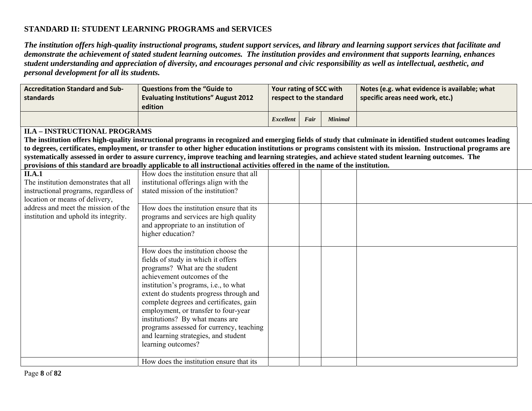## **STANDARD II: STUDENT LEARNING PROGRAMS and SERVICES**

*The institution offers high-quality instructional programs, student support services, and library and learning support services that facilitate and demonstrate the achievement of stated student learning outcomes. The institution provides and environment that supports learning, enhances student understanding and appreciation of diversity, and encourages personal and civic responsibility as well as intellectual, aesthetic, and personal development for all its students.* 

| <b>Accreditation Standard and Sub-</b><br>standards                     | <b>Questions from the "Guide to</b><br><b>Evaluating Institutions" August 2012</b><br>edition                                                    | Your rating of SCC with<br>respect to the standard |      |                | Notes (e.g. what evidence is available; what<br>specific areas need work, etc.)                                                                              |  |  |  |  |
|-------------------------------------------------------------------------|--------------------------------------------------------------------------------------------------------------------------------------------------|----------------------------------------------------|------|----------------|--------------------------------------------------------------------------------------------------------------------------------------------------------------|--|--|--|--|
|                                                                         |                                                                                                                                                  | <b>Excellent</b>                                   | Fair | <b>Minimal</b> |                                                                                                                                                              |  |  |  |  |
| <b>II.A - INSTRUCTIONAL PROGRAMS</b>                                    |                                                                                                                                                  |                                                    |      |                |                                                                                                                                                              |  |  |  |  |
|                                                                         |                                                                                                                                                  |                                                    |      |                | The institution offers high-quality instructional programs in recognized and emerging fields of study that culminate in identified student outcomes leading  |  |  |  |  |
|                                                                         |                                                                                                                                                  |                                                    |      |                | to degrees, certificates, employment, or transfer to other higher education institutions or programs consistent with its mission. Instructional programs are |  |  |  |  |
|                                                                         | systematically assessed in order to assure currency, improve teaching and learning strategies, and achieve stated student learning outcomes. The |                                                    |      |                |                                                                                                                                                              |  |  |  |  |
|                                                                         | provisions of this standard are broadly applicable to all instructional activities offered in the name of the institution.                       |                                                    |      |                |                                                                                                                                                              |  |  |  |  |
| <b>II.A.1</b>                                                           | How does the institution ensure that all                                                                                                         |                                                    |      |                |                                                                                                                                                              |  |  |  |  |
| The institution demonstrates that all                                   | institutional offerings align with the<br>stated mission of the institution?                                                                     |                                                    |      |                |                                                                                                                                                              |  |  |  |  |
| instructional programs, regardless of<br>location or means of delivery, |                                                                                                                                                  |                                                    |      |                |                                                                                                                                                              |  |  |  |  |
| address and meet the mission of the                                     | How does the institution ensure that its                                                                                                         |                                                    |      |                |                                                                                                                                                              |  |  |  |  |
| institution and uphold its integrity.                                   | programs and services are high quality                                                                                                           |                                                    |      |                |                                                                                                                                                              |  |  |  |  |
|                                                                         | and appropriate to an institution of                                                                                                             |                                                    |      |                |                                                                                                                                                              |  |  |  |  |
|                                                                         | higher education?                                                                                                                                |                                                    |      |                |                                                                                                                                                              |  |  |  |  |
|                                                                         |                                                                                                                                                  |                                                    |      |                |                                                                                                                                                              |  |  |  |  |
|                                                                         | How does the institution choose the                                                                                                              |                                                    |      |                |                                                                                                                                                              |  |  |  |  |
|                                                                         | fields of study in which it offers                                                                                                               |                                                    |      |                |                                                                                                                                                              |  |  |  |  |
|                                                                         | programs? What are the student                                                                                                                   |                                                    |      |                |                                                                                                                                                              |  |  |  |  |
|                                                                         | achievement outcomes of the                                                                                                                      |                                                    |      |                |                                                                                                                                                              |  |  |  |  |
|                                                                         | institution's programs, i.e., to what                                                                                                            |                                                    |      |                |                                                                                                                                                              |  |  |  |  |
|                                                                         | extent do students progress through and                                                                                                          |                                                    |      |                |                                                                                                                                                              |  |  |  |  |
|                                                                         | complete degrees and certificates, gain                                                                                                          |                                                    |      |                |                                                                                                                                                              |  |  |  |  |
|                                                                         | employment, or transfer to four-year                                                                                                             |                                                    |      |                |                                                                                                                                                              |  |  |  |  |
|                                                                         | institutions? By what means are                                                                                                                  |                                                    |      |                |                                                                                                                                                              |  |  |  |  |
|                                                                         | programs assessed for currency, teaching                                                                                                         |                                                    |      |                |                                                                                                                                                              |  |  |  |  |
|                                                                         | and learning strategies, and student<br>learning outcomes?                                                                                       |                                                    |      |                |                                                                                                                                                              |  |  |  |  |
|                                                                         |                                                                                                                                                  |                                                    |      |                |                                                                                                                                                              |  |  |  |  |
|                                                                         | How does the institution ensure that its                                                                                                         |                                                    |      |                |                                                                                                                                                              |  |  |  |  |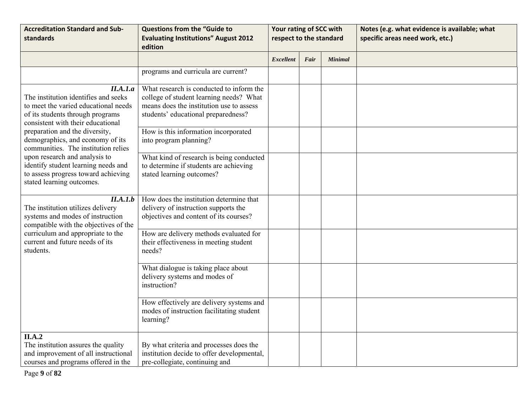| <b>Accreditation Standard and Sub-</b><br>standards                                                                                                               | <b>Questions from the "Guide to</b><br><b>Evaluating Institutions" August 2012</b><br>edition                                                                          | Your rating of SCC with<br>respect to the standard |      |                | Notes (e.g. what evidence is available; what<br>specific areas need work, etc.) |
|-------------------------------------------------------------------------------------------------------------------------------------------------------------------|------------------------------------------------------------------------------------------------------------------------------------------------------------------------|----------------------------------------------------|------|----------------|---------------------------------------------------------------------------------|
|                                                                                                                                                                   |                                                                                                                                                                        | <b>Excellent</b>                                   | Fair | <b>Minimal</b> |                                                                                 |
|                                                                                                                                                                   | programs and curricula are current?                                                                                                                                    |                                                    |      |                |                                                                                 |
| II.A.I.a<br>The institution identifies and seeks<br>to meet the varied educational needs<br>of its students through programs<br>consistent with their educational | What research is conducted to inform the<br>college of student learning needs? What<br>means does the institution use to assess<br>students' educational preparedness? |                                                    |      |                |                                                                                 |
| preparation and the diversity,<br>demographics, and economy of its<br>communities. The institution relies                                                         | How is this information incorporated<br>into program planning?                                                                                                         |                                                    |      |                |                                                                                 |
| upon research and analysis to<br>identify student learning needs and<br>to assess progress toward achieving<br>stated learning outcomes.                          | What kind of research is being conducted<br>to determine if students are achieving<br>stated learning outcomes?                                                        |                                                    |      |                |                                                                                 |
| II.A.I.b<br>The institution utilizes delivery<br>systems and modes of instruction<br>compatible with the objectives of the                                        | How does the institution determine that<br>delivery of instruction supports the<br>objectives and content of its courses?                                              |                                                    |      |                |                                                                                 |
| curriculum and appropriate to the<br>current and future needs of its<br>students.                                                                                 | How are delivery methods evaluated for<br>their effectiveness in meeting student<br>needs?                                                                             |                                                    |      |                |                                                                                 |
|                                                                                                                                                                   | What dialogue is taking place about<br>delivery systems and modes of<br>instruction?                                                                                   |                                                    |      |                |                                                                                 |
|                                                                                                                                                                   | How effectively are delivery systems and<br>modes of instruction facilitating student<br>learning?                                                                     |                                                    |      |                |                                                                                 |
| II.A.2<br>The institution assures the quality<br>and improvement of all instructional<br>courses and programs offered in the                                      | By what criteria and processes does the<br>institution decide to offer developmental,<br>pre-collegiate, continuing and                                                |                                                    |      |                |                                                                                 |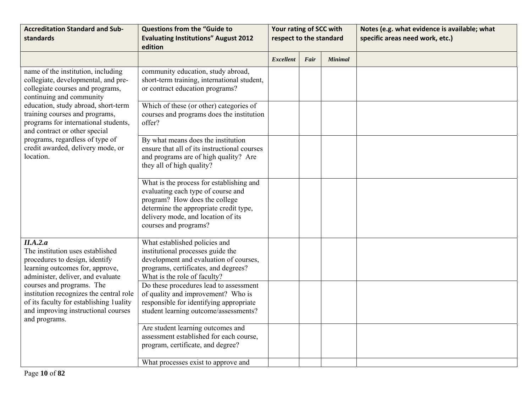| <b>Accreditation Standard and Sub-</b><br>standards                                                                                                                                                                                                                                                                               | <b>Questions from the "Guide to</b><br><b>Evaluating Institutions" August 2012</b><br>edition                                                                                                                            | Your rating of SCC with<br>respect to the standard |      |                | Notes (e.g. what evidence is available; what<br>specific areas need work, etc.) |
|-----------------------------------------------------------------------------------------------------------------------------------------------------------------------------------------------------------------------------------------------------------------------------------------------------------------------------------|--------------------------------------------------------------------------------------------------------------------------------------------------------------------------------------------------------------------------|----------------------------------------------------|------|----------------|---------------------------------------------------------------------------------|
|                                                                                                                                                                                                                                                                                                                                   |                                                                                                                                                                                                                          | <b>Excellent</b>                                   | Fair | <b>Minimal</b> |                                                                                 |
| name of the institution, including<br>collegiate, developmental, and pre-<br>collegiate courses and programs,<br>continuing and community                                                                                                                                                                                         | community education, study abroad,<br>short-term training, international student,<br>or contract education programs?                                                                                                     |                                                    |      |                |                                                                                 |
| education, study abroad, short-term<br>training courses and programs,<br>programs for international students,<br>and contract or other special<br>programs, regardless of type of<br>credit awarded, delivery mode, or<br>location.                                                                                               | Which of these (or other) categories of<br>courses and programs does the institution<br>offer?                                                                                                                           |                                                    |      |                |                                                                                 |
|                                                                                                                                                                                                                                                                                                                                   | By what means does the institution<br>ensure that all of its instructional courses<br>and programs are of high quality? Are<br>they all of high quality?                                                                 |                                                    |      |                |                                                                                 |
|                                                                                                                                                                                                                                                                                                                                   | What is the process for establishing and<br>evaluating each type of course and<br>program? How does the college<br>determine the appropriate credit type,<br>delivery mode, and location of its<br>courses and programs? |                                                    |      |                |                                                                                 |
| II.A.2.a<br>The institution uses established<br>procedures to design, identify<br>learning outcomes for, approve,<br>administer, deliver, and evaluate<br>courses and programs. The<br>institution recognizes the central role<br>of its faculty for establishing 1uality<br>and improving instructional courses<br>and programs. | What established policies and<br>institutional processes guide the<br>development and evaluation of courses,<br>programs, certificates, and degrees?<br>What is the role of faculty?                                     |                                                    |      |                |                                                                                 |
|                                                                                                                                                                                                                                                                                                                                   | Do these procedures lead to assessment<br>of quality and improvement? Who is<br>responsible for identifying appropriate<br>student learning outcome/assessments?                                                         |                                                    |      |                |                                                                                 |
|                                                                                                                                                                                                                                                                                                                                   | Are student learning outcomes and<br>assessment established for each course,<br>program, certificate, and degree?                                                                                                        |                                                    |      |                |                                                                                 |
|                                                                                                                                                                                                                                                                                                                                   | What processes exist to approve and                                                                                                                                                                                      |                                                    |      |                |                                                                                 |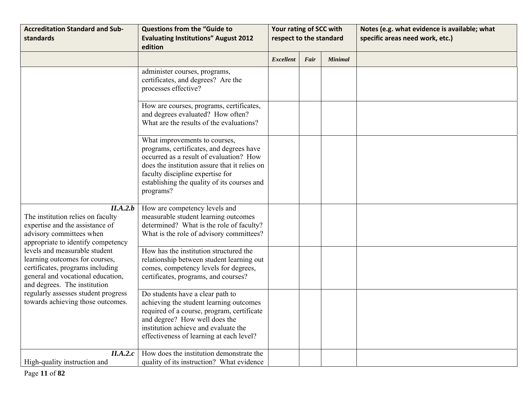| <b>Accreditation Standard and Sub-</b><br>standards                                                                                                                                                                                                  | <b>Questions from the "Guide to</b><br><b>Evaluating Institutions" August 2012</b><br>edition                                                                                                                                                                         | Your rating of SCC with<br>respect to the standard |      |                | Notes (e.g. what evidence is available; what<br>specific areas need work, etc.) |
|------------------------------------------------------------------------------------------------------------------------------------------------------------------------------------------------------------------------------------------------------|-----------------------------------------------------------------------------------------------------------------------------------------------------------------------------------------------------------------------------------------------------------------------|----------------------------------------------------|------|----------------|---------------------------------------------------------------------------------|
|                                                                                                                                                                                                                                                      |                                                                                                                                                                                                                                                                       | <b>Excellent</b>                                   | Fair | <b>Minimal</b> |                                                                                 |
|                                                                                                                                                                                                                                                      | administer courses, programs,<br>certificates, and degrees? Are the<br>processes effective?                                                                                                                                                                           |                                                    |      |                |                                                                                 |
|                                                                                                                                                                                                                                                      | How are courses, programs, certificates,<br>and degrees evaluated? How often?<br>What are the results of the evaluations?                                                                                                                                             |                                                    |      |                |                                                                                 |
|                                                                                                                                                                                                                                                      | What improvements to courses,<br>programs, certificates, and degrees have<br>occurred as a result of evaluation? How<br>does the institution assure that it relies on<br>faculty discipline expertise for<br>establishing the quality of its courses and<br>programs? |                                                    |      |                |                                                                                 |
| II.A.2.b<br>The institution relies on faculty<br>expertise and the assistance of<br>advisory committees when<br>appropriate to identify competency                                                                                                   | How are competency levels and<br>measurable student learning outcomes<br>determined? What is the role of faculty?<br>What is the role of advisory committees?                                                                                                         |                                                    |      |                |                                                                                 |
| levels and measurable student<br>learning outcomes for courses,<br>certificates, programs including<br>general and vocational education,<br>and degrees. The institution<br>regularly assesses student progress<br>towards achieving those outcomes. | How has the institution structured the<br>relationship between student learning out<br>comes, competency levels for degrees,<br>certificates, programs, and courses?                                                                                                  |                                                    |      |                |                                                                                 |
|                                                                                                                                                                                                                                                      | Do students have a clear path to<br>achieving the student learning outcomes<br>required of a course, program, certificate<br>and degree? How well does the<br>institution achieve and evaluate the<br>effectiveness of learning at each level?                        |                                                    |      |                |                                                                                 |
| II.A.2.c<br>High-quality instruction and                                                                                                                                                                                                             | How does the institution demonstrate the<br>quality of its instruction? What evidence                                                                                                                                                                                 |                                                    |      |                |                                                                                 |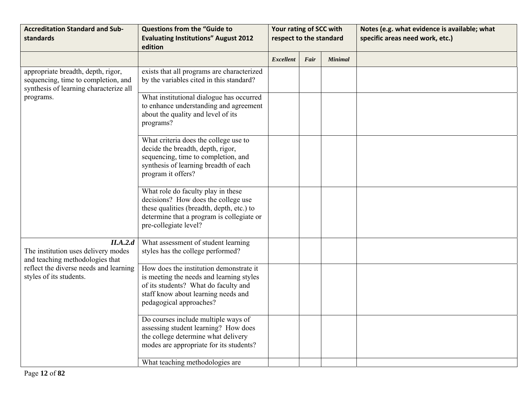| <b>Accreditation Standard and Sub-</b><br>standards                                                                 | <b>Questions from the "Guide to</b><br><b>Evaluating Institutions" August 2012</b><br>edition                                                                                                 | Your rating of SCC with<br>respect to the standard |      |                | Notes (e.g. what evidence is available; what<br>specific areas need work, etc.) |
|---------------------------------------------------------------------------------------------------------------------|-----------------------------------------------------------------------------------------------------------------------------------------------------------------------------------------------|----------------------------------------------------|------|----------------|---------------------------------------------------------------------------------|
|                                                                                                                     |                                                                                                                                                                                               | <b>Excellent</b>                                   | Fair | <b>Minimal</b> |                                                                                 |
| appropriate breadth, depth, rigor,<br>sequencing, time to completion, and<br>synthesis of learning characterize all | exists that all programs are characterized<br>by the variables cited in this standard?                                                                                                        |                                                    |      |                |                                                                                 |
| programs.                                                                                                           | What institutional dialogue has occurred<br>to enhance understanding and agreement<br>about the quality and level of its<br>programs?                                                         |                                                    |      |                |                                                                                 |
|                                                                                                                     | What criteria does the college use to<br>decide the breadth, depth, rigor,<br>sequencing, time to completion, and<br>synthesis of learning breadth of each<br>program it offers?              |                                                    |      |                |                                                                                 |
|                                                                                                                     | What role do faculty play in these<br>decisions? How does the college use<br>these qualities (breadth, depth, etc.) to<br>determine that a program is collegiate or<br>pre-collegiate level?  |                                                    |      |                |                                                                                 |
| II.A.2.d<br>The institution uses delivery modes<br>and teaching methodologies that                                  | What assessment of student learning<br>styles has the college performed?                                                                                                                      |                                                    |      |                |                                                                                 |
| reflect the diverse needs and learning<br>styles of its students.                                                   | How does the institution demonstrate it<br>is meeting the needs and learning styles<br>of its students? What do faculty and<br>staff know about learning needs and<br>pedagogical approaches? |                                                    |      |                |                                                                                 |
|                                                                                                                     | Do courses include multiple ways of<br>assessing student learning? How does<br>the college determine what delivery<br>modes are appropriate for its students?                                 |                                                    |      |                |                                                                                 |
|                                                                                                                     | What teaching methodologies are                                                                                                                                                               |                                                    |      |                |                                                                                 |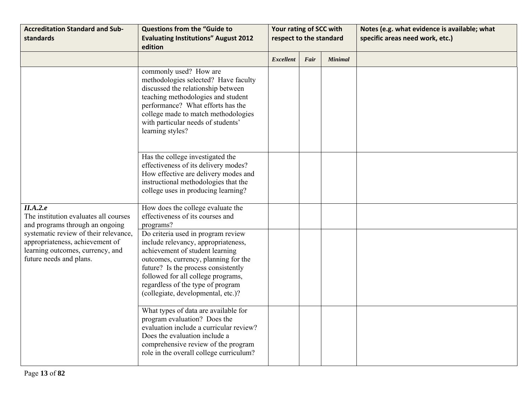| <b>Accreditation Standard and Sub-</b><br>standards                                                                                     | <b>Questions from the "Guide to</b><br><b>Evaluating Institutions" August 2012</b><br>edition                                                                                                                                                                                                                | Your rating of SCC with<br>respect to the standard |      |                | Notes (e.g. what evidence is available; what<br>specific areas need work, etc.) |
|-----------------------------------------------------------------------------------------------------------------------------------------|--------------------------------------------------------------------------------------------------------------------------------------------------------------------------------------------------------------------------------------------------------------------------------------------------------------|----------------------------------------------------|------|----------------|---------------------------------------------------------------------------------|
|                                                                                                                                         |                                                                                                                                                                                                                                                                                                              | <b>Excellent</b>                                   | Fair | <b>Minimal</b> |                                                                                 |
|                                                                                                                                         | commonly used? How are<br>methodologies selected? Have faculty<br>discussed the relationship between<br>teaching methodologies and student<br>performance? What efforts has the<br>college made to match methodologies<br>with particular needs of students'<br>learning styles?                             |                                                    |      |                |                                                                                 |
|                                                                                                                                         | Has the college investigated the<br>effectiveness of its delivery modes?<br>How effective are delivery modes and<br>instructional methodologies that the<br>college uses in producing learning?                                                                                                              |                                                    |      |                |                                                                                 |
| II.A.2.e<br>The institution evaluates all courses<br>and programs through an ongoing                                                    | How does the college evaluate the<br>effectiveness of its courses and<br>programs?                                                                                                                                                                                                                           |                                                    |      |                |                                                                                 |
| systematic review of their relevance,<br>appropriateness, achievement of<br>learning outcomes, currency, and<br>future needs and plans. | Do criteria used in program review<br>include relevancy, appropriateness,<br>achievement of student learning<br>outcomes, currency, planning for the<br>future? Is the process consistently<br>followed for all college programs,<br>regardless of the type of program<br>(collegiate, developmental, etc.)? |                                                    |      |                |                                                                                 |
|                                                                                                                                         | What types of data are available for<br>program evaluation? Does the<br>evaluation include a curricular review?<br>Does the evaluation include a<br>comprehensive review of the program<br>role in the overall college curriculum?                                                                           |                                                    |      |                |                                                                                 |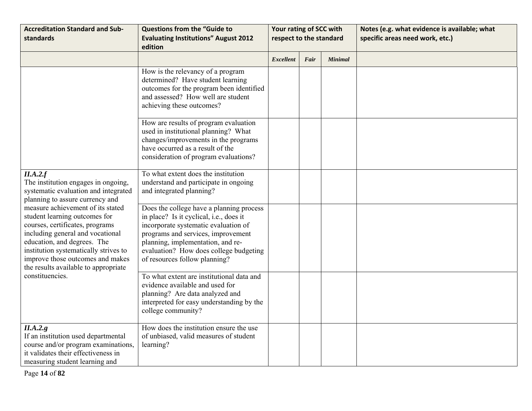| <b>Accreditation Standard and Sub-</b><br>standards                                                                                                                                                                                                                                                                                                                                                                                            | <b>Questions from the "Guide to</b><br><b>Evaluating Institutions" August 2012</b><br>edition                                                                                                                                                                                     | Your rating of SCC with<br>respect to the standard |      |                | Notes (e.g. what evidence is available; what<br>specific areas need work, etc.) |
|------------------------------------------------------------------------------------------------------------------------------------------------------------------------------------------------------------------------------------------------------------------------------------------------------------------------------------------------------------------------------------------------------------------------------------------------|-----------------------------------------------------------------------------------------------------------------------------------------------------------------------------------------------------------------------------------------------------------------------------------|----------------------------------------------------|------|----------------|---------------------------------------------------------------------------------|
|                                                                                                                                                                                                                                                                                                                                                                                                                                                |                                                                                                                                                                                                                                                                                   | <b>Excellent</b>                                   | Fair | <b>Minimal</b> |                                                                                 |
|                                                                                                                                                                                                                                                                                                                                                                                                                                                | How is the relevancy of a program<br>determined? Have student learning<br>outcomes for the program been identified<br>and assessed? How well are student<br>achieving these outcomes?                                                                                             |                                                    |      |                |                                                                                 |
|                                                                                                                                                                                                                                                                                                                                                                                                                                                | How are results of program evaluation<br>used in institutional planning? What<br>changes/improvements in the programs<br>have occurred as a result of the<br>consideration of program evaluations?                                                                                |                                                    |      |                |                                                                                 |
| II.A.2.f<br>The institution engages in ongoing,<br>systematic evaluation and integrated<br>planning to assure currency and<br>measure achievement of its stated<br>student learning outcomes for<br>courses, certificates, programs<br>including general and vocational<br>education, and degrees. The<br>institution systematically strives to<br>improve those outcomes and makes<br>the results available to appropriate<br>constituencies. | To what extent does the institution<br>understand and participate in ongoing<br>and integrated planning?                                                                                                                                                                          |                                                    |      |                |                                                                                 |
|                                                                                                                                                                                                                                                                                                                                                                                                                                                | Does the college have a planning process<br>in place? Is it cyclical, i.e., does it<br>incorporate systematic evaluation of<br>programs and services, improvement<br>planning, implementation, and re-<br>evaluation? How does college budgeting<br>of resources follow planning? |                                                    |      |                |                                                                                 |
|                                                                                                                                                                                                                                                                                                                                                                                                                                                | To what extent are institutional data and<br>evidence available and used for<br>planning? Are data analyzed and<br>interpreted for easy understanding by the<br>college community?                                                                                                |                                                    |      |                |                                                                                 |
| II.A.2.g<br>If an institution used departmental<br>course and/or program examinations,<br>it validates their effectiveness in<br>measuring student learning and                                                                                                                                                                                                                                                                                | How does the institution ensure the use<br>of unbiased, valid measures of student<br>learning?                                                                                                                                                                                    |                                                    |      |                |                                                                                 |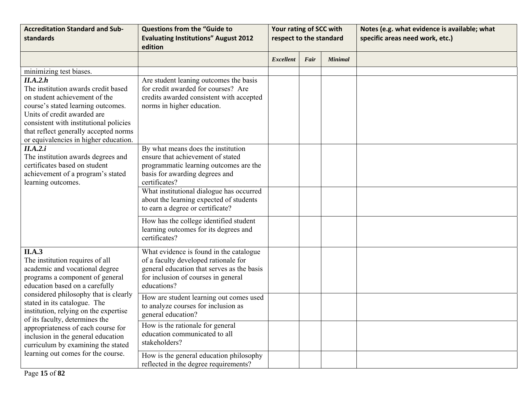| <b>Accreditation Standard and Sub-</b><br>standards                                                                                                                                                                                                                                                                                                                                                                    | <b>Questions from the "Guide to</b><br><b>Evaluating Institutions" August 2012</b><br>edition                                                                                                                                                                                                   | Your rating of SCC with<br>respect to the standard |      |                | Notes (e.g. what evidence is available; what<br>specific areas need work, etc.) |
|------------------------------------------------------------------------------------------------------------------------------------------------------------------------------------------------------------------------------------------------------------------------------------------------------------------------------------------------------------------------------------------------------------------------|-------------------------------------------------------------------------------------------------------------------------------------------------------------------------------------------------------------------------------------------------------------------------------------------------|----------------------------------------------------|------|----------------|---------------------------------------------------------------------------------|
|                                                                                                                                                                                                                                                                                                                                                                                                                        |                                                                                                                                                                                                                                                                                                 | <b>Excellent</b>                                   | Fair | <b>Minimal</b> |                                                                                 |
| minimizing test biases.<br>II.A.2.h<br>The institution awards credit based<br>on student achievement of the<br>course's stated learning outcomes.<br>Units of credit awarded are<br>consistent with institutional policies<br>that reflect generally accepted norms<br>or equivalencies in higher education.                                                                                                           | Are student leaning outcomes the basis<br>for credit awarded for courses? Are<br>credits awarded consistent with accepted<br>norms in higher education.                                                                                                                                         |                                                    |      |                |                                                                                 |
| II.A.2.i<br>The institution awards degrees and<br>certificates based on student<br>achievement of a program's stated<br>learning outcomes.                                                                                                                                                                                                                                                                             | By what means does the institution<br>ensure that achievement of stated<br>programmatic learning outcomes are the<br>basis for awarding degrees and<br>certificates?<br>What institutional dialogue has occurred<br>about the learning expected of students<br>to earn a degree or certificate? |                                                    |      |                |                                                                                 |
|                                                                                                                                                                                                                                                                                                                                                                                                                        | How has the college identified student<br>learning outcomes for its degrees and<br>certificates?                                                                                                                                                                                                |                                                    |      |                |                                                                                 |
| II.A.3<br>The institution requires of all<br>academic and vocational degree<br>programs a component of general<br>education based on a carefully<br>considered philosophy that is clearly<br>stated in its catalogue. The<br>institution, relying on the expertise<br>of its faculty, determines the<br>appropriateness of each course for<br>inclusion in the general education<br>curriculum by examining the stated | What evidence is found in the catalogue<br>of a faculty developed rationale for<br>general education that serves as the basis<br>for inclusion of courses in general<br>educations?                                                                                                             |                                                    |      |                |                                                                                 |
|                                                                                                                                                                                                                                                                                                                                                                                                                        | How are student learning out comes used<br>to analyze courses for inclusion as<br>general education?                                                                                                                                                                                            |                                                    |      |                |                                                                                 |
|                                                                                                                                                                                                                                                                                                                                                                                                                        | How is the rationale for general<br>education communicated to all<br>stakeholders?                                                                                                                                                                                                              |                                                    |      |                |                                                                                 |
| learning out comes for the course.                                                                                                                                                                                                                                                                                                                                                                                     | How is the general education philosophy<br>reflected in the degree requirements?                                                                                                                                                                                                                |                                                    |      |                |                                                                                 |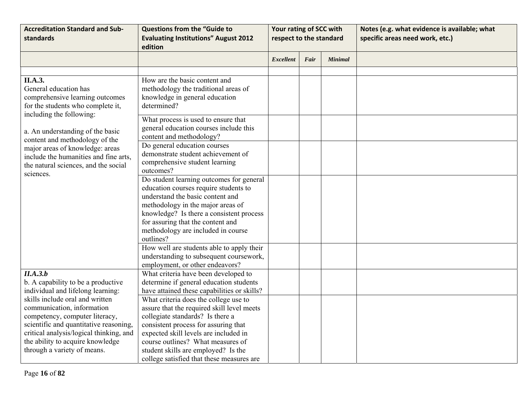| <b>Accreditation Standard and Sub-</b><br>standards                                                                                                                                                                                                     | <b>Questions from the "Guide to</b><br><b>Evaluating Institutions" August 2012</b><br>edition                                                                                                                                                                                                                                     | Your rating of SCC with<br>respect to the standard |      |                | Notes (e.g. what evidence is available; what<br>specific areas need work, etc.) |
|---------------------------------------------------------------------------------------------------------------------------------------------------------------------------------------------------------------------------------------------------------|-----------------------------------------------------------------------------------------------------------------------------------------------------------------------------------------------------------------------------------------------------------------------------------------------------------------------------------|----------------------------------------------------|------|----------------|---------------------------------------------------------------------------------|
|                                                                                                                                                                                                                                                         |                                                                                                                                                                                                                                                                                                                                   | Excellent                                          | Fair | <b>Minimal</b> |                                                                                 |
|                                                                                                                                                                                                                                                         |                                                                                                                                                                                                                                                                                                                                   |                                                    |      |                |                                                                                 |
| <b>II.A.3.</b><br>General education has<br>comprehensive learning outcomes<br>for the students who complete it,<br>including the following:                                                                                                             | How are the basic content and<br>methodology the traditional areas of<br>knowledge in general education<br>determined?<br>What process is used to ensure that<br>general education courses include this                                                                                                                           |                                                    |      |                |                                                                                 |
| a. An understanding of the basic                                                                                                                                                                                                                        | content and methodology?                                                                                                                                                                                                                                                                                                          |                                                    |      |                |                                                                                 |
| content and methodology of the<br>major areas of knowledge: areas<br>include the humanities and fine arts,<br>the natural sciences, and the social<br>sciences.                                                                                         | Do general education courses<br>demonstrate student achievement of<br>comprehensive student learning<br>outcomes?                                                                                                                                                                                                                 |                                                    |      |                |                                                                                 |
|                                                                                                                                                                                                                                                         | Do student learning outcomes for general<br>education courses require students to<br>understand the basic content and<br>methodology in the major areas of<br>knowledge? Is there a consistent process<br>for assuring that the content and<br>methodology are included in course<br>outlines?                                    |                                                    |      |                |                                                                                 |
|                                                                                                                                                                                                                                                         | How well are students able to apply their<br>understanding to subsequent coursework,<br>employment, or other endeavors?                                                                                                                                                                                                           |                                                    |      |                |                                                                                 |
| II.A.3.b<br>b. A capability to be a productive<br>individual and lifelong learning:                                                                                                                                                                     | What criteria have been developed to<br>determine if general education students<br>have attained these capabilities or skills?                                                                                                                                                                                                    |                                                    |      |                |                                                                                 |
| skills include oral and written<br>communication, information<br>competency, computer literacy,<br>scientific and quantitative reasoning,<br>critical analysis/logical thinking, and<br>the ability to acquire knowledge<br>through a variety of means. | What criteria does the college use to<br>assure that the required skill level meets<br>collegiate standards? Is there a<br>consistent process for assuring that<br>expected skill levels are included in<br>course outlines? What measures of<br>student skills are employed? Is the<br>college satisfied that these measures are |                                                    |      |                |                                                                                 |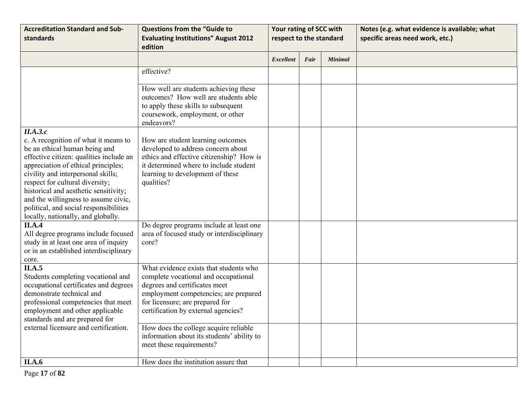| <b>Accreditation Standard and Sub-</b><br>standards                                                                                                                                                                                                                                                                                                                                                           | <b>Questions from the "Guide to</b><br><b>Evaluating Institutions" August 2012</b><br>edition                                                                                                                                      | Your rating of SCC with<br>respect to the standard |      |                | Notes (e.g. what evidence is available; what<br>specific areas need work, etc.) |
|---------------------------------------------------------------------------------------------------------------------------------------------------------------------------------------------------------------------------------------------------------------------------------------------------------------------------------------------------------------------------------------------------------------|------------------------------------------------------------------------------------------------------------------------------------------------------------------------------------------------------------------------------------|----------------------------------------------------|------|----------------|---------------------------------------------------------------------------------|
|                                                                                                                                                                                                                                                                                                                                                                                                               |                                                                                                                                                                                                                                    | <b>Excellent</b>                                   | Fair | <b>Minimal</b> |                                                                                 |
|                                                                                                                                                                                                                                                                                                                                                                                                               | effective?                                                                                                                                                                                                                         |                                                    |      |                |                                                                                 |
|                                                                                                                                                                                                                                                                                                                                                                                                               | How well are students achieving these<br>outcomes? How well are students able<br>to apply these skills to subsequent<br>coursework, employment, or other<br>endeavors?                                                             |                                                    |      |                |                                                                                 |
| II.A.3.c<br>c. A recognition of what it means to<br>be an ethical human being and<br>effective citizen: qualities include an<br>appreciation of ethical principles;<br>civility and interpersonal skills;<br>respect for cultural diversity;<br>historical and aesthetic sensitivity;<br>and the willingness to assume civic,<br>political, and social responsibilities<br>locally, nationally, and globally. | How are student learning outcomes<br>developed to address concern about<br>ethics and effective citizenship? How is<br>it determined where to include student<br>learning to development of these<br>qualities?                    |                                                    |      |                |                                                                                 |
| II.A.4<br>All degree programs include focused<br>study in at least one area of inquiry<br>or in an established interdisciplinary<br>core.                                                                                                                                                                                                                                                                     | Do degree programs include at least one<br>area of focused study or interdisciplinary<br>core?                                                                                                                                     |                                                    |      |                |                                                                                 |
| II.A.5<br>Students completing vocational and<br>occupational certificates and degrees<br>demonstrate technical and<br>professional competencies that meet<br>employment and other applicable<br>standards and are prepared for                                                                                                                                                                                | What evidence exists that students who<br>complete vocational and occupational<br>degrees and certificates meet<br>employment competencies; are prepared<br>for licensure; are prepared for<br>certification by external agencies? |                                                    |      |                |                                                                                 |
| external licensure and certification.                                                                                                                                                                                                                                                                                                                                                                         | How does the college acquire reliable<br>information about its students' ability to<br>meet these requirements?                                                                                                                    |                                                    |      |                |                                                                                 |
| <b>II.A.6</b>                                                                                                                                                                                                                                                                                                                                                                                                 | How does the institution assure that                                                                                                                                                                                               |                                                    |      |                |                                                                                 |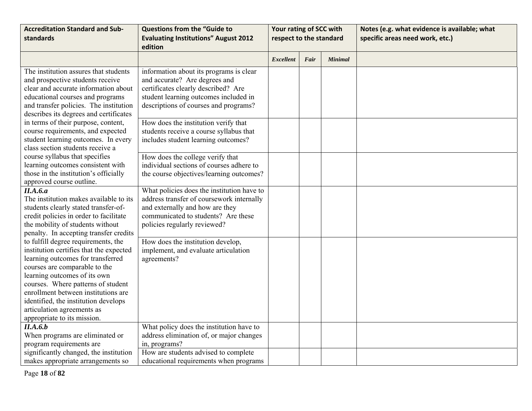| <b>Accreditation Standard and Sub-</b>                                                                                                                                                                                                                                                                                                                                 | <b>Questions from the "Guide to</b>                                                                                                                                                               | Your rating of SCC with |      |                | Notes (e.g. what evidence is available; what |
|------------------------------------------------------------------------------------------------------------------------------------------------------------------------------------------------------------------------------------------------------------------------------------------------------------------------------------------------------------------------|---------------------------------------------------------------------------------------------------------------------------------------------------------------------------------------------------|-------------------------|------|----------------|----------------------------------------------|
| standards                                                                                                                                                                                                                                                                                                                                                              | <b>Evaluating Institutions" August 2012</b><br>edition                                                                                                                                            | respect to the standard |      |                | specific areas need work, etc.)              |
|                                                                                                                                                                                                                                                                                                                                                                        |                                                                                                                                                                                                   | <b>Excellent</b>        | Fair | <b>Minimal</b> |                                              |
| The institution assures that students<br>and prospective students receive<br>clear and accurate information about<br>educational courses and programs<br>and transfer policies. The institution<br>describes its degrees and certificates                                                                                                                              | information about its programs is clear<br>and accurate? Are degrees and<br>certificates clearly described? Are<br>student learning outcomes included in<br>descriptions of courses and programs? |                         |      |                |                                              |
| in terms of their purpose, content,<br>course requirements, and expected<br>student learning outcomes. In every<br>class section students receive a                                                                                                                                                                                                                    | How does the institution verify that<br>students receive a course syllabus that<br>includes student learning outcomes?                                                                            |                         |      |                |                                              |
| course syllabus that specifies<br>learning outcomes consistent with<br>those in the institution's officially<br>approved course outline.                                                                                                                                                                                                                               | How does the college verify that<br>individual sections of courses adhere to<br>the course objectives/learning outcomes?                                                                          |                         |      |                |                                              |
| II.A.6.a<br>The institution makes available to its<br>students clearly stated transfer-of-<br>credit policies in order to facilitate<br>the mobility of students without<br>penalty. In accepting transfer credits                                                                                                                                                     | What policies does the institution have to<br>address transfer of coursework internally<br>and externally and how are they<br>communicated to students? Are these<br>policies regularly reviewed? |                         |      |                |                                              |
| to fulfill degree requirements, the<br>institution certifies that the expected<br>learning outcomes for transferred<br>courses are comparable to the<br>learning outcomes of its own<br>courses. Where patterns of student<br>enrollment between institutions are<br>identified, the institution develops<br>articulation agreements as<br>appropriate to its mission. | How does the institution develop,<br>implement, and evaluate articulation<br>agreements?                                                                                                          |                         |      |                |                                              |
| II.A.6.b<br>When programs are eliminated or<br>program requirements are                                                                                                                                                                                                                                                                                                | What policy does the institution have to<br>address elimination of, or major changes<br>in, programs?                                                                                             |                         |      |                |                                              |
| significantly changed, the institution<br>makes appropriate arrangements so                                                                                                                                                                                                                                                                                            | How are students advised to complete<br>educational requirements when programs                                                                                                                    |                         |      |                |                                              |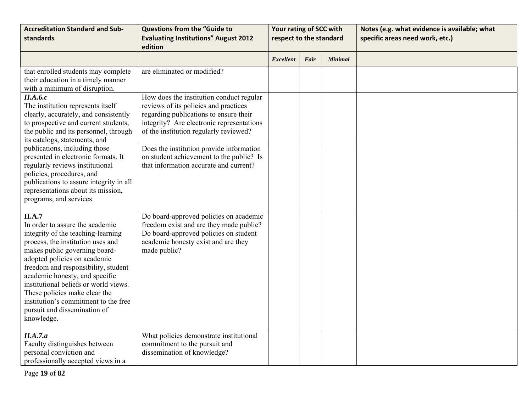| <b>Accreditation Standard and Sub-</b><br>standards                                                                                                                                                                                                                                                                                                                                                                            | <b>Questions from the "Guide to</b><br><b>Evaluating Institutions" August 2012</b><br>edition                                                                                                                      | Your rating of SCC with<br>respect to the standard |      |                | Notes (e.g. what evidence is available; what<br>specific areas need work, etc.) |
|--------------------------------------------------------------------------------------------------------------------------------------------------------------------------------------------------------------------------------------------------------------------------------------------------------------------------------------------------------------------------------------------------------------------------------|--------------------------------------------------------------------------------------------------------------------------------------------------------------------------------------------------------------------|----------------------------------------------------|------|----------------|---------------------------------------------------------------------------------|
|                                                                                                                                                                                                                                                                                                                                                                                                                                |                                                                                                                                                                                                                    | <b>Excellent</b>                                   | Fair | <b>Minimal</b> |                                                                                 |
| that enrolled students may complete<br>their education in a timely manner<br>with a minimum of disruption.                                                                                                                                                                                                                                                                                                                     | are eliminated or modified?                                                                                                                                                                                        |                                                    |      |                |                                                                                 |
| II.A.6.c<br>The institution represents itself<br>clearly, accurately, and consistently<br>to prospective and current students,<br>the public and its personnel, through<br>its catalogs, statements, and                                                                                                                                                                                                                       | How does the institution conduct regular<br>reviews of its policies and practices<br>regarding publications to ensure their<br>integrity? Are electronic representations<br>of the institution regularly reviewed? |                                                    |      |                |                                                                                 |
| publications, including those<br>presented in electronic formats. It<br>regularly reviews institutional<br>policies, procedures, and<br>publications to assure integrity in all<br>representations about its mission,<br>programs, and services.                                                                                                                                                                               | Does the institution provide information<br>on student achievement to the public? Is<br>that information accurate and current?                                                                                     |                                                    |      |                |                                                                                 |
| II.A.7<br>In order to assure the academic<br>integrity of the teaching-learning<br>process, the institution uses and<br>makes public governing board-<br>adopted policies on academic<br>freedom and responsibility, student<br>academic honesty, and specific<br>institutional beliefs or world views.<br>These policies make clear the<br>institution's commitment to the free<br>pursuit and dissemination of<br>knowledge. | Do board-approved policies on academic<br>freedom exist and are they made public?<br>Do board-approved policies on student<br>academic honesty exist and are they<br>made public?                                  |                                                    |      |                |                                                                                 |
| II.A.7.a<br>Faculty distinguishes between<br>personal conviction and<br>professionally accepted views in a                                                                                                                                                                                                                                                                                                                     | What policies demonstrate institutional<br>commitment to the pursuit and<br>dissemination of knowledge?                                                                                                            |                                                    |      |                |                                                                                 |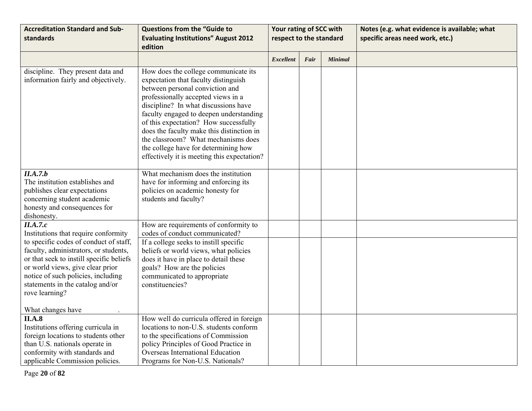| <b>Accreditation Standard and Sub-</b><br>standards                                                                                                                                                                                                                                                             | <b>Questions from the "Guide to</b><br><b>Evaluating Institutions" August 2012</b><br>edition                                                                                                                                                                                                                                                                                                                                                                | Your rating of SCC with<br>respect to the standard |      |                | Notes (e.g. what evidence is available; what<br>specific areas need work, etc.) |
|-----------------------------------------------------------------------------------------------------------------------------------------------------------------------------------------------------------------------------------------------------------------------------------------------------------------|--------------------------------------------------------------------------------------------------------------------------------------------------------------------------------------------------------------------------------------------------------------------------------------------------------------------------------------------------------------------------------------------------------------------------------------------------------------|----------------------------------------------------|------|----------------|---------------------------------------------------------------------------------|
|                                                                                                                                                                                                                                                                                                                 |                                                                                                                                                                                                                                                                                                                                                                                                                                                              | <b>Excellent</b>                                   | Fair | <b>Minimal</b> |                                                                                 |
| discipline. They present data and<br>information fairly and objectively.                                                                                                                                                                                                                                        | How does the college communicate its<br>expectation that faculty distinguish<br>between personal conviction and<br>professionally accepted views in a<br>discipline? In what discussions have<br>faculty engaged to deepen understanding<br>of this expectation? How successfully<br>does the faculty make this distinction in<br>the classroom? What mechanisms does<br>the college have for determining how<br>effectively it is meeting this expectation? |                                                    |      |                |                                                                                 |
| II.A.7.b<br>The institution establishes and<br>publishes clear expectations<br>concerning student academic<br>honesty and consequences for<br>dishonesty.                                                                                                                                                       | What mechanism does the institution<br>have for informing and enforcing its<br>policies on academic honesty for<br>students and faculty?                                                                                                                                                                                                                                                                                                                     |                                                    |      |                |                                                                                 |
| II.A.7.c<br>Institutions that require conformity<br>to specific codes of conduct of staff,<br>faculty, administrators, or students,<br>or that seek to instill specific beliefs<br>or world views, give clear prior<br>notice of such policies, including<br>statements in the catalog and/or<br>rove learning? | How are requirements of conformity to<br>codes of conduct communicated?<br>If a college seeks to instill specific<br>beliefs or world views, what policies<br>does it have in place to detail these<br>goals? How are the policies<br>communicated to appropriate<br>constituencies?                                                                                                                                                                         |                                                    |      |                |                                                                                 |
| What changes have<br>II.A.8<br>Institutions offering curricula in<br>foreign locations to students other<br>than U.S. nationals operate in<br>conformity with standards and<br>applicable Commission policies.                                                                                                  | How well do curricula offered in foreign<br>locations to non-U.S. students conform<br>to the specifications of Commission<br>policy Principles of Good Practice in<br>Overseas International Education<br>Programs for Non-U.S. Nationals?                                                                                                                                                                                                                   |                                                    |      |                |                                                                                 |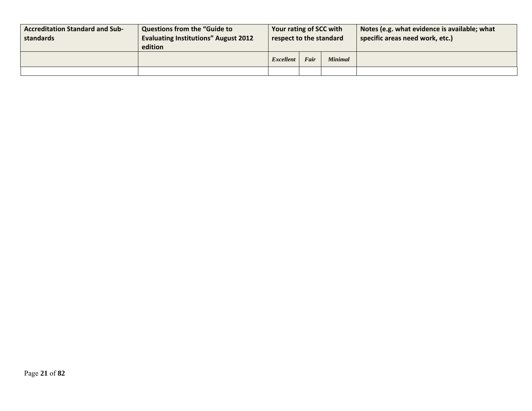| <b>Accreditation Standard and Sub-</b><br>standards | <b>Questions from the "Guide to</b><br><b>Evaluating Institutions" August 2012</b><br>edition | Your rating of SCC with<br>respect to the standard |      |         | Notes (e.g. what evidence is available; what<br>specific areas need work, etc.) |
|-----------------------------------------------------|-----------------------------------------------------------------------------------------------|----------------------------------------------------|------|---------|---------------------------------------------------------------------------------|
|                                                     |                                                                                               | Excellent                                          | Fair | Minimal |                                                                                 |
|                                                     |                                                                                               |                                                    |      |         |                                                                                 |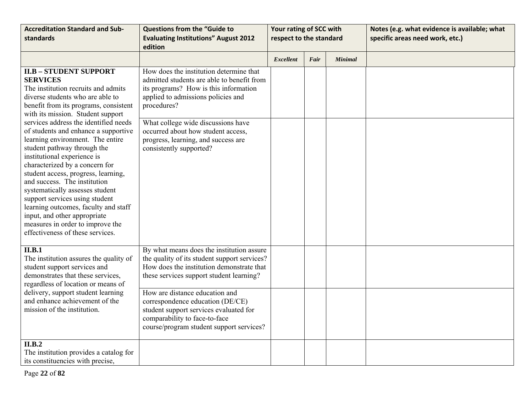| <b>Accreditation Standard and Sub-</b>                                                                                                                                                                                                                                                                                                                                                                                                                                                                                                                                                                                                                                                                                     | <b>Questions from the "Guide to</b>                                                                                                                                                                                                                                                                                                                                             | Your rating of SCC with |      |                | Notes (e.g. what evidence is available; what |
|----------------------------------------------------------------------------------------------------------------------------------------------------------------------------------------------------------------------------------------------------------------------------------------------------------------------------------------------------------------------------------------------------------------------------------------------------------------------------------------------------------------------------------------------------------------------------------------------------------------------------------------------------------------------------------------------------------------------------|---------------------------------------------------------------------------------------------------------------------------------------------------------------------------------------------------------------------------------------------------------------------------------------------------------------------------------------------------------------------------------|-------------------------|------|----------------|----------------------------------------------|
| standards                                                                                                                                                                                                                                                                                                                                                                                                                                                                                                                                                                                                                                                                                                                  | <b>Evaluating Institutions" August 2012</b><br>edition                                                                                                                                                                                                                                                                                                                          | respect to the standard |      |                | specific areas need work, etc.)              |
|                                                                                                                                                                                                                                                                                                                                                                                                                                                                                                                                                                                                                                                                                                                            |                                                                                                                                                                                                                                                                                                                                                                                 | Excellent               | Fair | <b>Minimal</b> |                                              |
| <b>II.B - STUDENT SUPPORT</b><br><b>SERVICES</b><br>The institution recruits and admits<br>diverse students who are able to<br>benefit from its programs, consistent<br>with its mission. Student support<br>services address the identified needs<br>of students and enhance a supportive<br>learning environment. The entire<br>student pathway through the<br>institutional experience is<br>characterized by a concern for<br>student access, progress, learning,<br>and success. The institution<br>systematically assesses student<br>support services using student<br>learning outcomes, faculty and staff<br>input, and other appropriate<br>measures in order to improve the<br>effectiveness of these services. | How does the institution determine that<br>admitted students are able to benefit from<br>its programs? How is this information<br>applied to admissions policies and<br>procedures?<br>What college wide discussions have<br>occurred about how student access,<br>progress, learning, and success are<br>consistently supported?                                               |                         |      |                |                                              |
| II.B.1<br>The institution assures the quality of<br>student support services and<br>demonstrates that these services,<br>regardless of location or means of<br>delivery, support student learning<br>and enhance achievement of the<br>mission of the institution.                                                                                                                                                                                                                                                                                                                                                                                                                                                         | By what means does the institution assure<br>the quality of its student support services?<br>How does the institution demonstrate that<br>these services support student learning?<br>How are distance education and<br>correspondence education (DE/CE)<br>student support services evaluated for<br>comparability to face-to-face<br>course/program student support services? |                         |      |                |                                              |
| II.B.2<br>The institution provides a catalog for<br>its constituencies with precise,                                                                                                                                                                                                                                                                                                                                                                                                                                                                                                                                                                                                                                       |                                                                                                                                                                                                                                                                                                                                                                                 |                         |      |                |                                              |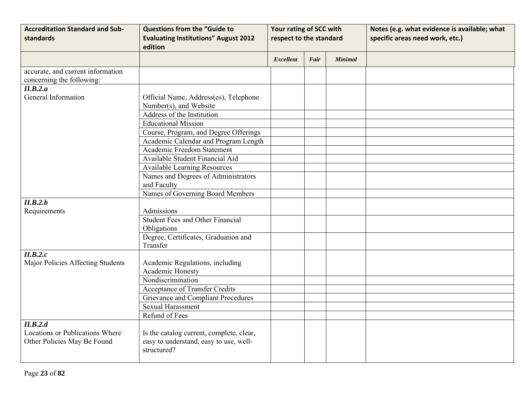| <b>Accreditation Standard and Sub-</b> | <b>Questions from the "Guide to</b>         | Your rating of SCC with |      |                | Notes (e.g. what evidence is available; what |
|----------------------------------------|---------------------------------------------|-------------------------|------|----------------|----------------------------------------------|
| standards                              | <b>Evaluating Institutions" August 2012</b> | respect to the standard |      |                | specific areas need work, etc.)              |
|                                        | edition                                     |                         |      |                |                                              |
|                                        |                                             | <b>Excellent</b>        | Fair | <b>Minimal</b> |                                              |
| accurate, and current information      |                                             |                         |      |                |                                              |
| concerning the following:              |                                             |                         |      |                |                                              |
| II.B.2.a                               |                                             |                         |      |                |                                              |
| General Information                    | Official Name, Address(es), Telephone       |                         |      |                |                                              |
|                                        | Number(s), and Website                      |                         |      |                |                                              |
|                                        | Address of the Institution                  |                         |      |                |                                              |
|                                        | <b>Educational Mission</b>                  |                         |      |                |                                              |
|                                        | Course, Program, and Degree Offerings       |                         |      |                |                                              |
|                                        | Academic Calendar and Program Length        |                         |      |                |                                              |
|                                        | Academic Freedom Statement                  |                         |      |                |                                              |
|                                        | Available Student Financial Aid             |                         |      |                |                                              |
|                                        | <b>Available Learning Resources</b>         |                         |      |                |                                              |
|                                        | Names and Degrees of Administrators         |                         |      |                |                                              |
|                                        | and Faculty                                 |                         |      |                |                                              |
|                                        | Names of Governing Board Members            |                         |      |                |                                              |
| II.B.2.b                               |                                             |                         |      |                |                                              |
| Requirements                           | Admissions                                  |                         |      |                |                                              |
|                                        | <b>Student Fees and Other Financial</b>     |                         |      |                |                                              |
|                                        | Obligations                                 |                         |      |                |                                              |
|                                        | Degree, Certificates, Graduation and        |                         |      |                |                                              |
|                                        | Transfer                                    |                         |      |                |                                              |
| II.B.2.c                               |                                             |                         |      |                |                                              |
| Major Policies Affecting Students      | Academic Regulations, including             |                         |      |                |                                              |
|                                        | Academic Honesty                            |                         |      |                |                                              |
|                                        | Nondiscrimination                           |                         |      |                |                                              |
|                                        | <b>Acceptance of Transfer Credits</b>       |                         |      |                |                                              |
|                                        | <b>Grievance and Compliant Procedures</b>   |                         |      |                |                                              |
|                                        | <b>Sexual Harassment</b>                    |                         |      |                |                                              |
|                                        | Refund of Fees                              |                         |      |                |                                              |
| II.B.2.d                               |                                             |                         |      |                |                                              |
| <b>Locations or Publications Where</b> | Is the catalog current, complete, clear,    |                         |      |                |                                              |
| Other Policies May Be Found            | easy to understand, easy to use, well-      |                         |      |                |                                              |
|                                        | structured?                                 |                         |      |                |                                              |
|                                        |                                             |                         |      |                |                                              |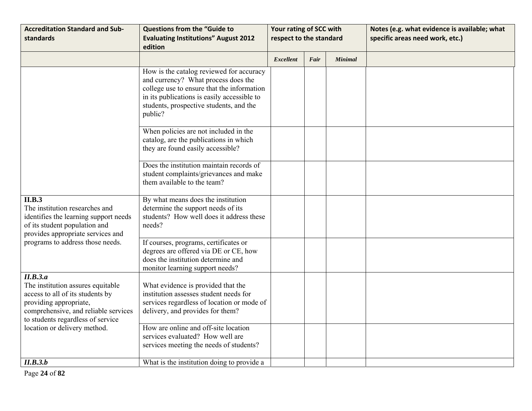| <b>Accreditation Standard and Sub-</b><br>standards                                                                                                                                      | <b>Questions from the "Guide to</b><br><b>Evaluating Institutions" August 2012</b><br>edition                                                                                                                                      | Your rating of SCC with<br>respect to the standard |      |                | Notes (e.g. what evidence is available; what<br>specific areas need work, etc.) |
|------------------------------------------------------------------------------------------------------------------------------------------------------------------------------------------|------------------------------------------------------------------------------------------------------------------------------------------------------------------------------------------------------------------------------------|----------------------------------------------------|------|----------------|---------------------------------------------------------------------------------|
|                                                                                                                                                                                          |                                                                                                                                                                                                                                    | <b>Excellent</b>                                   | Fair | <b>Minimal</b> |                                                                                 |
|                                                                                                                                                                                          | How is the catalog reviewed for accuracy<br>and currency? What process does the<br>college use to ensure that the information<br>in its publications is easily accessible to<br>students, prospective students, and the<br>public? |                                                    |      |                |                                                                                 |
|                                                                                                                                                                                          | When policies are not included in the<br>catalog, are the publications in which<br>they are found easily accessible?                                                                                                               |                                                    |      |                |                                                                                 |
|                                                                                                                                                                                          | Does the institution maintain records of<br>student complaints/grievances and make<br>them available to the team?                                                                                                                  |                                                    |      |                |                                                                                 |
| II.B.3<br>The institution researches and<br>identifies the learning support needs<br>of its student population and<br>provides appropriate services and                                  | By what means does the institution<br>determine the support needs of its<br>students? How well does it address these<br>needs?                                                                                                     |                                                    |      |                |                                                                                 |
| programs to address those needs.                                                                                                                                                         | If courses, programs, certificates or<br>degrees are offered via DE or CE, how<br>does the institution determine and<br>monitor learning support needs?                                                                            |                                                    |      |                |                                                                                 |
| II.B.3.a<br>The institution assures equitable<br>access to all of its students by<br>providing appropriate,<br>comprehensive, and reliable services<br>to students regardless of service | What evidence is provided that the<br>institution assesses student needs for<br>services regardless of location or mode of<br>delivery, and provides for them?                                                                     |                                                    |      |                |                                                                                 |
| location or delivery method.                                                                                                                                                             | How are online and off-site location<br>services evaluated? How well are<br>services meeting the needs of students?                                                                                                                |                                                    |      |                |                                                                                 |
| II.B.3.b                                                                                                                                                                                 | What is the institution doing to provide a                                                                                                                                                                                         |                                                    |      |                |                                                                                 |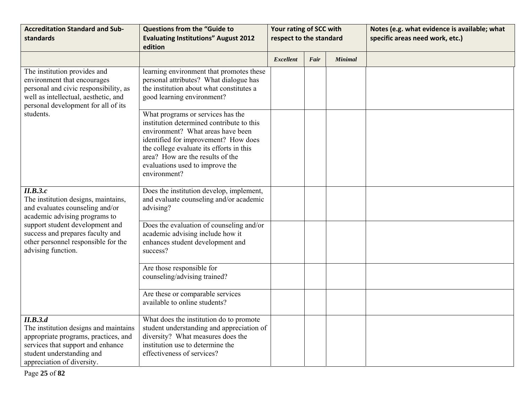| <b>Accreditation Standard and Sub-</b>                                                                                                                                                    | <b>Questions from the "Guide to</b>                                                                                                                                                                                                                                                            | Your rating of SCC with |      |                | Notes (e.g. what evidence is available; what |
|-------------------------------------------------------------------------------------------------------------------------------------------------------------------------------------------|------------------------------------------------------------------------------------------------------------------------------------------------------------------------------------------------------------------------------------------------------------------------------------------------|-------------------------|------|----------------|----------------------------------------------|
| standards                                                                                                                                                                                 | <b>Evaluating Institutions" August 2012</b><br>edition                                                                                                                                                                                                                                         | respect to the standard |      |                | specific areas need work, etc.)              |
|                                                                                                                                                                                           |                                                                                                                                                                                                                                                                                                | <b>Excellent</b>        | Fair | <b>Minimal</b> |                                              |
| The institution provides and<br>environment that encourages<br>personal and civic responsibility, as<br>well as intellectual, aesthetic, and<br>personal development for all of its       | learning environment that promotes these<br>personal attributes? What dialogue has<br>the institution about what constitutes a<br>good learning environment?                                                                                                                                   |                         |      |                |                                              |
| students.                                                                                                                                                                                 | What programs or services has the<br>institution determined contribute to this<br>environment? What areas have been<br>identified for improvement? How does<br>the college evaluate its efforts in this<br>area? How are the results of the<br>evaluations used to improve the<br>environment? |                         |      |                |                                              |
| II.B.3.c<br>The institution designs, maintains,<br>and evaluates counseling and/or<br>academic advising programs to                                                                       | Does the institution develop, implement,<br>and evaluate counseling and/or academic<br>advising?                                                                                                                                                                                               |                         |      |                |                                              |
| support student development and<br>success and prepares faculty and<br>other personnel responsible for the<br>advising function.                                                          | Does the evaluation of counseling and/or<br>academic advising include how it<br>enhances student development and<br>success?                                                                                                                                                                   |                         |      |                |                                              |
|                                                                                                                                                                                           | Are those responsible for<br>counseling/advising trained?                                                                                                                                                                                                                                      |                         |      |                |                                              |
|                                                                                                                                                                                           | Are these or comparable services<br>available to online students?                                                                                                                                                                                                                              |                         |      |                |                                              |
| II.B.3.d<br>The institution designs and maintains<br>appropriate programs, practices, and<br>services that support and enhance<br>student understanding and<br>appreciation of diversity. | What does the institution do to promote<br>student understanding and appreciation of<br>diversity? What measures does the<br>institution use to determine the<br>effectiveness of services?                                                                                                    |                         |      |                |                                              |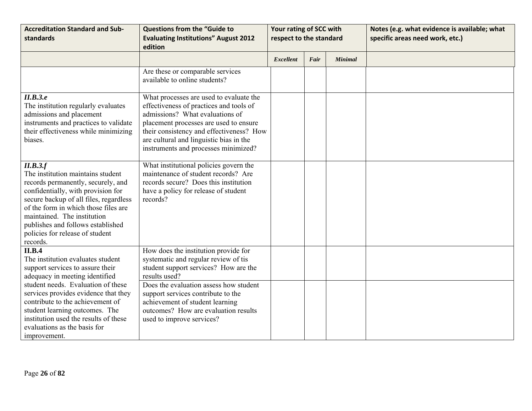| <b>Accreditation Standard and Sub-</b><br>standards                                                                                                                                                                                                                                                                            | <b>Questions from the "Guide to</b><br><b>Evaluating Institutions" August 2012</b><br>edition                                                                                                                                                                                                  | Your rating of SCC with<br>respect to the standard |      |                | Notes (e.g. what evidence is available; what<br>specific areas need work, etc.) |
|--------------------------------------------------------------------------------------------------------------------------------------------------------------------------------------------------------------------------------------------------------------------------------------------------------------------------------|------------------------------------------------------------------------------------------------------------------------------------------------------------------------------------------------------------------------------------------------------------------------------------------------|----------------------------------------------------|------|----------------|---------------------------------------------------------------------------------|
|                                                                                                                                                                                                                                                                                                                                |                                                                                                                                                                                                                                                                                                | <b>Excellent</b>                                   | Fair | <b>Minimal</b> |                                                                                 |
|                                                                                                                                                                                                                                                                                                                                | Are these or comparable services<br>available to online students?                                                                                                                                                                                                                              |                                                    |      |                |                                                                                 |
| II.B.3.e<br>The institution regularly evaluates<br>admissions and placement<br>instruments and practices to validate<br>their effectiveness while minimizing<br>biases.                                                                                                                                                        | What processes are used to evaluate the<br>effectiveness of practices and tools of<br>admissions? What evaluations of<br>placement processes are used to ensure<br>their consistency and effectiveness? How<br>are cultural and linguistic bias in the<br>instruments and processes minimized? |                                                    |      |                |                                                                                 |
| II.B.3.f<br>The institution maintains student<br>records permanently, securely, and<br>confidentially, with provision for<br>secure backup of all files, regardless<br>of the form in which those files are<br>maintained. The institution<br>publishes and follows established<br>policies for release of student<br>records. | What institutional policies govern the<br>maintenance of student records? Are<br>records secure? Does this institution<br>have a policy for release of student<br>records?                                                                                                                     |                                                    |      |                |                                                                                 |
| II.B.4<br>The institution evaluates student<br>support services to assure their<br>adequacy in meeting identified                                                                                                                                                                                                              | How does the institution provide for<br>systematic and regular review of tis<br>student support services? How are the<br>results used?                                                                                                                                                         |                                                    |      |                |                                                                                 |
| student needs. Evaluation of these<br>services provides evidence that they<br>contribute to the achievement of<br>student learning outcomes. The<br>institution used the results of these<br>evaluations as the basis for<br>improvement.                                                                                      | Does the evaluation assess how student<br>support services contribute to the<br>achievement of student learning<br>outcomes? How are evaluation results<br>used to improve services?                                                                                                           |                                                    |      |                |                                                                                 |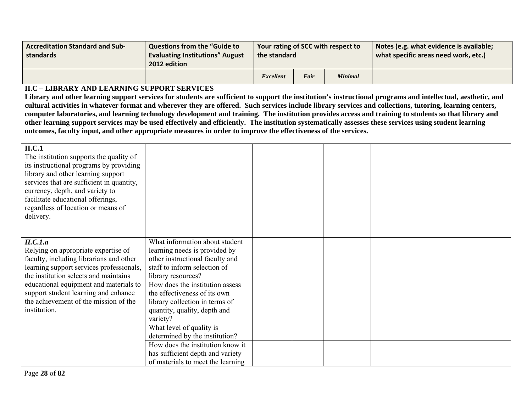| <b>Accreditation Standard and Sub-</b><br>standards | <b>Questions from the "Guide to \</b><br><b>Evaluating Institutions" August</b><br>2012 edition | Your rating of SCC with respect to<br>the standard |      |         | Notes (e.g. what evidence is available;<br>what specific areas need work, etc.) |
|-----------------------------------------------------|-------------------------------------------------------------------------------------------------|----------------------------------------------------|------|---------|---------------------------------------------------------------------------------|
|                                                     |                                                                                                 | <b>Excellent</b>                                   | Fair | Minimal |                                                                                 |

### **II.C – LIBRARY AND LEARNING SUPPORT SERVICES**

**Library and other learning support services for students are sufficient to support the institution's instructional programs and intellectual, aesthetic, and cultural activities in whatever format and wherever they are offered. Such services include library services and collections, tutoring, learning centers, computer laboratories, and learning technology development and training. The institution provides access and training to students so that library and other learning support services may be used effectively and efficiently. The institution systematically assesses these services using student learning outcomes, faculty input, and other appropriate measures in order to improve the effectiveness of the services.** 

| ILC.1<br>The institution supports the quality of<br>its instructional programs by providing<br>library and other learning support<br>services that are sufficient in quantity,<br>currency, depth, and variety to<br>facilitate educational offerings,<br>regardless of location or means of<br>delivery. |                                                                                                                                                                                                                                                                                                                          |  |  |
|-----------------------------------------------------------------------------------------------------------------------------------------------------------------------------------------------------------------------------------------------------------------------------------------------------------|--------------------------------------------------------------------------------------------------------------------------------------------------------------------------------------------------------------------------------------------------------------------------------------------------------------------------|--|--|
| II.C.1.a<br>Relying on appropriate expertise of<br>faculty, including librarians and other<br>learning support services professionals,<br>the institution selects and maintains                                                                                                                           | What information about student<br>learning needs is provided by<br>other instructional faculty and<br>staff to inform selection of<br>library resources?                                                                                                                                                                 |  |  |
| educational equipment and materials to<br>support student learning and enhance<br>the achievement of the mission of the<br>institution.                                                                                                                                                                   | How does the institution assess<br>the effectiveness of its own<br>library collection in terms of<br>quantity, quality, depth and<br>variety?<br>What level of quality is<br>determined by the institution?<br>How does the institution know it<br>has sufficient depth and variety<br>of materials to meet the learning |  |  |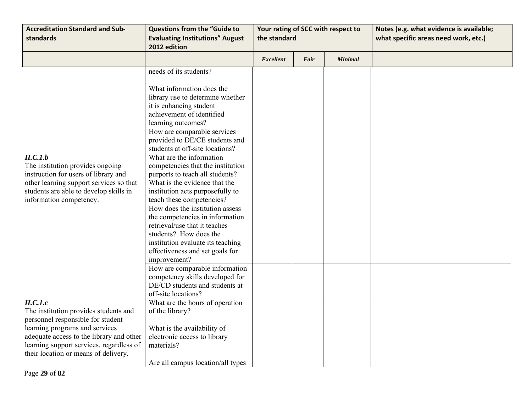| <b>Accreditation Standard and Sub-</b><br>standards                                                                                                                                                  | <b>Questions from the "Guide to</b><br><b>Evaluating Institutions" August</b><br>2012 edition                                                                                                                                                                                                                                                                                                                                                                                                                                                             | the standard     |      | Your rating of SCC with respect to | Notes (e.g. what evidence is available;<br>what specific areas need work, etc.) |
|------------------------------------------------------------------------------------------------------------------------------------------------------------------------------------------------------|-----------------------------------------------------------------------------------------------------------------------------------------------------------------------------------------------------------------------------------------------------------------------------------------------------------------------------------------------------------------------------------------------------------------------------------------------------------------------------------------------------------------------------------------------------------|------------------|------|------------------------------------|---------------------------------------------------------------------------------|
|                                                                                                                                                                                                      |                                                                                                                                                                                                                                                                                                                                                                                                                                                                                                                                                           | <b>Excellent</b> | Fair | <b>Minimal</b>                     |                                                                                 |
|                                                                                                                                                                                                      | needs of its students?                                                                                                                                                                                                                                                                                                                                                                                                                                                                                                                                    |                  |      |                                    |                                                                                 |
|                                                                                                                                                                                                      | What information does the<br>library use to determine whether<br>it is enhancing student<br>achievement of identified<br>learning outcomes?<br>How are comparable services                                                                                                                                                                                                                                                                                                                                                                                |                  |      |                                    |                                                                                 |
|                                                                                                                                                                                                      | provided to DE/CE students and<br>students at off-site locations?                                                                                                                                                                                                                                                                                                                                                                                                                                                                                         |                  |      |                                    |                                                                                 |
| II.C.I.b<br>The institution provides ongoing<br>instruction for users of library and<br>other learning support services so that<br>students are able to develop skills in<br>information competency. | What are the information<br>competencies that the institution<br>purports to teach all students?<br>What is the evidence that the<br>institution acts purposefully to<br>teach these competencies?<br>How does the institution assess<br>the competencies in information<br>retrieval/use that it teaches<br>students? How does the<br>institution evaluate its teaching<br>effectiveness and set goals for<br>improvement?<br>How are comparable information<br>competency skills developed for<br>DE/CD students and students at<br>off-site locations? |                  |      |                                    |                                                                                 |
| $\overline{ILC.1.c}$<br>The institution provides students and<br>personnel responsible for student                                                                                                   | What are the hours of operation<br>of the library?                                                                                                                                                                                                                                                                                                                                                                                                                                                                                                        |                  |      |                                    |                                                                                 |
| learning programs and services<br>adequate access to the library and other<br>learning support services, regardless of<br>their location or means of delivery.                                       | What is the availability of<br>electronic access to library<br>materials?                                                                                                                                                                                                                                                                                                                                                                                                                                                                                 |                  |      |                                    |                                                                                 |
|                                                                                                                                                                                                      | Are all campus location/all types                                                                                                                                                                                                                                                                                                                                                                                                                                                                                                                         |                  |      |                                    |                                                                                 |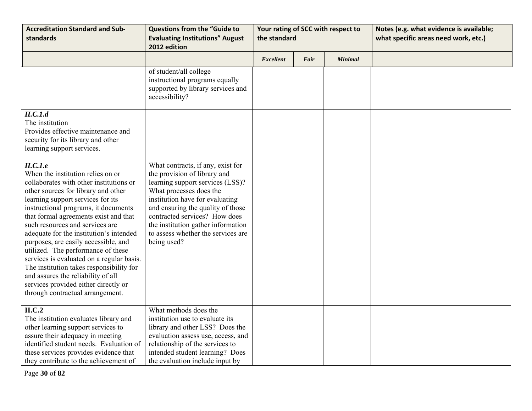| <b>Accreditation Standard and Sub-</b><br>standards                                                                                                                                                                                                                                                                                                                                                                                                                                                                                                                                                                          | <b>Questions from the "Guide to</b><br><b>Evaluating Institutions" August</b><br>2012 edition                                                                                                                                                                                                                                        | the standard     |      | Your rating of SCC with respect to | Notes (e.g. what evidence is available;<br>what specific areas need work, etc.) |
|------------------------------------------------------------------------------------------------------------------------------------------------------------------------------------------------------------------------------------------------------------------------------------------------------------------------------------------------------------------------------------------------------------------------------------------------------------------------------------------------------------------------------------------------------------------------------------------------------------------------------|--------------------------------------------------------------------------------------------------------------------------------------------------------------------------------------------------------------------------------------------------------------------------------------------------------------------------------------|------------------|------|------------------------------------|---------------------------------------------------------------------------------|
|                                                                                                                                                                                                                                                                                                                                                                                                                                                                                                                                                                                                                              |                                                                                                                                                                                                                                                                                                                                      | <b>Excellent</b> | Fair | <b>Minimal</b>                     |                                                                                 |
|                                                                                                                                                                                                                                                                                                                                                                                                                                                                                                                                                                                                                              | of student/all college<br>instructional programs equally<br>supported by library services and<br>accessibility?                                                                                                                                                                                                                      |                  |      |                                    |                                                                                 |
| II.C.I.d<br>The institution<br>Provides effective maintenance and<br>security for its library and other<br>learning support services.                                                                                                                                                                                                                                                                                                                                                                                                                                                                                        |                                                                                                                                                                                                                                                                                                                                      |                  |      |                                    |                                                                                 |
| II.C.I.e<br>When the institution relies on or<br>collaborates with other institutions or<br>other sources for library and other<br>learning support services for its<br>instructional programs, it documents<br>that formal agreements exist and that<br>such resources and services are<br>adequate for the institution's intended<br>purposes, are easily accessible, and<br>utilized. The performance of these<br>services is evaluated on a regular basis.<br>The institution takes responsibility for<br>and assures the reliability of all<br>services provided either directly or<br>through contractual arrangement. | What contracts, if any, exist for<br>the provision of library and<br>learning support services (LSS)?<br>What processes does the<br>institution have for evaluating<br>and ensuring the quality of those<br>contracted services? How does<br>the institution gather information<br>to assess whether the services are<br>being used? |                  |      |                                    |                                                                                 |
| ILC.2<br>The institution evaluates library and<br>other learning support services to<br>assure their adequacy in meeting<br>identified student needs. Evaluation of<br>these services provides evidence that<br>they contribute to the achievement of                                                                                                                                                                                                                                                                                                                                                                        | What methods does the<br>institution use to evaluate its<br>library and other LSS? Does the<br>evaluation assess use, access, and<br>relationship of the services to<br>intended student learning? Does<br>the evaluation include input by                                                                                           |                  |      |                                    |                                                                                 |

Page **30** of **82**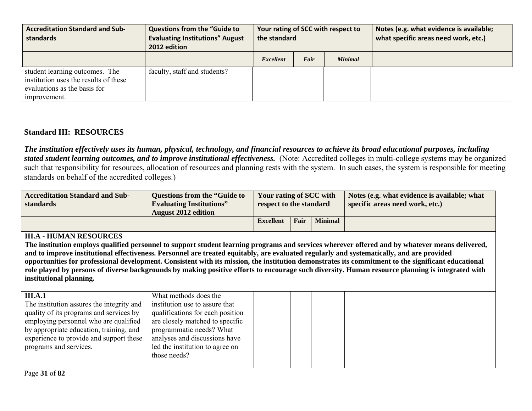| <b>Accreditation Standard and Sub-</b><br>standards                                                                     | <b>Questions from the "Guide to</b><br><b>Evaluating Institutions" August</b><br>2012 edition | the standard     |      | Your rating of SCC with respect to | Notes (e.g. what evidence is available;<br>what specific areas need work, etc.) |
|-------------------------------------------------------------------------------------------------------------------------|-----------------------------------------------------------------------------------------------|------------------|------|------------------------------------|---------------------------------------------------------------------------------|
|                                                                                                                         |                                                                                               | <b>Excellent</b> | Fair | <b>Minimal</b>                     |                                                                                 |
| student learning outcomes. The<br>institution uses the results of these<br>evaluations as the basis for<br>improvement. | faculty, staff and students?                                                                  |                  |      |                                    |                                                                                 |

# **Standard III: RESOURCES**

*The institution effectively uses its human, physical, technology, and financial resources to achieve its broad educational purposes, including stated student learning outcomes, and to improve institutional effectiveness.* (Note: Accredited colleges in multi-college systems may be organized such that responsibility for resources, allocation of resources and planning rests with the system. In such cases, the system is responsible for meeting standards on behalf of the accredited colleges.)

| <b>Accreditation Standard and Sub-</b><br>standards | <b>Questions from the "Guide to</b><br><b>Evaluating Institutions"</b><br><b>August 2012 edition</b> | Your rating of SCC with<br>respect to the standard |      |                | Notes (e.g. what evidence is available; what<br>specific areas need work, etc.) |
|-----------------------------------------------------|------------------------------------------------------------------------------------------------------|----------------------------------------------------|------|----------------|---------------------------------------------------------------------------------|
|                                                     |                                                                                                      | <b>Excellent</b>                                   | Fair | <b>Minimal</b> |                                                                                 |

#### **III.A - HUMAN RESOURCES**

**The institution employs qualified personnel to support student learning programs and services wherever offered and by whatever means delivered, and to improve institutional effectiveness. Personnel are treated equitably, are evaluated regularly and systematically, and are provided opportunities for professional development. Consistent with its mission, the institution demonstrates its commitment to the significant educational role played by persons of diverse backgrounds by making positive efforts to encourage such diversity. Human resource planning is integrated with institutional planning.** 

| <b>III.A.1</b>                            | What methods does the            |  |  |
|-------------------------------------------|----------------------------------|--|--|
| The institution assures the integrity and | institution use to assure that   |  |  |
| quality of its programs and services by   | qualifications for each position |  |  |
| employing personnel who are qualified     | are closely matched to specific  |  |  |
| by appropriate education, training, and   | programmatic needs? What         |  |  |
| experience to provide and support these   | analyses and discussions have    |  |  |
| programs and services.                    | led the institution to agree on  |  |  |
|                                           | those needs?                     |  |  |
|                                           |                                  |  |  |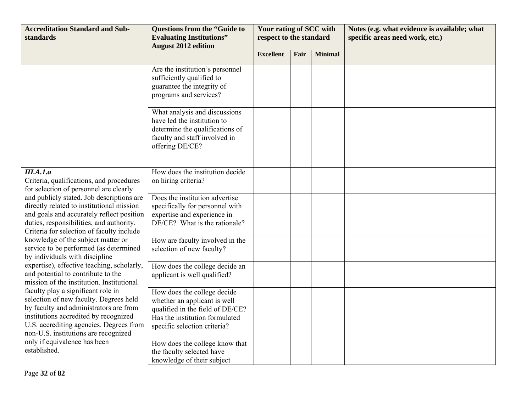| <b>Accreditation Standard and Sub-</b><br>standards                                                                                                                                                                                                | <b>Questions from the "Guide to</b><br><b>Evaluating Institutions"</b><br><b>August 2012 edition</b>                                                              | Your rating of SCC with<br>respect to the standard |      |                | Notes (e.g. what evidence is available; what<br>specific areas need work, etc.) |
|----------------------------------------------------------------------------------------------------------------------------------------------------------------------------------------------------------------------------------------------------|-------------------------------------------------------------------------------------------------------------------------------------------------------------------|----------------------------------------------------|------|----------------|---------------------------------------------------------------------------------|
|                                                                                                                                                                                                                                                    |                                                                                                                                                                   | <b>Excellent</b>                                   | Fair | <b>Minimal</b> |                                                                                 |
|                                                                                                                                                                                                                                                    | Are the institution's personnel<br>sufficiently qualified to<br>guarantee the integrity of<br>programs and services?                                              |                                                    |      |                |                                                                                 |
|                                                                                                                                                                                                                                                    | What analysis and discussions<br>have led the institution to<br>determine the qualifications of<br>faculty and staff involved in<br>offering DE/CE?               |                                                    |      |                |                                                                                 |
| III.A.1.a<br>Criteria, qualifications, and procedures<br>for selection of personnel are clearly                                                                                                                                                    | How does the institution decide<br>on hiring criteria?                                                                                                            |                                                    |      |                |                                                                                 |
| and publicly stated. Job descriptions are<br>directly related to institutional mission<br>and goals and accurately reflect position<br>duties, responsibilities, and authority.<br>Criteria for selection of faculty include                       | Does the institution advertise<br>specifically for personnel with<br>expertise and experience in<br>DE/CE? What is the rationale?                                 |                                                    |      |                |                                                                                 |
| knowledge of the subject matter or<br>service to be performed (as determined<br>by individuals with discipline                                                                                                                                     | How are faculty involved in the<br>selection of new faculty?                                                                                                      |                                                    |      |                |                                                                                 |
| expertise), effective teaching, scholarly,<br>and potential to contribute to the<br>mission of the institution. Institutional                                                                                                                      | How does the college decide an<br>applicant is well qualified?                                                                                                    |                                                    |      |                |                                                                                 |
| faculty play a significant role in<br>selection of new faculty. Degrees held<br>by faculty and administrators are from<br>institutions accredited by recognized<br>U.S. accrediting agencies. Degrees from<br>non-U.S. institutions are recognized | How does the college decide<br>whether an applicant is well<br>qualified in the field of DE/CE?<br>Has the institution formulated<br>specific selection criteria? |                                                    |      |                |                                                                                 |
| only if equivalence has been<br>established.                                                                                                                                                                                                       | How does the college know that<br>the faculty selected have<br>knowledge of their subject                                                                         |                                                    |      |                |                                                                                 |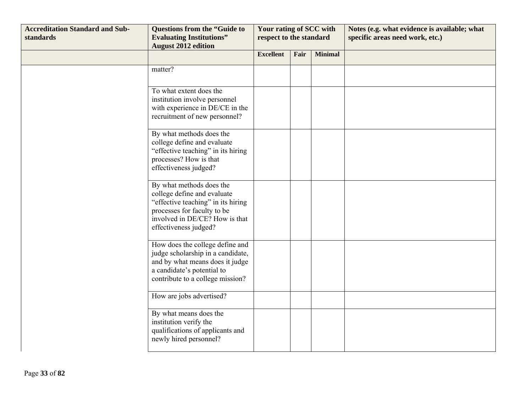| <b>Accreditation Standard and Sub-</b><br>standards | <b>Questions from the "Guide to</b><br><b>Evaluating Institutions"</b><br><b>August 2012 edition</b>                                                                                    | Your rating of SCC with<br>respect to the standard |      |                | Notes (e.g. what evidence is available; what<br>specific areas need work, etc.) |
|-----------------------------------------------------|-----------------------------------------------------------------------------------------------------------------------------------------------------------------------------------------|----------------------------------------------------|------|----------------|---------------------------------------------------------------------------------|
|                                                     |                                                                                                                                                                                         | <b>Excellent</b>                                   | Fair | <b>Minimal</b> |                                                                                 |
|                                                     | matter?                                                                                                                                                                                 |                                                    |      |                |                                                                                 |
|                                                     | To what extent does the<br>institution involve personnel<br>with experience in DE/CE in the<br>recruitment of new personnel?                                                            |                                                    |      |                |                                                                                 |
|                                                     | By what methods does the<br>college define and evaluate<br>"effective teaching" in its hiring<br>processes? How is that<br>effectiveness judged?                                        |                                                    |      |                |                                                                                 |
|                                                     | By what methods does the<br>college define and evaluate<br>"effective teaching" in its hiring<br>processes for faculty to be<br>involved in DE/CE? How is that<br>effectiveness judged? |                                                    |      |                |                                                                                 |
|                                                     | How does the college define and<br>judge scholarship in a candidate,<br>and by what means does it judge<br>a candidate's potential to<br>contribute to a college mission?               |                                                    |      |                |                                                                                 |
|                                                     | How are jobs advertised?                                                                                                                                                                |                                                    |      |                |                                                                                 |
|                                                     | By what means does the<br>institution verify the<br>qualifications of applicants and<br>newly hired personnel?                                                                          |                                                    |      |                |                                                                                 |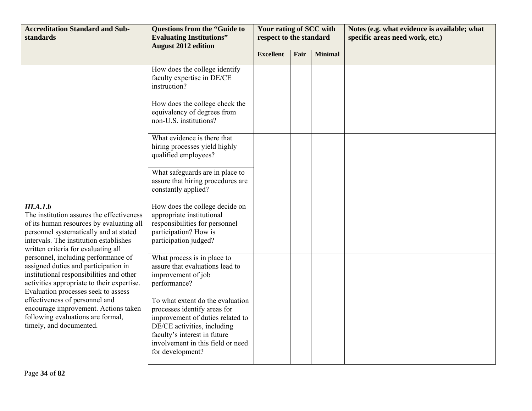| <b>Accreditation Standard and Sub-</b><br>standards                                                                                                                                                                                                                                                                                                                                                                                                                                                                                                                                     | <b>Questions from the "Guide to</b><br><b>Evaluating Institutions"</b><br><b>August 2012 edition</b>                                                                                                                         | Your rating of SCC with<br>respect to the standard |      |                | Notes (e.g. what evidence is available; what<br>specific areas need work, etc.) |
|-----------------------------------------------------------------------------------------------------------------------------------------------------------------------------------------------------------------------------------------------------------------------------------------------------------------------------------------------------------------------------------------------------------------------------------------------------------------------------------------------------------------------------------------------------------------------------------------|------------------------------------------------------------------------------------------------------------------------------------------------------------------------------------------------------------------------------|----------------------------------------------------|------|----------------|---------------------------------------------------------------------------------|
|                                                                                                                                                                                                                                                                                                                                                                                                                                                                                                                                                                                         |                                                                                                                                                                                                                              | <b>Excellent</b>                                   | Fair | <b>Minimal</b> |                                                                                 |
|                                                                                                                                                                                                                                                                                                                                                                                                                                                                                                                                                                                         | How does the college identify<br>faculty expertise in DE/CE<br>instruction?                                                                                                                                                  |                                                    |      |                |                                                                                 |
|                                                                                                                                                                                                                                                                                                                                                                                                                                                                                                                                                                                         | How does the college check the<br>equivalency of degrees from<br>non-U.S. institutions?                                                                                                                                      |                                                    |      |                |                                                                                 |
|                                                                                                                                                                                                                                                                                                                                                                                                                                                                                                                                                                                         | What evidence is there that<br>hiring processes yield highly<br>qualified employees?                                                                                                                                         |                                                    |      |                |                                                                                 |
|                                                                                                                                                                                                                                                                                                                                                                                                                                                                                                                                                                                         | What safeguards are in place to<br>assure that hiring procedures are<br>constantly applied?                                                                                                                                  |                                                    |      |                |                                                                                 |
| III.A.1.b<br>The institution assures the effectiveness<br>of its human resources by evaluating all<br>personnel systematically and at stated<br>intervals. The institution establishes<br>written criteria for evaluating all<br>personnel, including performance of<br>assigned duties and participation in<br>institutional responsibilities and other<br>activities appropriate to their expertise.<br>Evaluation processes seek to assess<br>effectiveness of personnel and<br>encourage improvement. Actions taken<br>following evaluations are formal,<br>timely, and documented. | How does the college decide on<br>appropriate institutional<br>responsibilities for personnel<br>participation? How is<br>participation judged?                                                                              |                                                    |      |                |                                                                                 |
|                                                                                                                                                                                                                                                                                                                                                                                                                                                                                                                                                                                         | What process is in place to<br>assure that evaluations lead to<br>improvement of job<br>performance?                                                                                                                         |                                                    |      |                |                                                                                 |
|                                                                                                                                                                                                                                                                                                                                                                                                                                                                                                                                                                                         | To what extent do the evaluation<br>processes identify areas for<br>improvement of duties related to<br>DE/CE activities, including<br>faculty's interest in future<br>involvement in this field or need<br>for development? |                                                    |      |                |                                                                                 |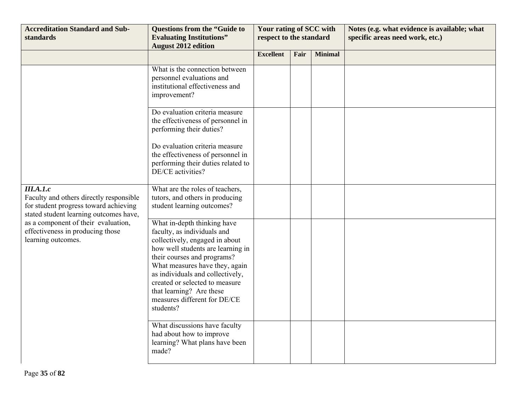| <b>Accreditation Standard and Sub-</b><br>standards                                                                                                                                                                                      | <b>Questions from the "Guide to</b><br><b>Evaluating Institutions"</b><br><b>August 2012 edition</b>                                                                                                                                                                                                                                              | Your rating of SCC with<br>respect to the standard |      |                | Notes (e.g. what evidence is available; what<br>specific areas need work, etc.) |
|------------------------------------------------------------------------------------------------------------------------------------------------------------------------------------------------------------------------------------------|---------------------------------------------------------------------------------------------------------------------------------------------------------------------------------------------------------------------------------------------------------------------------------------------------------------------------------------------------|----------------------------------------------------|------|----------------|---------------------------------------------------------------------------------|
|                                                                                                                                                                                                                                          |                                                                                                                                                                                                                                                                                                                                                   | <b>Excellent</b>                                   | Fair | <b>Minimal</b> |                                                                                 |
|                                                                                                                                                                                                                                          | What is the connection between<br>personnel evaluations and<br>institutional effectiveness and<br>improvement?                                                                                                                                                                                                                                    |                                                    |      |                |                                                                                 |
|                                                                                                                                                                                                                                          | Do evaluation criteria measure<br>the effectiveness of personnel in<br>performing their duties?                                                                                                                                                                                                                                                   |                                                    |      |                |                                                                                 |
|                                                                                                                                                                                                                                          | Do evaluation criteria measure<br>the effectiveness of personnel in<br>performing their duties related to<br>DE/CE activities?                                                                                                                                                                                                                    |                                                    |      |                |                                                                                 |
| III.A.1.c<br>Faculty and others directly responsible<br>for student progress toward achieving<br>stated student learning outcomes have,<br>as a component of their evaluation,<br>effectiveness in producing those<br>learning outcomes. | What are the roles of teachers,<br>tutors, and others in producing<br>student learning outcomes?                                                                                                                                                                                                                                                  |                                                    |      |                |                                                                                 |
|                                                                                                                                                                                                                                          | What in-depth thinking have<br>faculty, as individuals and<br>collectively, engaged in about<br>how well students are learning in<br>their courses and programs?<br>What measures have they, again<br>as individuals and collectively,<br>created or selected to measure<br>that learning? Are these<br>measures different for DE/CE<br>students? |                                                    |      |                |                                                                                 |
|                                                                                                                                                                                                                                          | What discussions have faculty<br>had about how to improve<br>learning? What plans have been<br>made?                                                                                                                                                                                                                                              |                                                    |      |                |                                                                                 |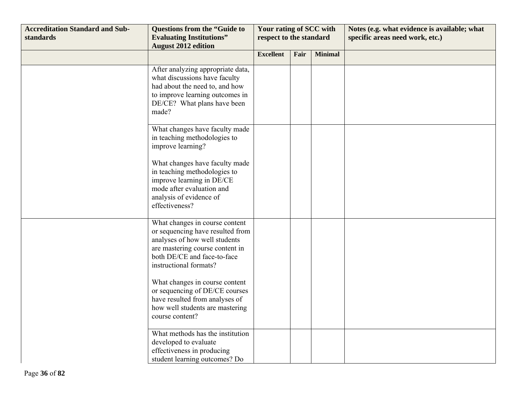| <b>Accreditation Standard and Sub-</b><br>standards | <b>Questions from the "Guide to</b><br><b>Evaluating Institutions"</b><br><b>August 2012 edition</b>                                                                                                                                                                                                                                                        | Your rating of SCC with<br>respect to the standard |      |                | Notes (e.g. what evidence is available; what<br>specific areas need work, etc.) |
|-----------------------------------------------------|-------------------------------------------------------------------------------------------------------------------------------------------------------------------------------------------------------------------------------------------------------------------------------------------------------------------------------------------------------------|----------------------------------------------------|------|----------------|---------------------------------------------------------------------------------|
|                                                     |                                                                                                                                                                                                                                                                                                                                                             | <b>Excellent</b>                                   | Fair | <b>Minimal</b> |                                                                                 |
|                                                     | After analyzing appropriate data,<br>what discussions have faculty<br>had about the need to, and how<br>to improve learning outcomes in<br>DE/CE? What plans have been<br>made?                                                                                                                                                                             |                                                    |      |                |                                                                                 |
|                                                     | What changes have faculty made<br>in teaching methodologies to<br>improve learning?                                                                                                                                                                                                                                                                         |                                                    |      |                |                                                                                 |
|                                                     | What changes have faculty made<br>in teaching methodologies to<br>improve learning in DE/CE<br>mode after evaluation and<br>analysis of evidence of<br>effectiveness?                                                                                                                                                                                       |                                                    |      |                |                                                                                 |
|                                                     | What changes in course content<br>or sequencing have resulted from<br>analyses of how well students<br>are mastering course content in<br>both DE/CE and face-to-face<br>instructional formats?<br>What changes in course content<br>or sequencing of DE/CE courses<br>have resulted from analyses of<br>how well students are mastering<br>course content? |                                                    |      |                |                                                                                 |
|                                                     | What methods has the institution<br>developed to evaluate<br>effectiveness in producing<br>student learning outcomes? Do                                                                                                                                                                                                                                    |                                                    |      |                |                                                                                 |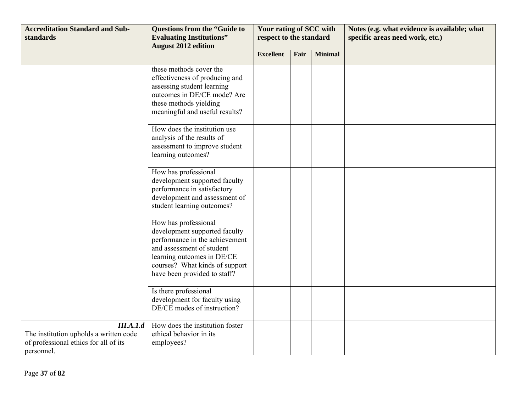| <b>Accreditation Standard and Sub-</b><br>standards                                                        | <b>Questions from the "Guide to</b><br><b>Evaluating Institutions"</b><br><b>August 2012 edition</b>                                                                                                                 | Your rating of SCC with<br>respect to the standard |      |                | Notes (e.g. what evidence is available; what<br>specific areas need work, etc.) |
|------------------------------------------------------------------------------------------------------------|----------------------------------------------------------------------------------------------------------------------------------------------------------------------------------------------------------------------|----------------------------------------------------|------|----------------|---------------------------------------------------------------------------------|
|                                                                                                            |                                                                                                                                                                                                                      | <b>Excellent</b>                                   | Fair | <b>Minimal</b> |                                                                                 |
|                                                                                                            | these methods cover the<br>effectiveness of producing and<br>assessing student learning<br>outcomes in DE/CE mode? Are<br>these methods yielding<br>meaningful and useful results?                                   |                                                    |      |                |                                                                                 |
|                                                                                                            | How does the institution use<br>analysis of the results of<br>assessment to improve student<br>learning outcomes?                                                                                                    |                                                    |      |                |                                                                                 |
|                                                                                                            | How has professional<br>development supported faculty<br>performance in satisfactory<br>development and assessment of<br>student learning outcomes?                                                                  |                                                    |      |                |                                                                                 |
|                                                                                                            | How has professional<br>development supported faculty<br>performance in the achievement<br>and assessment of student<br>learning outcomes in DE/CE<br>courses? What kinds of support<br>have been provided to staff? |                                                    |      |                |                                                                                 |
|                                                                                                            | Is there professional<br>development for faculty using<br>DE/CE modes of instruction?                                                                                                                                |                                                    |      |                |                                                                                 |
| III.A.1.d<br>The institution upholds a written code<br>of professional ethics for all of its<br>personnel. | How does the institution foster<br>ethical behavior in its<br>employees?                                                                                                                                             |                                                    |      |                |                                                                                 |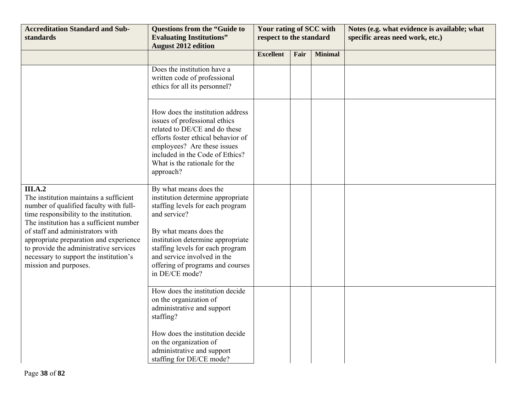| <b>Accreditation Standard and Sub-</b><br>standards                                                                                                                                                                                                                                                                                                                                 | <b>Questions from the "Guide to</b><br><b>Evaluating Institutions"</b><br><b>August 2012 edition</b>                                                                                                                                                                                                    | Your rating of SCC with<br>respect to the standard |      |                | Notes (e.g. what evidence is available; what<br>specific areas need work, etc.) |
|-------------------------------------------------------------------------------------------------------------------------------------------------------------------------------------------------------------------------------------------------------------------------------------------------------------------------------------------------------------------------------------|---------------------------------------------------------------------------------------------------------------------------------------------------------------------------------------------------------------------------------------------------------------------------------------------------------|----------------------------------------------------|------|----------------|---------------------------------------------------------------------------------|
|                                                                                                                                                                                                                                                                                                                                                                                     |                                                                                                                                                                                                                                                                                                         | <b>Excellent</b>                                   | Fair | <b>Minimal</b> |                                                                                 |
|                                                                                                                                                                                                                                                                                                                                                                                     | Does the institution have a<br>written code of professional<br>ethics for all its personnel?                                                                                                                                                                                                            |                                                    |      |                |                                                                                 |
|                                                                                                                                                                                                                                                                                                                                                                                     | How does the institution address<br>issues of professional ethics<br>related to DE/CE and do these<br>efforts foster ethical behavior of<br>employees? Are these issues<br>included in the Code of Ethics?<br>What is the rationale for the<br>approach?                                                |                                                    |      |                |                                                                                 |
| <b>III.A.2</b><br>The institution maintains a sufficient<br>number of qualified faculty with full-<br>time responsibility to the institution.<br>The institution has a sufficient number<br>of staff and administrators with<br>appropriate preparation and experience<br>to provide the administrative services<br>necessary to support the institution's<br>mission and purposes. | By what means does the<br>institution determine appropriate<br>staffing levels for each program<br>and service?<br>By what means does the<br>institution determine appropriate<br>staffing levels for each program<br>and service involved in the<br>offering of programs and courses<br>in DE/CE mode? |                                                    |      |                |                                                                                 |
|                                                                                                                                                                                                                                                                                                                                                                                     | How does the institution decide<br>on the organization of<br>administrative and support<br>staffing?<br>How does the institution decide<br>on the organization of<br>administrative and support<br>staffing for DE/CE mode?                                                                             |                                                    |      |                |                                                                                 |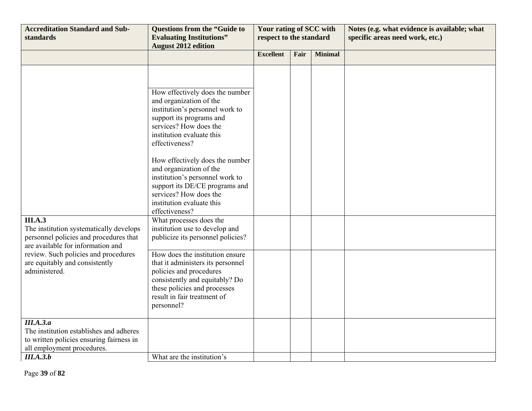| <b>Accreditation Standard and Sub-</b><br>standards                                                                            | <b>Questions from the "Guide to</b><br><b>Evaluating Institutions"</b><br><b>August 2012 edition</b>                                                                                                                                                                                                                                                                                                                                                                        | Your rating of SCC with<br>respect to the standard |      |                | Notes (e.g. what evidence is available; what<br>specific areas need work, etc.) |
|--------------------------------------------------------------------------------------------------------------------------------|-----------------------------------------------------------------------------------------------------------------------------------------------------------------------------------------------------------------------------------------------------------------------------------------------------------------------------------------------------------------------------------------------------------------------------------------------------------------------------|----------------------------------------------------|------|----------------|---------------------------------------------------------------------------------|
|                                                                                                                                |                                                                                                                                                                                                                                                                                                                                                                                                                                                                             | <b>Excellent</b>                                   | Fair | <b>Minimal</b> |                                                                                 |
| <b>III.A.3</b><br>The institution systematically develops                                                                      | How effectively does the number<br>and organization of the<br>institution's personnel work to<br>support its programs and<br>services? How does the<br>institution evaluate this<br>effectiveness?<br>How effectively does the number<br>and organization of the<br>institution's personnel work to<br>support its DE/CE programs and<br>services? How does the<br>institution evaluate this<br>effectiveness?<br>What processes does the<br>institution use to develop and |                                                    |      |                |                                                                                 |
| personnel policies and procedures that<br>are available for information and                                                    | publicize its personnel policies?                                                                                                                                                                                                                                                                                                                                                                                                                                           |                                                    |      |                |                                                                                 |
| review. Such policies and procedures<br>are equitably and consistently<br>administered.                                        | How does the institution ensure<br>that it administers its personnel<br>policies and procedures<br>consistently and equitably? Do<br>these policies and processes<br>result in fair treatment of<br>personnel?                                                                                                                                                                                                                                                              |                                                    |      |                |                                                                                 |
| III.A.3.a<br>The institution establishes and adheres<br>to written policies ensuring fairness in<br>all employment procedures. |                                                                                                                                                                                                                                                                                                                                                                                                                                                                             |                                                    |      |                |                                                                                 |
| III.A.3.b                                                                                                                      | What are the institution's                                                                                                                                                                                                                                                                                                                                                                                                                                                  |                                                    |      |                |                                                                                 |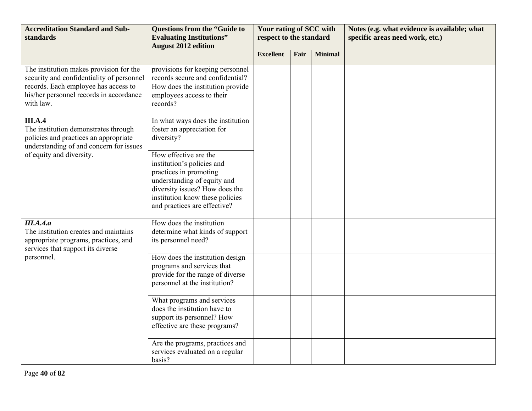| <b>Accreditation Standard and Sub-</b><br>standards                                                                                                                                  | <b>Questions from the "Guide to</b><br><b>Evaluating Institutions"</b><br><b>August 2012 edition</b>                                                                                                              | Your rating of SCC with<br>respect to the standard |      |                | Notes (e.g. what evidence is available; what<br>specific areas need work, etc.) |
|--------------------------------------------------------------------------------------------------------------------------------------------------------------------------------------|-------------------------------------------------------------------------------------------------------------------------------------------------------------------------------------------------------------------|----------------------------------------------------|------|----------------|---------------------------------------------------------------------------------|
|                                                                                                                                                                                      |                                                                                                                                                                                                                   | <b>Excellent</b>                                   | Fair | <b>Minimal</b> |                                                                                 |
| The institution makes provision for the<br>security and confidentiality of personnel<br>records. Each employee has access to<br>his/her personnel records in accordance<br>with law. | provisions for keeping personnel<br>records secure and confidential?<br>How does the institution provide<br>employees access to their<br>records?                                                                 |                                                    |      |                |                                                                                 |
| <b>III.A.4</b><br>The institution demonstrates through<br>policies and practices an appropriate<br>understanding of and concern for issues                                           | In what ways does the institution<br>foster an appreciation for<br>diversity?                                                                                                                                     |                                                    |      |                |                                                                                 |
| of equity and diversity.                                                                                                                                                             | How effective are the<br>institution's policies and<br>practices in promoting<br>understanding of equity and<br>diversity issues? How does the<br>institution know these policies<br>and practices are effective? |                                                    |      |                |                                                                                 |
| III.A.4.a<br>The institution creates and maintains<br>appropriate programs, practices, and<br>services that support its diverse                                                      | How does the institution<br>determine what kinds of support<br>its personnel need?                                                                                                                                |                                                    |      |                |                                                                                 |
| personnel.                                                                                                                                                                           | How does the institution design<br>programs and services that<br>provide for the range of diverse<br>personnel at the institution?                                                                                |                                                    |      |                |                                                                                 |
|                                                                                                                                                                                      | What programs and services<br>does the institution have to<br>support its personnel? How<br>effective are these programs?                                                                                         |                                                    |      |                |                                                                                 |
|                                                                                                                                                                                      | Are the programs, practices and<br>services evaluated on a regular<br>basis?                                                                                                                                      |                                                    |      |                |                                                                                 |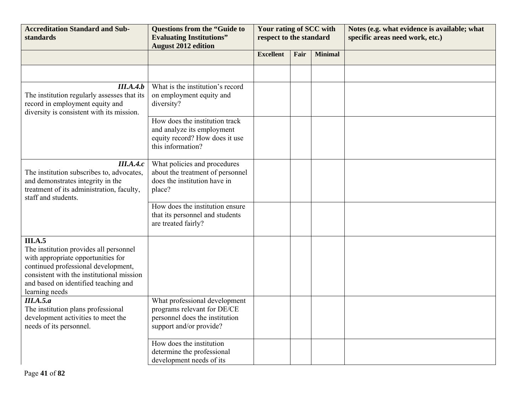| <b>Accreditation Standard and Sub-</b><br>standards                                                                                                                                                                                   | <b>Questions from the "Guide to</b><br><b>Evaluating Institutions"</b><br><b>August 2012 edition</b>                      | Your rating of SCC with<br>respect to the standard |      |                | Notes (e.g. what evidence is available; what<br>specific areas need work, etc.) |
|---------------------------------------------------------------------------------------------------------------------------------------------------------------------------------------------------------------------------------------|---------------------------------------------------------------------------------------------------------------------------|----------------------------------------------------|------|----------------|---------------------------------------------------------------------------------|
|                                                                                                                                                                                                                                       |                                                                                                                           | <b>Excellent</b>                                   | Fair | <b>Minimal</b> |                                                                                 |
|                                                                                                                                                                                                                                       |                                                                                                                           |                                                    |      |                |                                                                                 |
| III.A.4.b<br>The institution regularly assesses that its<br>record in employment equity and<br>diversity is consistent with its mission.                                                                                              | What is the institution's record<br>on employment equity and<br>diversity?                                                |                                                    |      |                |                                                                                 |
|                                                                                                                                                                                                                                       | How does the institution track<br>and analyze its employment<br>equity record? How does it use<br>this information?       |                                                    |      |                |                                                                                 |
| III.A.4.c<br>The institution subscribes to, advocates,<br>and demonstrates integrity in the<br>treatment of its administration, faculty,<br>staff and students.                                                                       | What policies and procedures<br>about the treatment of personnel<br>does the institution have in<br>place?                |                                                    |      |                |                                                                                 |
|                                                                                                                                                                                                                                       | How does the institution ensure<br>that its personnel and students<br>are treated fairly?                                 |                                                    |      |                |                                                                                 |
| III.A.5<br>The institution provides all personnel<br>with appropriate opportunities for<br>continued professional development,<br>consistent with the institutional mission<br>and based on identified teaching and<br>learning needs |                                                                                                                           |                                                    |      |                |                                                                                 |
| III.A.5.a<br>The institution plans professional<br>development activities to meet the<br>needs of its personnel.                                                                                                                      | What professional development<br>programs relevant for DE/CE<br>personnel does the institution<br>support and/or provide? |                                                    |      |                |                                                                                 |
|                                                                                                                                                                                                                                       | How does the institution<br>determine the professional<br>development needs of its                                        |                                                    |      |                |                                                                                 |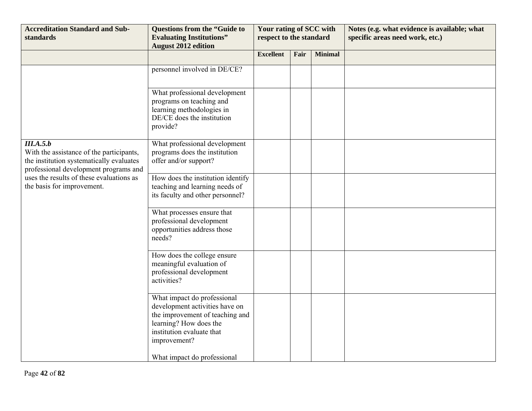| <b>Accreditation Standard and Sub-</b><br>standards                                                                                                                                                                  | <b>Questions from the "Guide to</b><br><b>Evaluating Institutions"</b><br><b>August 2012 edition</b>                                                                                                   | Your rating of SCC with<br>respect to the standard |      |                | Notes (e.g. what evidence is available; what<br>specific areas need work, etc.) |
|----------------------------------------------------------------------------------------------------------------------------------------------------------------------------------------------------------------------|--------------------------------------------------------------------------------------------------------------------------------------------------------------------------------------------------------|----------------------------------------------------|------|----------------|---------------------------------------------------------------------------------|
|                                                                                                                                                                                                                      |                                                                                                                                                                                                        | <b>Excellent</b>                                   | Fair | <b>Minimal</b> |                                                                                 |
|                                                                                                                                                                                                                      | personnel involved in DE/CE?                                                                                                                                                                           |                                                    |      |                |                                                                                 |
|                                                                                                                                                                                                                      | What professional development<br>programs on teaching and<br>learning methodologies in<br>DE/CE does the institution<br>provide?                                                                       |                                                    |      |                |                                                                                 |
| III.A.5.b<br>With the assistance of the participants,<br>the institution systematically evaluates<br>professional development programs and<br>uses the results of these evaluations as<br>the basis for improvement. | What professional development<br>programs does the institution<br>offer and/or support?                                                                                                                |                                                    |      |                |                                                                                 |
|                                                                                                                                                                                                                      | How does the institution identify<br>teaching and learning needs of<br>its faculty and other personnel?                                                                                                |                                                    |      |                |                                                                                 |
|                                                                                                                                                                                                                      | What processes ensure that<br>professional development<br>opportunities address those<br>needs?                                                                                                        |                                                    |      |                |                                                                                 |
|                                                                                                                                                                                                                      | How does the college ensure<br>meaningful evaluation of<br>professional development<br>activities?                                                                                                     |                                                    |      |                |                                                                                 |
|                                                                                                                                                                                                                      | What impact do professional<br>development activities have on<br>the improvement of teaching and<br>learning? How does the<br>institution evaluate that<br>improvement?<br>What impact do professional |                                                    |      |                |                                                                                 |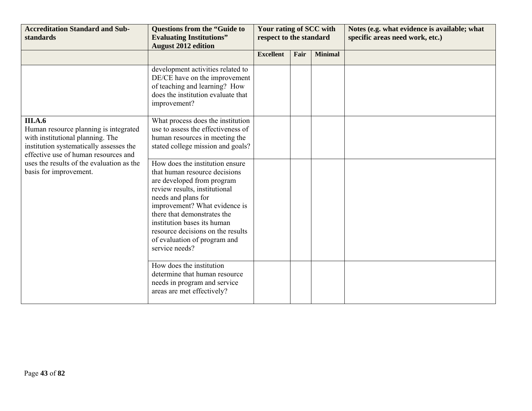| <b>Accreditation Standard and Sub-</b><br>standards                                                                                                                            | <b>Questions from the "Guide to</b><br><b>Evaluating Institutions"</b><br><b>August 2012 edition</b>                                                                                                                                                                                                                                         | Your rating of SCC with<br>respect to the standard |      |                | Notes (e.g. what evidence is available; what<br>specific areas need work, etc.) |
|--------------------------------------------------------------------------------------------------------------------------------------------------------------------------------|----------------------------------------------------------------------------------------------------------------------------------------------------------------------------------------------------------------------------------------------------------------------------------------------------------------------------------------------|----------------------------------------------------|------|----------------|---------------------------------------------------------------------------------|
|                                                                                                                                                                                |                                                                                                                                                                                                                                                                                                                                              | <b>Excellent</b>                                   | Fair | <b>Minimal</b> |                                                                                 |
|                                                                                                                                                                                | development activities related to<br>DE/CE have on the improvement<br>of teaching and learning? How<br>does the institution evaluate that<br>improvement?                                                                                                                                                                                    |                                                    |      |                |                                                                                 |
| <b>III.A.6</b><br>Human resource planning is integrated<br>with institutional planning. The<br>institution systematically assesses the<br>effective use of human resources and | What process does the institution<br>use to assess the effectiveness of<br>human resources in meeting the<br>stated college mission and goals?                                                                                                                                                                                               |                                                    |      |                |                                                                                 |
| uses the results of the evaluation as the<br>basis for improvement.                                                                                                            | How does the institution ensure<br>that human resource decisions<br>are developed from program<br>review results, institutional<br>needs and plans for<br>improvement? What evidence is<br>there that demonstrates the<br>institution bases its human<br>resource decisions on the results<br>of evaluation of program and<br>service needs? |                                                    |      |                |                                                                                 |
|                                                                                                                                                                                | How does the institution<br>determine that human resource<br>needs in program and service<br>areas are met effectively?                                                                                                                                                                                                                      |                                                    |      |                |                                                                                 |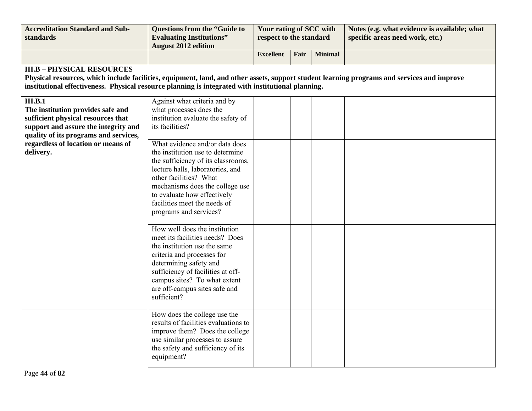| <b>Accreditation Standard and Sub-</b><br>standards                                                                                                                                                                                                                                    | <b>Questions from the "Guide to</b><br><b>Evaluating Institutions"</b><br><b>August 2012 edition</b>                                                                                                                                                                                               | Your rating of SCC with<br>respect to the standard |      |                | Notes (e.g. what evidence is available; what<br>specific areas need work, etc.) |
|----------------------------------------------------------------------------------------------------------------------------------------------------------------------------------------------------------------------------------------------------------------------------------------|----------------------------------------------------------------------------------------------------------------------------------------------------------------------------------------------------------------------------------------------------------------------------------------------------|----------------------------------------------------|------|----------------|---------------------------------------------------------------------------------|
|                                                                                                                                                                                                                                                                                        |                                                                                                                                                                                                                                                                                                    | <b>Excellent</b>                                   | Fair | <b>Minimal</b> |                                                                                 |
| <b>III.B - PHYSICAL RESOURCES</b><br>Physical resources, which include facilities, equipment, land, and other assets, support student learning programs and services and improve<br>institutional effectiveness. Physical resource planning is integrated with institutional planning. |                                                                                                                                                                                                                                                                                                    |                                                    |      |                |                                                                                 |
| III.B.1<br>The institution provides safe and<br>sufficient physical resources that<br>support and assure the integrity and<br>quality of its programs and services,                                                                                                                    | Against what criteria and by<br>what processes does the<br>institution evaluate the safety of<br>its facilities?                                                                                                                                                                                   |                                                    |      |                |                                                                                 |
| regardless of location or means of<br>delivery.                                                                                                                                                                                                                                        | What evidence and/or data does<br>the institution use to determine<br>the sufficiency of its classrooms,<br>lecture halls, laboratories, and<br>other facilities? What<br>mechanisms does the college use<br>to evaluate how effectively<br>facilities meet the needs of<br>programs and services? |                                                    |      |                |                                                                                 |
|                                                                                                                                                                                                                                                                                        | How well does the institution<br>meet its facilities needs? Does<br>the institution use the same<br>criteria and processes for<br>determining safety and<br>sufficiency of facilities at off-<br>campus sites? To what extent<br>are off-campus sites safe and<br>sufficient?                      |                                                    |      |                |                                                                                 |
|                                                                                                                                                                                                                                                                                        | How does the college use the<br>results of facilities evaluations to<br>improve them? Does the college<br>use similar processes to assure<br>the safety and sufficiency of its<br>equipment?                                                                                                       |                                                    |      |                |                                                                                 |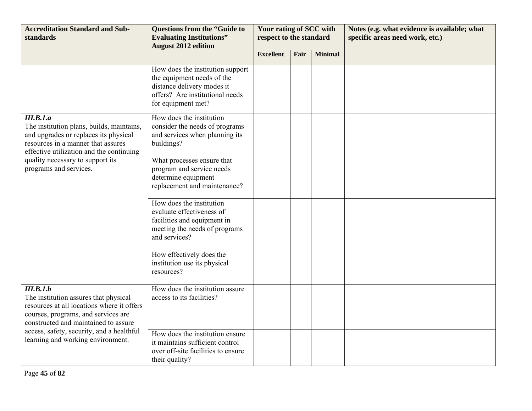| <b>Accreditation Standard and Sub-</b><br>standards                                                                                                                                                                                                               | <b>Questions from the "Guide to</b><br><b>Evaluating Institutions"</b><br><b>August 2012 edition</b>                                                  | Your rating of SCC with<br>respect to the standard |      |                | Notes (e.g. what evidence is available; what<br>specific areas need work, etc.) |
|-------------------------------------------------------------------------------------------------------------------------------------------------------------------------------------------------------------------------------------------------------------------|-------------------------------------------------------------------------------------------------------------------------------------------------------|----------------------------------------------------|------|----------------|---------------------------------------------------------------------------------|
|                                                                                                                                                                                                                                                                   |                                                                                                                                                       | <b>Excellent</b>                                   | Fair | <b>Minimal</b> |                                                                                 |
|                                                                                                                                                                                                                                                                   | How does the institution support<br>the equipment needs of the<br>distance delivery modes it<br>offers? Are institutional needs<br>for equipment met? |                                                    |      |                |                                                                                 |
| III.B.1.a<br>The institution plans, builds, maintains,<br>and upgrades or replaces its physical<br>resources in a manner that assures<br>effective utilization and the continuing<br>quality necessary to support its<br>programs and services.                   | How does the institution<br>consider the needs of programs<br>and services when planning its<br>buildings?                                            |                                                    |      |                |                                                                                 |
|                                                                                                                                                                                                                                                                   | What processes ensure that<br>program and service needs<br>determine equipment<br>replacement and maintenance?                                        |                                                    |      |                |                                                                                 |
|                                                                                                                                                                                                                                                                   | How does the institution<br>evaluate effectiveness of<br>facilities and equipment in<br>meeting the needs of programs<br>and services?                |                                                    |      |                |                                                                                 |
|                                                                                                                                                                                                                                                                   | How effectively does the<br>institution use its physical<br>resources?                                                                                |                                                    |      |                |                                                                                 |
| III.B.1.b<br>The institution assures that physical<br>resources at all locations where it offers<br>courses, programs, and services are<br>constructed and maintained to assure<br>access, safety, security, and a healthful<br>learning and working environment. | How does the institution assure<br>access to its facilities?                                                                                          |                                                    |      |                |                                                                                 |
|                                                                                                                                                                                                                                                                   | How does the institution ensure<br>it maintains sufficient control<br>over off-site facilities to ensure<br>their quality?                            |                                                    |      |                |                                                                                 |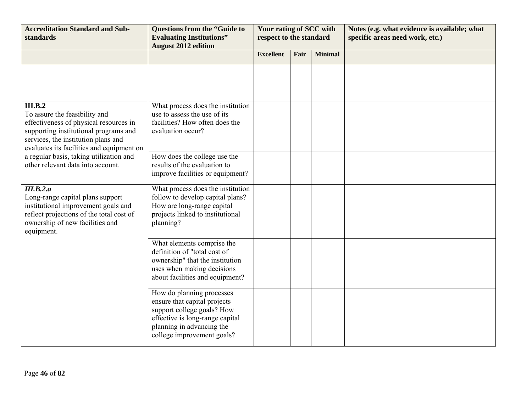| <b>Accreditation Standard and Sub-</b><br>standards                                                                                                                                                                                                                                             | <b>Questions from the "Guide to</b><br><b>Evaluating Institutions"</b><br><b>August 2012 edition</b>                                                                                  | Your rating of SCC with<br>respect to the standard |      |                | Notes (e.g. what evidence is available; what<br>specific areas need work, etc.) |
|-------------------------------------------------------------------------------------------------------------------------------------------------------------------------------------------------------------------------------------------------------------------------------------------------|---------------------------------------------------------------------------------------------------------------------------------------------------------------------------------------|----------------------------------------------------|------|----------------|---------------------------------------------------------------------------------|
|                                                                                                                                                                                                                                                                                                 |                                                                                                                                                                                       | <b>Excellent</b>                                   | Fair | <b>Minimal</b> |                                                                                 |
|                                                                                                                                                                                                                                                                                                 |                                                                                                                                                                                       |                                                    |      |                |                                                                                 |
| III.B.2<br>To assure the feasibility and<br>effectiveness of physical resources in<br>supporting institutional programs and<br>services, the institution plans and<br>evaluates its facilities and equipment on<br>a regular basis, taking utilization and<br>other relevant data into account. | What process does the institution<br>use to assess the use of its<br>facilities? How often does the<br>evaluation occur?                                                              |                                                    |      |                |                                                                                 |
|                                                                                                                                                                                                                                                                                                 | How does the college use the<br>results of the evaluation to<br>improve facilities or equipment?                                                                                      |                                                    |      |                |                                                                                 |
| III.B.2.a<br>Long-range capital plans support<br>institutional improvement goals and<br>reflect projections of the total cost of<br>ownership of new facilities and<br>equipment.                                                                                                               | What process does the institution<br>follow to develop capital plans?<br>How are long-range capital<br>projects linked to institutional<br>planning?                                  |                                                    |      |                |                                                                                 |
|                                                                                                                                                                                                                                                                                                 | What elements comprise the<br>definition of "total cost of<br>ownership" that the institution<br>uses when making decisions<br>about facilities and equipment?                        |                                                    |      |                |                                                                                 |
|                                                                                                                                                                                                                                                                                                 | How do planning processes<br>ensure that capital projects<br>support college goals? How<br>effective is long-range capital<br>planning in advancing the<br>college improvement goals? |                                                    |      |                |                                                                                 |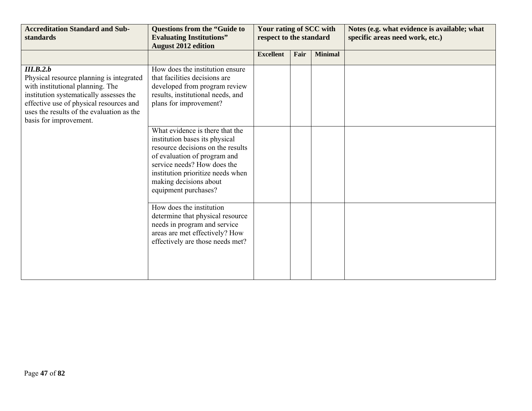| <b>Accreditation Standard and Sub-</b><br>standards                                                                                                                                                                                                    | <b>Questions from the "Guide to</b><br><b>Evaluating Institutions"</b><br><b>August 2012 edition</b>                                                                                                                                                         | Your rating of SCC with<br>respect to the standard |      |                | Notes (e.g. what evidence is available; what<br>specific areas need work, etc.) |
|--------------------------------------------------------------------------------------------------------------------------------------------------------------------------------------------------------------------------------------------------------|--------------------------------------------------------------------------------------------------------------------------------------------------------------------------------------------------------------------------------------------------------------|----------------------------------------------------|------|----------------|---------------------------------------------------------------------------------|
|                                                                                                                                                                                                                                                        |                                                                                                                                                                                                                                                              | <b>Excellent</b>                                   | Fair | <b>Minimal</b> |                                                                                 |
| III.B.2.b<br>Physical resource planning is integrated<br>with institutional planning. The<br>institution systematically assesses the<br>effective use of physical resources and<br>uses the results of the evaluation as the<br>basis for improvement. | How does the institution ensure<br>that facilities decisions are<br>developed from program review<br>results, institutional needs, and<br>plans for improvement?                                                                                             |                                                    |      |                |                                                                                 |
|                                                                                                                                                                                                                                                        | What evidence is there that the<br>institution bases its physical<br>resource decisions on the results<br>of evaluation of program and<br>service needs? How does the<br>institution prioritize needs when<br>making decisions about<br>equipment purchases? |                                                    |      |                |                                                                                 |
|                                                                                                                                                                                                                                                        | How does the institution<br>determine that physical resource<br>needs in program and service<br>areas are met effectively? How<br>effectively are those needs met?                                                                                           |                                                    |      |                |                                                                                 |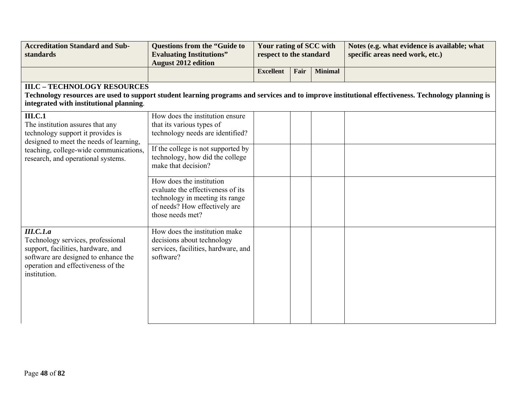| <b>Accreditation Standard and Sub-</b><br>standards                                                                                                                                                                | <b>Questions from the "Guide to</b><br><b>Evaluating Institutions"</b><br><b>August 2012 edition</b>                                                  | Your rating of SCC with<br>respect to the standard |      |                | Notes (e.g. what evidence is available; what<br>specific areas need work, etc.)                                                                    |
|--------------------------------------------------------------------------------------------------------------------------------------------------------------------------------------------------------------------|-------------------------------------------------------------------------------------------------------------------------------------------------------|----------------------------------------------------|------|----------------|----------------------------------------------------------------------------------------------------------------------------------------------------|
|                                                                                                                                                                                                                    |                                                                                                                                                       | <b>Excellent</b>                                   | Fair | <b>Minimal</b> |                                                                                                                                                    |
| <b>III.C - TECHNOLOGY RESOURCES</b><br>integrated with institutional planning.                                                                                                                                     |                                                                                                                                                       |                                                    |      |                | Technology resources are used to support student learning programs and services and to improve institutional effectiveness. Technology planning is |
| <b>III.C.1</b><br>The institution assures that any<br>technology support it provides is<br>designed to meet the needs of learning,<br>teaching, college-wide communications,<br>research, and operational systems. | How does the institution ensure<br>that its various types of<br>technology needs are identified?                                                      |                                                    |      |                |                                                                                                                                                    |
|                                                                                                                                                                                                                    | If the college is not supported by<br>technology, how did the college<br>make that decision?                                                          |                                                    |      |                |                                                                                                                                                    |
|                                                                                                                                                                                                                    | How does the institution<br>evaluate the effectiveness of its<br>technology in meeting its range<br>of needs? How effectively are<br>those needs met? |                                                    |      |                |                                                                                                                                                    |
| III.C.1.a<br>Technology services, professional<br>support, facilities, hardware, and<br>software are designed to enhance the<br>operation and effectiveness of the<br>institution.                                 | How does the institution make<br>decisions about technology<br>services, facilities, hardware, and<br>software?                                       |                                                    |      |                |                                                                                                                                                    |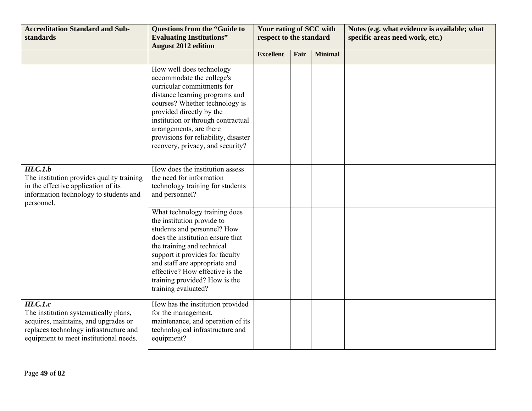| <b>Accreditation Standard and Sub-</b><br>standards                                                                                                                            | <b>Questions from the "Guide to</b><br><b>Evaluating Institutions"</b><br><b>August 2012 edition</b>                                                                                                                                                                                                                             | Your rating of SCC with<br>respect to the standard |      |                | Notes (e.g. what evidence is available; what<br>specific areas need work, etc.) |
|--------------------------------------------------------------------------------------------------------------------------------------------------------------------------------|----------------------------------------------------------------------------------------------------------------------------------------------------------------------------------------------------------------------------------------------------------------------------------------------------------------------------------|----------------------------------------------------|------|----------------|---------------------------------------------------------------------------------|
|                                                                                                                                                                                |                                                                                                                                                                                                                                                                                                                                  | <b>Excellent</b>                                   | Fair | <b>Minimal</b> |                                                                                 |
|                                                                                                                                                                                | How well does technology<br>accommodate the college's<br>curricular commitments for<br>distance learning programs and<br>courses? Whether technology is<br>provided directly by the<br>institution or through contractual<br>arrangements, are there<br>provisions for reliability, disaster<br>recovery, privacy, and security? |                                                    |      |                |                                                                                 |
| III.C.1.b<br>The institution provides quality training<br>in the effective application of its<br>information technology to students and<br>personnel.                          | How does the institution assess<br>the need for information<br>technology training for students<br>and personnel?                                                                                                                                                                                                                |                                                    |      |                |                                                                                 |
|                                                                                                                                                                                | What technology training does<br>the institution provide to<br>students and personnel? How<br>does the institution ensure that<br>the training and technical<br>support it provides for faculty<br>and staff are appropriate and<br>effective? How effective is the<br>training provided? How is the<br>training evaluated?      |                                                    |      |                |                                                                                 |
| III.C.I.c<br>The institution systematically plans,<br>acquires, maintains, and upgrades or<br>replaces technology infrastructure and<br>equipment to meet institutional needs. | How has the institution provided<br>for the management,<br>maintenance, and operation of its<br>technological infrastructure and<br>equipment?                                                                                                                                                                                   |                                                    |      |                |                                                                                 |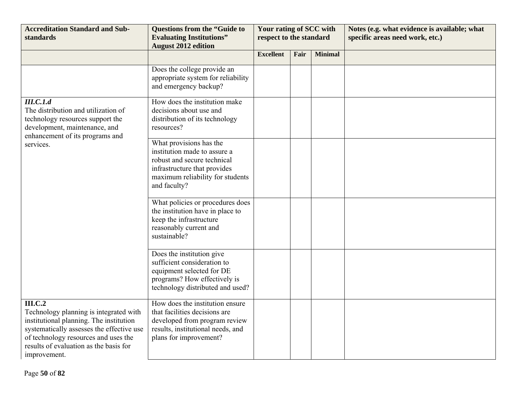| <b>Accreditation Standard and Sub-</b><br>standards                                                                                                                                                                                                | <b>Questions from the "Guide to</b><br><b>Evaluating Institutions"</b><br><b>August 2012 edition</b>                                                                       | Your rating of SCC with<br>respect to the standard |      |                | Notes (e.g. what evidence is available; what<br>specific areas need work, etc.) |
|----------------------------------------------------------------------------------------------------------------------------------------------------------------------------------------------------------------------------------------------------|----------------------------------------------------------------------------------------------------------------------------------------------------------------------------|----------------------------------------------------|------|----------------|---------------------------------------------------------------------------------|
|                                                                                                                                                                                                                                                    |                                                                                                                                                                            | <b>Excellent</b>                                   | Fair | <b>Minimal</b> |                                                                                 |
|                                                                                                                                                                                                                                                    | Does the college provide an<br>appropriate system for reliability<br>and emergency backup?                                                                                 |                                                    |      |                |                                                                                 |
| III.C.1.d<br>The distribution and utilization of<br>technology resources support the<br>development, maintenance, and<br>enhancement of its programs and<br>services.                                                                              | How does the institution make<br>decisions about use and<br>distribution of its technology<br>resources?                                                                   |                                                    |      |                |                                                                                 |
|                                                                                                                                                                                                                                                    | What provisions has the<br>institution made to assure a<br>robust and secure technical<br>infrastructure that provides<br>maximum reliability for students<br>and faculty? |                                                    |      |                |                                                                                 |
|                                                                                                                                                                                                                                                    | What policies or procedures does<br>the institution have in place to<br>keep the infrastructure<br>reasonably current and<br>sustainable?                                  |                                                    |      |                |                                                                                 |
|                                                                                                                                                                                                                                                    | Does the institution give<br>sufficient consideration to<br>equipment selected for DE<br>programs? How effectively is<br>technology distributed and used?                  |                                                    |      |                |                                                                                 |
| <b>III.C.2</b><br>Technology planning is integrated with<br>institutional planning. The institution<br>systematically assesses the effective use<br>of technology resources and uses the<br>results of evaluation as the basis for<br>improvement. | How does the institution ensure<br>that facilities decisions are<br>developed from program review<br>results, institutional needs, and<br>plans for improvement?           |                                                    |      |                |                                                                                 |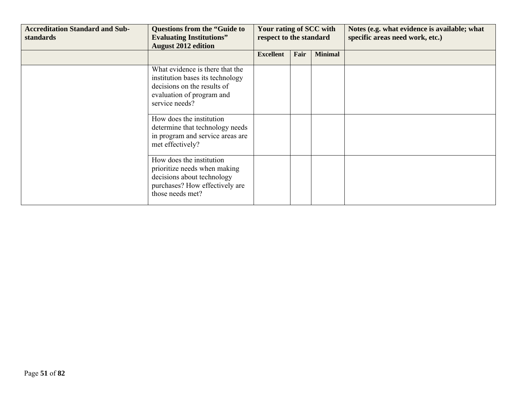| <b>Accreditation Standard and Sub-</b><br>standards | <b>Questions from the "Guide to</b><br><b>Evaluating Institutions"</b><br><b>August 2012 edition</b>                                              | Your rating of SCC with<br>respect to the standard |      |                | Notes (e.g. what evidence is available; what<br>specific areas need work, etc.) |
|-----------------------------------------------------|---------------------------------------------------------------------------------------------------------------------------------------------------|----------------------------------------------------|------|----------------|---------------------------------------------------------------------------------|
|                                                     |                                                                                                                                                   | <b>Excellent</b>                                   | Fair | <b>Minimal</b> |                                                                                 |
|                                                     | What evidence is there that the<br>institution bases its technology<br>decisions on the results of<br>evaluation of program and<br>service needs? |                                                    |      |                |                                                                                 |
|                                                     | How does the institution<br>determine that technology needs<br>in program and service areas are<br>met effectively?                               |                                                    |      |                |                                                                                 |
|                                                     | How does the institution<br>prioritize needs when making<br>decisions about technology<br>purchases? How effectively are<br>those needs met?      |                                                    |      |                |                                                                                 |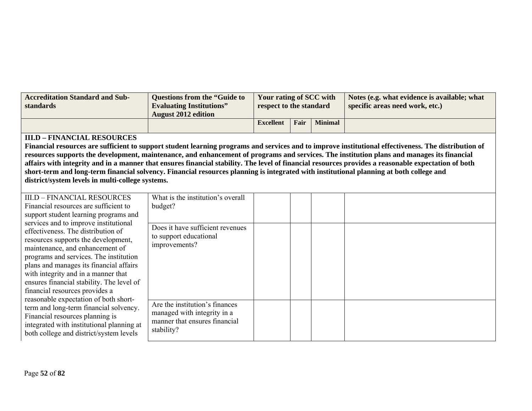| <b>Accreditation Standard and Sub-</b><br>standards | Questions from the "Guide to<br><b>Evaluating Institutions"</b><br><b>August 2012 edition</b> | Your rating of SCC with<br>respect to the standard |      |                | Notes (e.g. what evidence is available; what<br>specific areas need work, etc. |
|-----------------------------------------------------|-----------------------------------------------------------------------------------------------|----------------------------------------------------|------|----------------|--------------------------------------------------------------------------------|
|                                                     |                                                                                               | <b>Excellent</b>                                   | Fair | <b>Minimal</b> |                                                                                |

## **III.D – FINANCIAL RESOURCES**

**Financial resources are sufficient to support student learning programs and services and to improve institutional effectiveness. The distribution of resources supports the development, maintenance, and enhancement of programs and services. The institution plans and manages its financial affairs with integrity and in a manner that ensures financial stability. The level of financial resources provides a reasonable expectation of both short-term and long-term financial solvency. Financial resources planning is integrated with institutional planning at both college and district/system levels in multi-college systems.** 

| <b>III.D - FINANCIAL RESOURCES</b>        | What is the institution's overall |  |  |
|-------------------------------------------|-----------------------------------|--|--|
| Financial resources are sufficient to     | budget?                           |  |  |
| support student learning programs and     |                                   |  |  |
| services and to improve institutional     | Does it have sufficient revenues  |  |  |
| effectiveness. The distribution of        | to support educational            |  |  |
| resources supports the development,       | improvements?                     |  |  |
| maintenance, and enhancement of           |                                   |  |  |
| programs and services. The institution    |                                   |  |  |
| plans and manages its financial affairs   |                                   |  |  |
| with integrity and in a manner that       |                                   |  |  |
| ensures financial stability. The level of |                                   |  |  |
| financial resources provides a            |                                   |  |  |
| reasonable expectation of both short-     | Are the institution's finances    |  |  |
| term and long-term financial solvency.    | managed with integrity in a       |  |  |
| Financial resources planning is           | manner that ensures financial     |  |  |
| integrated with institutional planning at | stability?                        |  |  |
| both college and district/system levels   |                                   |  |  |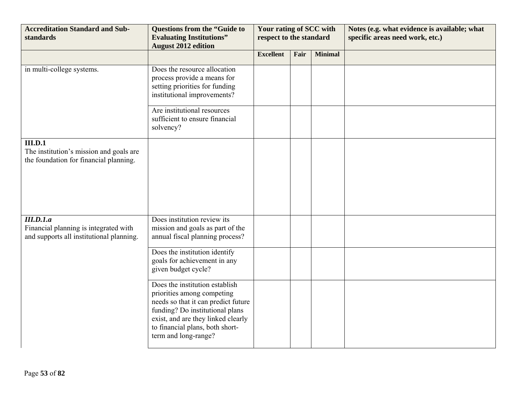| <b>Accreditation Standard and Sub-</b><br>standards                                                   | <b>Questions from the "Guide to</b><br><b>Evaluating Institutions"</b><br><b>August 2012 edition</b>                                                                                                                                    | Your rating of SCC with<br>respect to the standard |      |                | Notes (e.g. what evidence is available; what<br>specific areas need work, etc.) |
|-------------------------------------------------------------------------------------------------------|-----------------------------------------------------------------------------------------------------------------------------------------------------------------------------------------------------------------------------------------|----------------------------------------------------|------|----------------|---------------------------------------------------------------------------------|
|                                                                                                       |                                                                                                                                                                                                                                         | <b>Excellent</b>                                   | Fair | <b>Minimal</b> |                                                                                 |
| in multi-college systems.                                                                             | Does the resource allocation<br>process provide a means for<br>setting priorities for funding<br>institutional improvements?                                                                                                            |                                                    |      |                |                                                                                 |
|                                                                                                       | Are institutional resources<br>sufficient to ensure financial<br>solvency?                                                                                                                                                              |                                                    |      |                |                                                                                 |
| III.D.1<br>The institution's mission and goals are<br>the foundation for financial planning.          |                                                                                                                                                                                                                                         |                                                    |      |                |                                                                                 |
| <b>III.D.1.a</b><br>Financial planning is integrated with<br>and supports all institutional planning. | Does institution review its<br>mission and goals as part of the<br>annual fiscal planning process?                                                                                                                                      |                                                    |      |                |                                                                                 |
|                                                                                                       | Does the institution identify<br>goals for achievement in any<br>given budget cycle?                                                                                                                                                    |                                                    |      |                |                                                                                 |
|                                                                                                       | Does the institution establish<br>priorities among competing<br>needs so that it can predict future<br>funding? Do institutional plans<br>exist, and are they linked clearly<br>to financial plans, both short-<br>term and long-range? |                                                    |      |                |                                                                                 |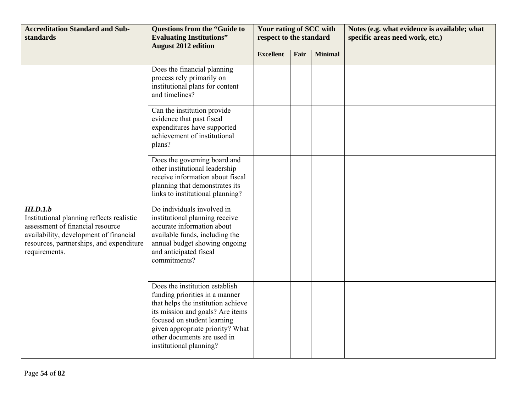| <b>Accreditation Standard and Sub-</b><br>standards                                                                                                                                               | <b>Questions from the "Guide to</b><br><b>Evaluating Institutions"</b><br><b>August 2012 edition</b>                                                                                                                                                                    | Your rating of SCC with<br>respect to the standard |      |                | Notes (e.g. what evidence is available; what<br>specific areas need work, etc.) |
|---------------------------------------------------------------------------------------------------------------------------------------------------------------------------------------------------|-------------------------------------------------------------------------------------------------------------------------------------------------------------------------------------------------------------------------------------------------------------------------|----------------------------------------------------|------|----------------|---------------------------------------------------------------------------------|
|                                                                                                                                                                                                   |                                                                                                                                                                                                                                                                         | <b>Excellent</b>                                   | Fair | <b>Minimal</b> |                                                                                 |
|                                                                                                                                                                                                   | Does the financial planning<br>process rely primarily on<br>institutional plans for content<br>and timelines?                                                                                                                                                           |                                                    |      |                |                                                                                 |
|                                                                                                                                                                                                   | Can the institution provide<br>evidence that past fiscal<br>expenditures have supported<br>achievement of institutional<br>plans?                                                                                                                                       |                                                    |      |                |                                                                                 |
|                                                                                                                                                                                                   | Does the governing board and<br>other institutional leadership<br>receive information about fiscal<br>planning that demonstrates its<br>links to institutional planning?                                                                                                |                                                    |      |                |                                                                                 |
| III.D.1.b<br>Institutional planning reflects realistic<br>assessment of financial resource<br>availability, development of financial<br>resources, partnerships, and expenditure<br>requirements. | Do individuals involved in<br>institutional planning receive<br>accurate information about<br>available funds, including the<br>annual budget showing ongoing<br>and anticipated fiscal<br>commitments?                                                                 |                                                    |      |                |                                                                                 |
|                                                                                                                                                                                                   | Does the institution establish<br>funding priorities in a manner<br>that helps the institution achieve<br>its mission and goals? Are items<br>focused on student learning<br>given appropriate priority? What<br>other documents are used in<br>institutional planning? |                                                    |      |                |                                                                                 |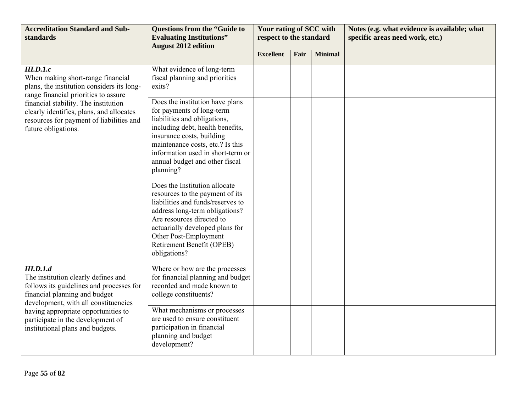| <b>Accreditation Standard and Sub-</b><br>standards                                                                                                                                                                                                                                   | <b>Questions from the "Guide to</b><br><b>Evaluating Institutions"</b><br><b>August 2012 edition</b>                                                                                                                                                                                  | Your rating of SCC with<br>respect to the standard |      |                | Notes (e.g. what evidence is available; what<br>specific areas need work, etc.) |
|---------------------------------------------------------------------------------------------------------------------------------------------------------------------------------------------------------------------------------------------------------------------------------------|---------------------------------------------------------------------------------------------------------------------------------------------------------------------------------------------------------------------------------------------------------------------------------------|----------------------------------------------------|------|----------------|---------------------------------------------------------------------------------|
|                                                                                                                                                                                                                                                                                       |                                                                                                                                                                                                                                                                                       | <b>Excellent</b>                                   | Fair | <b>Minimal</b> |                                                                                 |
| III.D.1.c<br>When making short-range financial<br>plans, the institution considers its long-<br>range financial priorities to assure                                                                                                                                                  | What evidence of long-term<br>fiscal planning and priorities<br>exits?                                                                                                                                                                                                                |                                                    |      |                |                                                                                 |
| financial stability. The institution<br>clearly identifies, plans, and allocates<br>resources for payment of liabilities and<br>future obligations.                                                                                                                                   | Does the institution have plans<br>for payments of long-term<br>liabilities and obligations,<br>including debt, health benefits,<br>insurance costs, building<br>maintenance costs, etc.? Is this<br>information used in short-term or<br>annual budget and other fiscal<br>planning? |                                                    |      |                |                                                                                 |
|                                                                                                                                                                                                                                                                                       | Does the Institution allocate<br>resources to the payment of its<br>liabilities and funds/reserves to<br>address long-term obligations?<br>Are resources directed to<br>actuarially developed plans for<br>Other Post-Employment<br>Retirement Benefit (OPEB)<br>obligations?         |                                                    |      |                |                                                                                 |
| III.D.1.d<br>The institution clearly defines and<br>follows its guidelines and processes for<br>financial planning and budget<br>development, with all constituencies<br>having appropriate opportunities to<br>participate in the development of<br>institutional plans and budgets. | Where or how are the processes<br>for financial planning and budget<br>recorded and made known to<br>college constituents?                                                                                                                                                            |                                                    |      |                |                                                                                 |
|                                                                                                                                                                                                                                                                                       | What mechanisms or processes<br>are used to ensure constituent<br>participation in financial<br>planning and budget<br>development?                                                                                                                                                   |                                                    |      |                |                                                                                 |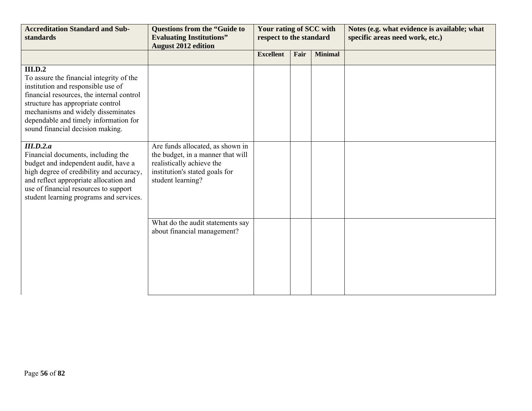| <b>Accreditation Standard and Sub-</b><br>standards                                                                                                                                                                                                                                                                                                                                                                                                                                    | <b>Questions from the "Guide to</b><br><b>Evaluating Institutions"</b><br><b>August 2012 edition</b>                                                      | Your rating of SCC with<br>respect to the standard |      |                | Notes (e.g. what evidence is available; what<br>specific areas need work, etc.) |
|----------------------------------------------------------------------------------------------------------------------------------------------------------------------------------------------------------------------------------------------------------------------------------------------------------------------------------------------------------------------------------------------------------------------------------------------------------------------------------------|-----------------------------------------------------------------------------------------------------------------------------------------------------------|----------------------------------------------------|------|----------------|---------------------------------------------------------------------------------|
|                                                                                                                                                                                                                                                                                                                                                                                                                                                                                        |                                                                                                                                                           | <b>Excellent</b>                                   | Fair | <b>Minimal</b> |                                                                                 |
| <b>III.D.2</b><br>To assure the financial integrity of the<br>institution and responsible use of<br>financial resources, the internal control<br>structure has appropriate control<br>mechanisms and widely disseminates<br>dependable and timely information for<br>sound financial decision making.<br>III.D.2.a<br>Financial documents, including the<br>budget and independent audit, have a<br>high degree of credibility and accuracy,<br>and reflect appropriate allocation and | Are funds allocated, as shown in<br>the budget, in a manner that will<br>realistically achieve the<br>institution's stated goals for<br>student learning? |                                                    |      |                |                                                                                 |
| use of financial resources to support<br>student learning programs and services.                                                                                                                                                                                                                                                                                                                                                                                                       |                                                                                                                                                           |                                                    |      |                |                                                                                 |
|                                                                                                                                                                                                                                                                                                                                                                                                                                                                                        | What do the audit statements say<br>about financial management?                                                                                           |                                                    |      |                |                                                                                 |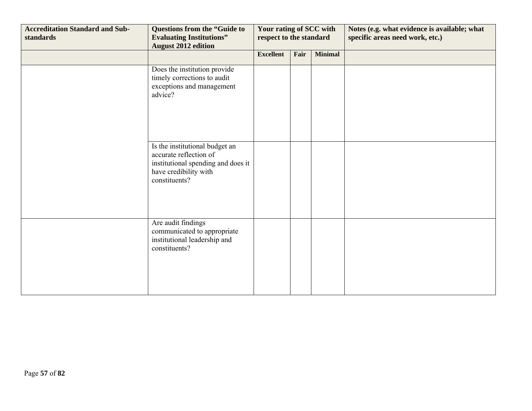| <b>Accreditation Standard and Sub-</b><br>standards | <b>Questions from the "Guide to</b><br><b>Evaluating Institutions"</b><br><b>August 2012 edition</b>                                     | Your rating of SCC with<br>respect to the standard |      |                | Notes (e.g. what evidence is available; what<br>specific areas need work, etc.) |
|-----------------------------------------------------|------------------------------------------------------------------------------------------------------------------------------------------|----------------------------------------------------|------|----------------|---------------------------------------------------------------------------------|
|                                                     |                                                                                                                                          | <b>Excellent</b>                                   | Fair | <b>Minimal</b> |                                                                                 |
|                                                     | Does the institution provide<br>timely corrections to audit<br>exceptions and management<br>advice?                                      |                                                    |      |                |                                                                                 |
|                                                     | Is the institutional budget an<br>accurate reflection of<br>institutional spending and does it<br>have credibility with<br>constituents? |                                                    |      |                |                                                                                 |
|                                                     | Are audit findings<br>communicated to appropriate<br>institutional leadership and<br>constituents?                                       |                                                    |      |                |                                                                                 |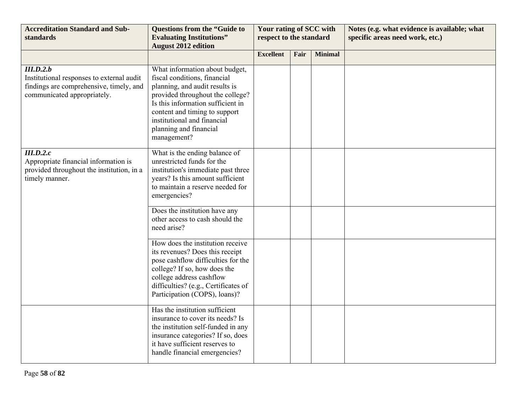| <b>Accreditation Standard and Sub-</b><br>standards                                                                              | <b>Questions from the "Guide to</b><br><b>Evaluating Institutions"</b><br><b>August 2012 edition</b>                                                                                                                                                                               | Your rating of SCC with<br>respect to the standard |      |                | Notes (e.g. what evidence is available; what<br>specific areas need work, etc.) |
|----------------------------------------------------------------------------------------------------------------------------------|------------------------------------------------------------------------------------------------------------------------------------------------------------------------------------------------------------------------------------------------------------------------------------|----------------------------------------------------|------|----------------|---------------------------------------------------------------------------------|
|                                                                                                                                  |                                                                                                                                                                                                                                                                                    | <b>Excellent</b>                                   | Fair | <b>Minimal</b> |                                                                                 |
| III.D.2.b<br>Institutional responses to external audit<br>findings are comprehensive, timely, and<br>communicated appropriately. | What information about budget,<br>fiscal conditions, financial<br>planning, and audit results is<br>provided throughout the college?<br>Is this information sufficient in<br>content and timing to support<br>institutional and financial<br>planning and financial<br>management? |                                                    |      |                |                                                                                 |
| III.D.2.c<br>Appropriate financial information is<br>provided throughout the institution, in a<br>timely manner.                 | What is the ending balance of<br>unrestricted funds for the<br>institution's immediate past three<br>years? Is this amount sufficient<br>to maintain a reserve needed for<br>emergencies?                                                                                          |                                                    |      |                |                                                                                 |
|                                                                                                                                  | Does the institution have any<br>other access to cash should the<br>need arise?                                                                                                                                                                                                    |                                                    |      |                |                                                                                 |
|                                                                                                                                  | How does the institution receive<br>its revenues? Does this receipt<br>pose cashflow difficulties for the<br>college? If so, how does the<br>college address cashflow<br>difficulties? (e.g., Certificates of<br>Participation (COPS), loans)?                                     |                                                    |      |                |                                                                                 |
|                                                                                                                                  | Has the institution sufficient<br>insurance to cover its needs? Is<br>the institution self-funded in any<br>insurance categories? If so, does<br>it have sufficient reserves to<br>handle financial emergencies?                                                                   |                                                    |      |                |                                                                                 |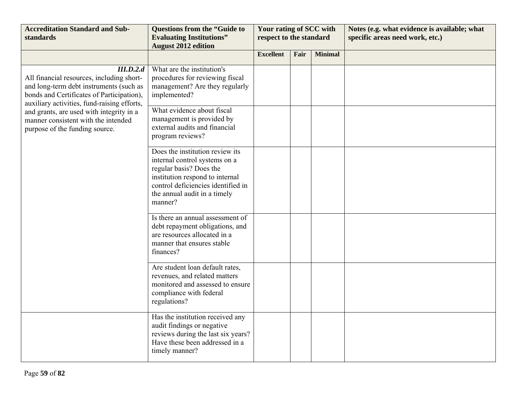| <b>Accreditation Standard and Sub-</b><br>standards                                                                                                                                           | <b>Questions from the "Guide to</b><br><b>Evaluating Institutions"</b><br><b>August 2012 edition</b>                                                                                                            | Your rating of SCC with<br>respect to the standard |      |                | Notes (e.g. what evidence is available; what<br>specific areas need work, etc.) |
|-----------------------------------------------------------------------------------------------------------------------------------------------------------------------------------------------|-----------------------------------------------------------------------------------------------------------------------------------------------------------------------------------------------------------------|----------------------------------------------------|------|----------------|---------------------------------------------------------------------------------|
|                                                                                                                                                                                               |                                                                                                                                                                                                                 | <b>Excellent</b>                                   | Fair | <b>Minimal</b> |                                                                                 |
| III.D.2.d<br>All financial resources, including short-<br>and long-term debt instruments (such as<br>bonds and Certificates of Participation),<br>auxiliary activities, fund-raising efforts, | What are the institution's<br>procedures for reviewing fiscal<br>management? Are they regularly<br>implemented?                                                                                                 |                                                    |      |                |                                                                                 |
| and grants, are used with integrity in a<br>manner consistent with the intended<br>purpose of the funding source.                                                                             | What evidence about fiscal<br>management is provided by<br>external audits and financial<br>program reviews?                                                                                                    |                                                    |      |                |                                                                                 |
|                                                                                                                                                                                               | Does the institution review its<br>internal control systems on a<br>regular basis? Does the<br>institution respond to internal<br>control deficiencies identified in<br>the annual audit in a timely<br>manner? |                                                    |      |                |                                                                                 |
|                                                                                                                                                                                               | Is there an annual assessment of<br>debt repayment obligations, and<br>are resources allocated in a<br>manner that ensures stable<br>finances?                                                                  |                                                    |      |                |                                                                                 |
|                                                                                                                                                                                               | Are student loan default rates,<br>revenues, and related matters<br>monitored and assessed to ensure<br>compliance with federal<br>regulations?                                                                 |                                                    |      |                |                                                                                 |
|                                                                                                                                                                                               | Has the institution received any<br>audit findings or negative<br>reviews during the last six years?<br>Have these been addressed in a<br>timely manner?                                                        |                                                    |      |                |                                                                                 |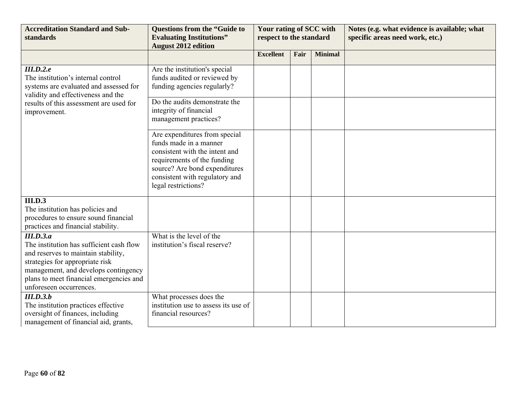| <b>Accreditation Standard and Sub-</b><br>standards                                                                                                                                                                                           | <b>Questions from the "Guide to</b><br><b>Evaluating Institutions"</b>                                                                                                                                             | Your rating of SCC with<br>respect to the standard |      |                | Notes (e.g. what evidence is available; what<br>specific areas need work, etc.) |
|-----------------------------------------------------------------------------------------------------------------------------------------------------------------------------------------------------------------------------------------------|--------------------------------------------------------------------------------------------------------------------------------------------------------------------------------------------------------------------|----------------------------------------------------|------|----------------|---------------------------------------------------------------------------------|
|                                                                                                                                                                                                                                               | <b>August 2012 edition</b>                                                                                                                                                                                         | <b>Excellent</b>                                   | Fair | <b>Minimal</b> |                                                                                 |
| III.D.2.e<br>The institution's internal control<br>systems are evaluated and assessed for<br>validity and effectiveness and the<br>results of this assessment are used for<br>improvement.                                                    | Are the institution's special<br>funds audited or reviewed by<br>funding agencies regularly?<br>Do the audits demonstrate the<br>integrity of financial<br>management practices?                                   |                                                    |      |                |                                                                                 |
|                                                                                                                                                                                                                                               | Are expenditures from special<br>funds made in a manner<br>consistent with the intent and<br>requirements of the funding<br>source? Are bond expenditures<br>consistent with regulatory and<br>legal restrictions? |                                                    |      |                |                                                                                 |
| III.D.3<br>The institution has policies and<br>procedures to ensure sound financial<br>practices and financial stability.                                                                                                                     |                                                                                                                                                                                                                    |                                                    |      |                |                                                                                 |
| III.D.3.a<br>The institution has sufficient cash flow<br>and reserves to maintain stability,<br>strategies for appropriate risk<br>management, and develops contingency<br>plans to meet financial emergencies and<br>unforeseen occurrences. | What is the level of the<br>institution's fiscal reserve?                                                                                                                                                          |                                                    |      |                |                                                                                 |
| III.D.3.b<br>The institution practices effective<br>oversight of finances, including<br>management of financial aid, grants,                                                                                                                  | What processes does the<br>institution use to assess its use of<br>financial resources?                                                                                                                            |                                                    |      |                |                                                                                 |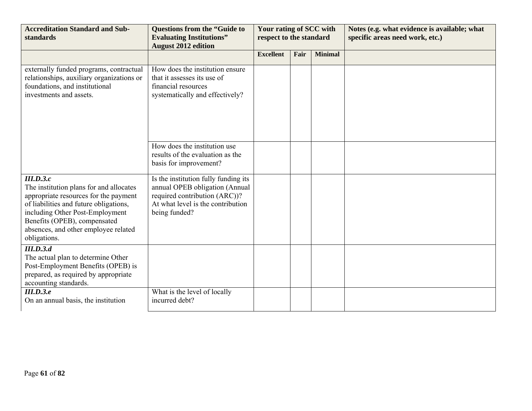| <b>Accreditation Standard and Sub-</b><br>standards                                                                                                                                                                                                                | <b>Questions from the "Guide to</b><br><b>Evaluating Institutions"</b><br><b>August 2012 edition</b>                                                          | Your rating of SCC with<br>respect to the standard |      |                | Notes (e.g. what evidence is available; what<br>specific areas need work, etc.) |
|--------------------------------------------------------------------------------------------------------------------------------------------------------------------------------------------------------------------------------------------------------------------|---------------------------------------------------------------------------------------------------------------------------------------------------------------|----------------------------------------------------|------|----------------|---------------------------------------------------------------------------------|
|                                                                                                                                                                                                                                                                    |                                                                                                                                                               | <b>Excellent</b>                                   | Fair | <b>Minimal</b> |                                                                                 |
| externally funded programs, contractual<br>relationships, auxiliary organizations or<br>foundations, and institutional<br>investments and assets.                                                                                                                  | How does the institution ensure<br>that it assesses its use of<br>financial resources<br>systematically and effectively?                                      |                                                    |      |                |                                                                                 |
|                                                                                                                                                                                                                                                                    | How does the institution use<br>results of the evaluation as the<br>basis for improvement?                                                                    |                                                    |      |                |                                                                                 |
| III.D.3.c<br>The institution plans for and allocates<br>appropriate resources for the payment<br>of liabilities and future obligations,<br>including Other Post-Employment<br>Benefits (OPEB), compensated<br>absences, and other employee related<br>obligations. | Is the institution fully funding its<br>annual OPEB obligation (Annual<br>required contribution (ARC))?<br>At what level is the contribution<br>being funded? |                                                    |      |                |                                                                                 |
| III.D.3.d<br>The actual plan to determine Other<br>Post-Employment Benefits (OPEB) is<br>prepared, as required by appropriate<br>accounting standards.                                                                                                             |                                                                                                                                                               |                                                    |      |                |                                                                                 |
| III.D.3.e<br>On an annual basis, the institution                                                                                                                                                                                                                   | What is the level of locally<br>incurred debt?                                                                                                                |                                                    |      |                |                                                                                 |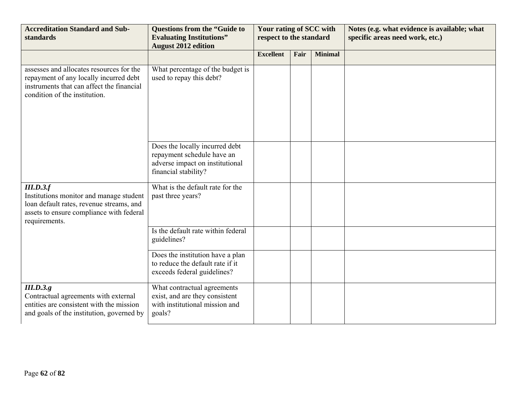| <b>Accreditation Standard and Sub-</b><br>standards                                                                                                              | <b>Questions from the "Guide to</b><br><b>Evaluating Institutions"</b><br><b>August 2012 edition</b>                    | Your rating of SCC with<br>respect to the standard |      |                | Notes (e.g. what evidence is available; what<br>specific areas need work, etc.) |
|------------------------------------------------------------------------------------------------------------------------------------------------------------------|-------------------------------------------------------------------------------------------------------------------------|----------------------------------------------------|------|----------------|---------------------------------------------------------------------------------|
|                                                                                                                                                                  |                                                                                                                         | <b>Excellent</b>                                   | Fair | <b>Minimal</b> |                                                                                 |
| assesses and allocates resources for the<br>repayment of any locally incurred debt<br>instruments that can affect the financial<br>condition of the institution. | What percentage of the budget is<br>used to repay this debt?                                                            |                                                    |      |                |                                                                                 |
|                                                                                                                                                                  | Does the locally incurred debt<br>repayment schedule have an<br>adverse impact on institutional<br>financial stability? |                                                    |      |                |                                                                                 |
| III.D.3.f<br>Institutions monitor and manage student<br>loan default rates, revenue streams, and<br>assets to ensure compliance with federal<br>requirements.    | What is the default rate for the<br>past three years?                                                                   |                                                    |      |                |                                                                                 |
|                                                                                                                                                                  | Is the default rate within federal<br>guidelines?                                                                       |                                                    |      |                |                                                                                 |
|                                                                                                                                                                  | Does the institution have a plan<br>to reduce the default rate if it<br>exceeds federal guidelines?                     |                                                    |      |                |                                                                                 |
| III.D.3.g.<br>Contractual agreements with external<br>entities are consistent with the mission<br>and goals of the institution, governed by                      | What contractual agreements<br>exist, and are they consistent<br>with institutional mission and<br>goals?               |                                                    |      |                |                                                                                 |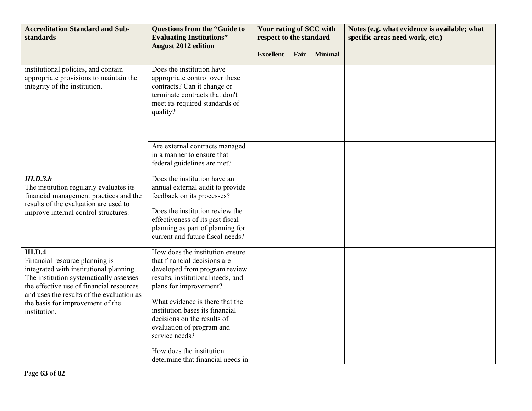| <b>Accreditation Standard and Sub-</b><br>standards                                                                                                                                                                             | <b>Questions from the "Guide to</b><br><b>Evaluating Institutions"</b><br><b>August 2012 edition</b>                                                                       | Your rating of SCC with<br>respect to the standard |      |                | Notes (e.g. what evidence is available; what<br>specific areas need work, etc.) |
|---------------------------------------------------------------------------------------------------------------------------------------------------------------------------------------------------------------------------------|----------------------------------------------------------------------------------------------------------------------------------------------------------------------------|----------------------------------------------------|------|----------------|---------------------------------------------------------------------------------|
|                                                                                                                                                                                                                                 |                                                                                                                                                                            | <b>Excellent</b>                                   | Fair | <b>Minimal</b> |                                                                                 |
| institutional policies, and contain<br>appropriate provisions to maintain the<br>integrity of the institution.                                                                                                                  | Does the institution have<br>appropriate control over these<br>contracts? Can it change or<br>terminate contracts that don't<br>meet its required standards of<br>quality? |                                                    |      |                |                                                                                 |
|                                                                                                                                                                                                                                 | Are external contracts managed<br>in a manner to ensure that<br>federal guidelines are met?                                                                                |                                                    |      |                |                                                                                 |
| III.D.3.h<br>The institution regularly evaluates its<br>financial management practices and the<br>results of the evaluation are used to                                                                                         | Does the institution have an<br>annual external audit to provide<br>feedback on its processes?                                                                             |                                                    |      |                |                                                                                 |
| improve internal control structures.                                                                                                                                                                                            | Does the institution review the<br>effectiveness of its past fiscal<br>planning as part of planning for<br>current and future fiscal needs?                                |                                                    |      |                |                                                                                 |
| <b>III.D.4</b><br>Financial resource planning is<br>integrated with institutional planning.<br>The institution systematically assesses<br>the effective use of financial resources<br>and uses the results of the evaluation as | How does the institution ensure<br>that financial decisions are<br>developed from program review<br>results, institutional needs, and<br>plans for improvement?            |                                                    |      |                |                                                                                 |
| the basis for improvement of the<br>institution.                                                                                                                                                                                | What evidence is there that the<br>institution bases its financial<br>decisions on the results of<br>evaluation of program and<br>service needs?                           |                                                    |      |                |                                                                                 |
|                                                                                                                                                                                                                                 | How does the institution<br>determine that financial needs in                                                                                                              |                                                    |      |                |                                                                                 |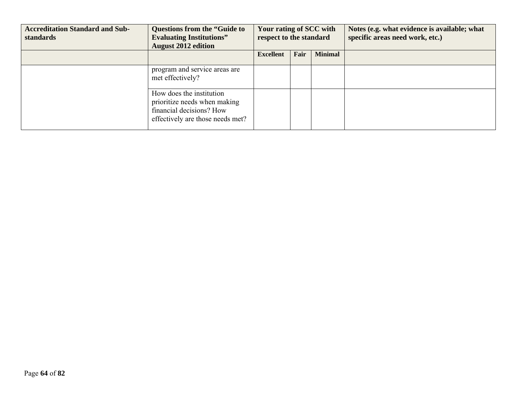| <b>Accreditation Standard and Sub-</b><br>standards | <b>Questions from the "Guide to</b><br><b>Evaluating Institutions"</b><br><b>August 2012 edition</b>                     | Your rating of SCC with<br>respect to the standard |      |                | Notes (e.g. what evidence is available; what<br>specific areas need work, etc.) |
|-----------------------------------------------------|--------------------------------------------------------------------------------------------------------------------------|----------------------------------------------------|------|----------------|---------------------------------------------------------------------------------|
|                                                     |                                                                                                                          | <b>Excellent</b>                                   | Fair | <b>Minimal</b> |                                                                                 |
|                                                     | program and service areas are<br>met effectively?                                                                        |                                                    |      |                |                                                                                 |
|                                                     | How does the institution<br>prioritize needs when making<br>financial decisions? How<br>effectively are those needs met? |                                                    |      |                |                                                                                 |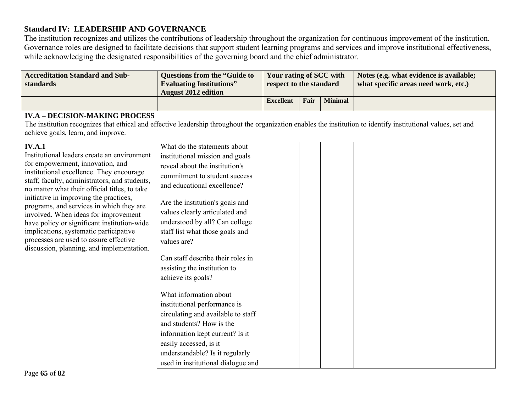## **Standard IV: LEADERSHIP AND GOVERNANCE**

The institution recognizes and utilizes the contributions of leadership throughout the organization for continuous improvement of the institution. Governance roles are designed to facilitate decisions that support student learning programs and services and improve institutional effectiveness, while acknowledging the designated responsibilities of the governing board and the chief administrator.

| <b>Accreditation Standard and Sub-</b><br>standards                                                                                                                                                                                                                                                                                                                                                                                                                                                                                                          | <b>Questions from the "Guide to</b><br><b>Evaluating Institutions"</b><br><b>August 2012 edition</b>                                                                                                                                                                                                                       | Your rating of SCC with<br>respect to the standard |      |                | Notes (e.g. what evidence is available;<br>what specific areas need work, etc.) |
|--------------------------------------------------------------------------------------------------------------------------------------------------------------------------------------------------------------------------------------------------------------------------------------------------------------------------------------------------------------------------------------------------------------------------------------------------------------------------------------------------------------------------------------------------------------|----------------------------------------------------------------------------------------------------------------------------------------------------------------------------------------------------------------------------------------------------------------------------------------------------------------------------|----------------------------------------------------|------|----------------|---------------------------------------------------------------------------------|
|                                                                                                                                                                                                                                                                                                                                                                                                                                                                                                                                                              |                                                                                                                                                                                                                                                                                                                            | <b>Excellent</b>                                   | Fair | <b>Minimal</b> |                                                                                 |
| <b>IV.A - DECISION-MAKING PROCESS</b><br>The institution recognizes that ethical and effective leadership throughout the organization enables the institution to identify institutional values, set and<br>achieve goals, learn, and improve.                                                                                                                                                                                                                                                                                                                |                                                                                                                                                                                                                                                                                                                            |                                                    |      |                |                                                                                 |
| <b>IV.A.1</b><br>Institutional leaders create an environment<br>for empowerment, innovation, and<br>institutional excellence. They encourage<br>staff, faculty, administrators, and students,<br>no matter what their official titles, to take<br>initiative in improving the practices,<br>programs, and services in which they are<br>involved. When ideas for improvement<br>have policy or significant institution-wide<br>implications, systematic participative<br>processes are used to assure effective<br>discussion, planning, and implementation. | What do the statements about<br>institutional mission and goals<br>reveal about the institution's<br>commitment to student success<br>and educational excellence?<br>Are the institution's goals and<br>values clearly articulated and<br>understood by all? Can college<br>staff list what those goals and<br>values are? |                                                    |      |                |                                                                                 |
|                                                                                                                                                                                                                                                                                                                                                                                                                                                                                                                                                              | Can staff describe their roles in<br>assisting the institution to<br>achieve its goals?                                                                                                                                                                                                                                    |                                                    |      |                |                                                                                 |
|                                                                                                                                                                                                                                                                                                                                                                                                                                                                                                                                                              | What information about<br>institutional performance is<br>circulating and available to staff<br>and students? How is the<br>information kept current? Is it<br>easily accessed, is it<br>understandable? Is it regularly<br>used in institutional dialogue and                                                             |                                                    |      |                |                                                                                 |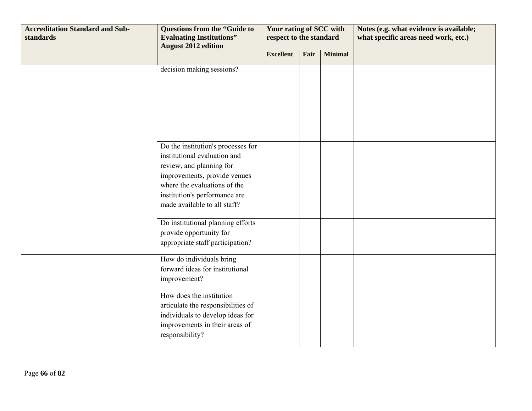| <b>Accreditation Standard and Sub-</b><br>standards | <b>Questions from the "Guide to</b><br><b>Evaluating Institutions"</b><br><b>August 2012 edition</b>                                                                                                                            | Your rating of SCC with<br>respect to the standard |      |                | Notes (e.g. what evidence is available;<br>what specific areas need work, etc.) |
|-----------------------------------------------------|---------------------------------------------------------------------------------------------------------------------------------------------------------------------------------------------------------------------------------|----------------------------------------------------|------|----------------|---------------------------------------------------------------------------------|
|                                                     |                                                                                                                                                                                                                                 | <b>Excellent</b>                                   | Fair | <b>Minimal</b> |                                                                                 |
|                                                     | decision making sessions?                                                                                                                                                                                                       |                                                    |      |                |                                                                                 |
|                                                     |                                                                                                                                                                                                                                 |                                                    |      |                |                                                                                 |
|                                                     | Do the institution's processes for<br>institutional evaluation and<br>review, and planning for<br>improvements, provide venues<br>where the evaluations of the<br>institution's performance are<br>made available to all staff? |                                                    |      |                |                                                                                 |
|                                                     | Do institutional planning efforts<br>provide opportunity for<br>appropriate staff participation?                                                                                                                                |                                                    |      |                |                                                                                 |
|                                                     | How do individuals bring<br>forward ideas for institutional<br>improvement?                                                                                                                                                     |                                                    |      |                |                                                                                 |
|                                                     | How does the institution<br>articulate the responsibilities of<br>individuals to develop ideas for<br>improvements in their areas of<br>responsibility?                                                                         |                                                    |      |                |                                                                                 |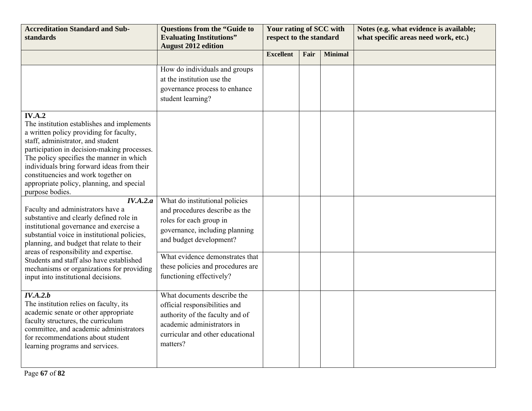| <b>Accreditation Standard and Sub-</b><br>standards                                                                                                                                                                                                                                                                                                                                         | <b>Questions from the "Guide to</b><br><b>Evaluating Institutions"</b><br><b>August 2012 edition</b>                                                                                                                             | Your rating of SCC with<br>respect to the standard |      |                | Notes (e.g. what evidence is available;<br>what specific areas need work, etc.) |
|---------------------------------------------------------------------------------------------------------------------------------------------------------------------------------------------------------------------------------------------------------------------------------------------------------------------------------------------------------------------------------------------|----------------------------------------------------------------------------------------------------------------------------------------------------------------------------------------------------------------------------------|----------------------------------------------------|------|----------------|---------------------------------------------------------------------------------|
|                                                                                                                                                                                                                                                                                                                                                                                             |                                                                                                                                                                                                                                  | <b>Excellent</b>                                   | Fair | <b>Minimal</b> |                                                                                 |
|                                                                                                                                                                                                                                                                                                                                                                                             | How do individuals and groups<br>at the institution use the<br>governance process to enhance<br>student learning?                                                                                                                |                                                    |      |                |                                                                                 |
| <b>IV.A.2</b><br>The institution establishes and implements<br>a written policy providing for faculty,<br>staff, administrator, and student<br>participation in decision-making processes.<br>The policy specifies the manner in which<br>individuals bring forward ideas from their<br>constituencies and work together on<br>appropriate policy, planning, and special<br>purpose bodies. |                                                                                                                                                                                                                                  |                                                    |      |                |                                                                                 |
| IV.A.2.a<br>Faculty and administrators have a<br>substantive and clearly defined role in<br>institutional governance and exercise a<br>substantial voice in institutional policies,<br>planning, and budget that relate to their<br>areas of responsibility and expertise.<br>Students and staff also have established<br>mechanisms or organizations for providing                         | What do institutional policies<br>and procedures describe as the<br>roles for each group in<br>governance, including planning<br>and budget development?<br>What evidence demonstrates that<br>these policies and procedures are |                                                    |      |                |                                                                                 |
| input into institutional decisions.                                                                                                                                                                                                                                                                                                                                                         | functioning effectively?                                                                                                                                                                                                         |                                                    |      |                |                                                                                 |
| IV.A.2.b<br>The institution relies on faculty, its<br>academic senate or other appropriate<br>faculty structures, the curriculum<br>committee, and academic administrators<br>for recommendations about student<br>learning programs and services.                                                                                                                                          | What documents describe the<br>official responsibilities and<br>authority of the faculty and of<br>academic administrators in<br>curricular and other educational<br>matters?                                                    |                                                    |      |                |                                                                                 |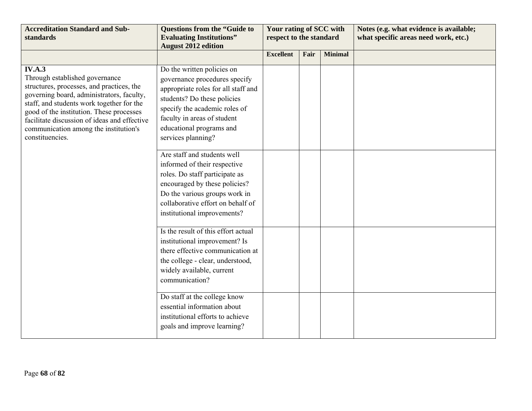| <b>Accreditation Standard and Sub-</b><br><b>standards</b>                                                                                                                                                                                                                                                                              | <b>Questions from the "Guide to</b><br><b>Evaluating Institutions"</b><br><b>August 2012 edition</b>                                                                                                                                                | Your rating of SCC with<br>respect to the standard |      |                | Notes (e.g. what evidence is available;<br>what specific areas need work, etc.) |
|-----------------------------------------------------------------------------------------------------------------------------------------------------------------------------------------------------------------------------------------------------------------------------------------------------------------------------------------|-----------------------------------------------------------------------------------------------------------------------------------------------------------------------------------------------------------------------------------------------------|----------------------------------------------------|------|----------------|---------------------------------------------------------------------------------|
|                                                                                                                                                                                                                                                                                                                                         |                                                                                                                                                                                                                                                     | <b>Excellent</b>                                   | Fair | <b>Minimal</b> |                                                                                 |
| IV.A.3<br>Through established governance<br>structures, processes, and practices, the<br>governing board, administrators, faculty,<br>staff, and students work together for the<br>good of the institution. These processes<br>facilitate discussion of ideas and effective<br>communication among the institution's<br>constituencies. | Do the written policies on<br>governance procedures specify<br>appropriate roles for all staff and<br>students? Do these policies<br>specify the academic roles of<br>faculty in areas of student<br>educational programs and<br>services planning? |                                                    |      |                |                                                                                 |
|                                                                                                                                                                                                                                                                                                                                         | Are staff and students well<br>informed of their respective<br>roles. Do staff participate as<br>encouraged by these policies?<br>Do the various groups work in<br>collaborative effort on behalf of<br>institutional improvements?                 |                                                    |      |                |                                                                                 |
|                                                                                                                                                                                                                                                                                                                                         | Is the result of this effort actual<br>institutional improvement? Is<br>there effective communication at<br>the college - clear, understood,<br>widely available, current<br>communication?                                                         |                                                    |      |                |                                                                                 |
|                                                                                                                                                                                                                                                                                                                                         | Do staff at the college know<br>essential information about<br>institutional efforts to achieve<br>goals and improve learning?                                                                                                                      |                                                    |      |                |                                                                                 |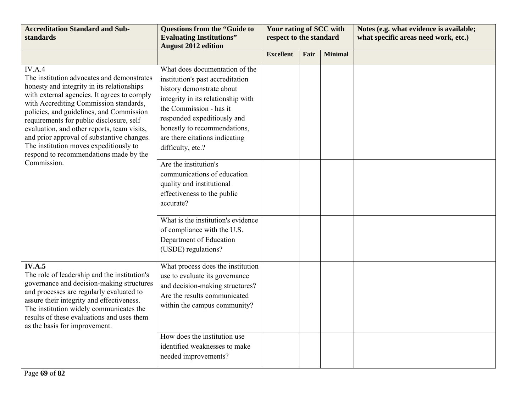| <b>Accreditation Standard and Sub-</b><br>standards                                                                                                                                                                                                                                                                                                                                                                                                                  | <b>Questions from the "Guide to</b><br><b>Evaluating Institutions"</b><br><b>August 2012 edition</b>                                                                                                                                                                                   | Your rating of SCC with<br>respect to the standard |      |                | Notes (e.g. what evidence is available;<br>what specific areas need work, etc.) |
|----------------------------------------------------------------------------------------------------------------------------------------------------------------------------------------------------------------------------------------------------------------------------------------------------------------------------------------------------------------------------------------------------------------------------------------------------------------------|----------------------------------------------------------------------------------------------------------------------------------------------------------------------------------------------------------------------------------------------------------------------------------------|----------------------------------------------------|------|----------------|---------------------------------------------------------------------------------|
|                                                                                                                                                                                                                                                                                                                                                                                                                                                                      |                                                                                                                                                                                                                                                                                        | <b>Excellent</b>                                   | Fair | <b>Minimal</b> |                                                                                 |
| IV.A.4<br>The institution advocates and demonstrates<br>honesty and integrity in its relationships<br>with external agencies. It agrees to comply<br>with Accrediting Commission standards,<br>policies, and guidelines, and Commission<br>requirements for public disclosure, self<br>evaluation, and other reports, team visits,<br>and prior approval of substantive changes.<br>The institution moves expeditiously to<br>respond to recommendations made by the | What does documentation of the<br>institution's past accreditation<br>history demonstrate about<br>integrity in its relationship with<br>the Commission - has it<br>responded expeditiously and<br>honestly to recommendations,<br>are there citations indicating<br>difficulty, etc.? |                                                    |      |                |                                                                                 |
| Commission.                                                                                                                                                                                                                                                                                                                                                                                                                                                          | Are the institution's<br>communications of education<br>quality and institutional<br>effectiveness to the public<br>accurate?                                                                                                                                                          |                                                    |      |                |                                                                                 |
|                                                                                                                                                                                                                                                                                                                                                                                                                                                                      | What is the institution's evidence<br>of compliance with the U.S.<br>Department of Education<br>(USDE) regulations?                                                                                                                                                                    |                                                    |      |                |                                                                                 |
| <b>IV.A.5</b><br>The role of leadership and the institution's<br>governance and decision-making structures<br>and processes are regularly evaluated to<br>assure their integrity and effectiveness.<br>The institution widely communicates the<br>results of these evaluations and uses them<br>as the basis for improvement.                                                                                                                                        | What process does the institution<br>use to evaluate its governance<br>and decision-making structures?<br>Are the results communicated<br>within the campus community?                                                                                                                 |                                                    |      |                |                                                                                 |
|                                                                                                                                                                                                                                                                                                                                                                                                                                                                      | How does the institution use<br>identified weaknesses to make<br>needed improvements?                                                                                                                                                                                                  |                                                    |      |                |                                                                                 |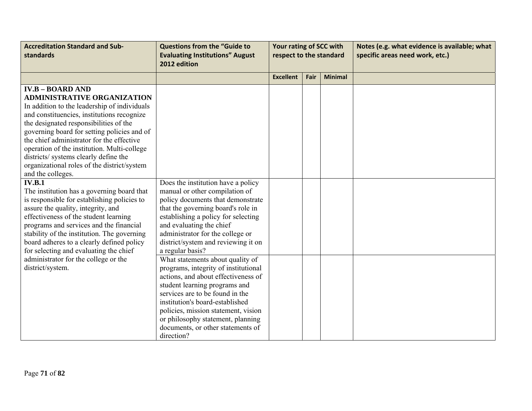| <b>Accreditation Standard and Sub-</b><br>standards                                                                                                                                                                                                                                                                                                                                                                                                                                                                                                                                                                                                                                                                                                                                                                                         | <b>Questions from the "Guide to</b><br><b>Evaluating Institutions" August</b><br>2012 edition                                                                                                                                                                                                                                                         | Your rating of SCC with<br>respect to the standard |      |                | Notes (e.g. what evidence is available; what<br>specific areas need work, etc.) |
|---------------------------------------------------------------------------------------------------------------------------------------------------------------------------------------------------------------------------------------------------------------------------------------------------------------------------------------------------------------------------------------------------------------------------------------------------------------------------------------------------------------------------------------------------------------------------------------------------------------------------------------------------------------------------------------------------------------------------------------------------------------------------------------------------------------------------------------------|-------------------------------------------------------------------------------------------------------------------------------------------------------------------------------------------------------------------------------------------------------------------------------------------------------------------------------------------------------|----------------------------------------------------|------|----------------|---------------------------------------------------------------------------------|
|                                                                                                                                                                                                                                                                                                                                                                                                                                                                                                                                                                                                                                                                                                                                                                                                                                             |                                                                                                                                                                                                                                                                                                                                                       | <b>Excellent</b>                                   | Fair | <b>Minimal</b> |                                                                                 |
| <b>IV.B - BOARD AND</b><br><b>ADMINISTRATIVE ORGANIZATION</b><br>In addition to the leadership of individuals<br>and constituencies, institutions recognize<br>the designated responsibilities of the<br>governing board for setting policies and of<br>the chief administrator for the effective<br>operation of the institution. Multi-college<br>districts/ systems clearly define the<br>organizational roles of the district/system<br>and the colleges.<br><b>IV.B.1</b><br>The institution has a governing board that<br>is responsible for establishing policies to<br>assure the quality, integrity, and<br>effectiveness of the student learning<br>programs and services and the financial<br>stability of the institution. The governing<br>board adheres to a clearly defined policy<br>for selecting and evaluating the chief | Does the institution have a policy<br>manual or other compilation of<br>policy documents that demonstrate<br>that the governing board's role in<br>establishing a policy for selecting<br>and evaluating the chief<br>administrator for the college or<br>district/system and reviewing it on<br>a regular basis?                                     |                                                    |      |                |                                                                                 |
| administrator for the college or the<br>district/system.                                                                                                                                                                                                                                                                                                                                                                                                                                                                                                                                                                                                                                                                                                                                                                                    | What statements about quality of<br>programs, integrity of institutional<br>actions, and about effectiveness of<br>student learning programs and<br>services are to be found in the<br>institution's board-established<br>policies, mission statement, vision<br>or philosophy statement, planning<br>documents, or other statements of<br>direction? |                                                    |      |                |                                                                                 |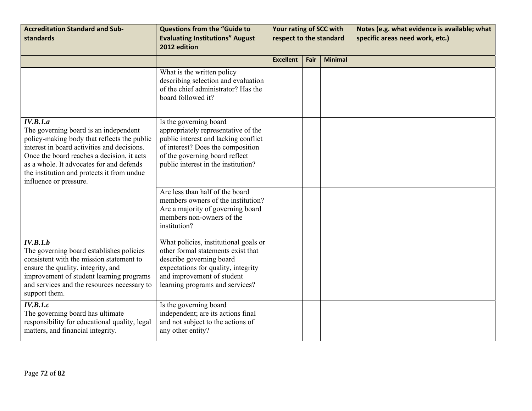| <b>Accreditation Standard and Sub-</b><br>standards                                                                                                                                                                                                                                                               | <b>Questions from the "Guide to</b><br><b>Evaluating Institutions" August</b><br>2012 edition                                                                                                                       | Your rating of SCC with<br>respect to the standard |      |                | Notes (e.g. what evidence is available; what<br>specific areas need work, etc.) |
|-------------------------------------------------------------------------------------------------------------------------------------------------------------------------------------------------------------------------------------------------------------------------------------------------------------------|---------------------------------------------------------------------------------------------------------------------------------------------------------------------------------------------------------------------|----------------------------------------------------|------|----------------|---------------------------------------------------------------------------------|
|                                                                                                                                                                                                                                                                                                                   |                                                                                                                                                                                                                     | <b>Excellent</b>                                   | Fair | <b>Minimal</b> |                                                                                 |
|                                                                                                                                                                                                                                                                                                                   | What is the written policy<br>describing selection and evaluation<br>of the chief administrator? Has the<br>board followed it?                                                                                      |                                                    |      |                |                                                                                 |
| IV.B.1.a<br>The governing board is an independent<br>policy-making body that reflects the public<br>interest in board activities and decisions.<br>Once the board reaches a decision, it acts<br>as a whole. It advocates for and defends<br>the institution and protects it from undue<br>influence or pressure. | Is the governing board<br>appropriately representative of the<br>public interest and lacking conflict<br>of interest? Does the composition<br>of the governing board reflect<br>public interest in the institution? |                                                    |      |                |                                                                                 |
|                                                                                                                                                                                                                                                                                                                   | Are less than half of the board<br>members owners of the institution?<br>Are a majority of governing board<br>members non-owners of the<br>institution?                                                             |                                                    |      |                |                                                                                 |
| IV.B.1.b<br>The governing board establishes policies<br>consistent with the mission statement to<br>ensure the quality, integrity, and<br>improvement of student learning programs<br>and services and the resources necessary to<br>support them.                                                                | What policies, institutional goals or<br>other formal statements exist that<br>describe governing board<br>expectations for quality, integrity<br>and improvement of student<br>learning programs and services?     |                                                    |      |                |                                                                                 |
| IV.B.1.c<br>The governing board has ultimate<br>responsibility for educational quality, legal<br>matters, and financial integrity.                                                                                                                                                                                | Is the governing board<br>independent; are its actions final<br>and not subject to the actions of<br>any other entity?                                                                                              |                                                    |      |                |                                                                                 |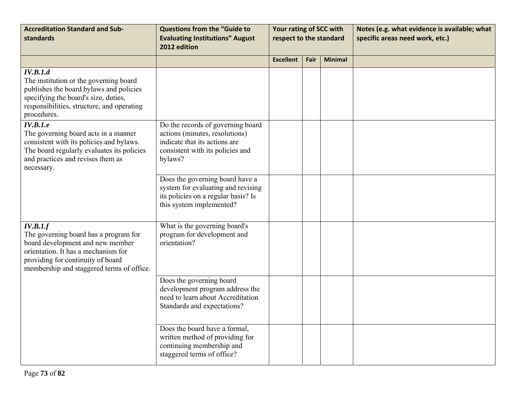| <b>Accreditation Standard and Sub-</b><br>standards                                                                                                                                                            | <b>Questions from the "Guide to</b><br><b>Evaluating Institutions" August</b><br>2012 edition                                                       | Your rating of SCC with<br>respect to the standard |      |                | Notes (e.g. what evidence is available; what<br>specific areas need work, etc.) |
|----------------------------------------------------------------------------------------------------------------------------------------------------------------------------------------------------------------|-----------------------------------------------------------------------------------------------------------------------------------------------------|----------------------------------------------------|------|----------------|---------------------------------------------------------------------------------|
|                                                                                                                                                                                                                |                                                                                                                                                     | <b>Excellent</b>                                   | Fair | <b>Minimal</b> |                                                                                 |
| IV.B.1.d<br>The institution or the governing board<br>publishes the board bylaws and policies<br>specifying the board's size, duties,<br>responsibilities, structure, and operating<br>procedures.             |                                                                                                                                                     |                                                    |      |                |                                                                                 |
| IV.B.1.e<br>The governing board acts in a manner<br>consistent with its policies and bylaws.<br>The board regularly evaluates its policies<br>and practices and revises them as<br>necessary.                  | Do the records of governing board<br>actions (minutes, resolutions)<br>indicate that its actions are<br>consistent with its policies and<br>bylaws? |                                                    |      |                |                                                                                 |
|                                                                                                                                                                                                                | Does the governing board have a<br>system for evaluating and revising<br>its policies on a regular basis? Is<br>this system implemented?            |                                                    |      |                |                                                                                 |
| IV.B.1.f<br>The governing board has a program for<br>board development and new member<br>orientation. It has a mechanism for<br>providing for continuity of board<br>membership and staggered terms of office. | What is the governing board's<br>program for development and<br>orientation?                                                                        |                                                    |      |                |                                                                                 |
|                                                                                                                                                                                                                | Does the governing board<br>development program address the<br>need to learn about Accreditation<br>Standards and expectations?                     |                                                    |      |                |                                                                                 |
|                                                                                                                                                                                                                | Does the board have a formal,<br>written method of providing for<br>continuing membership and<br>staggered terms of office?                         |                                                    |      |                |                                                                                 |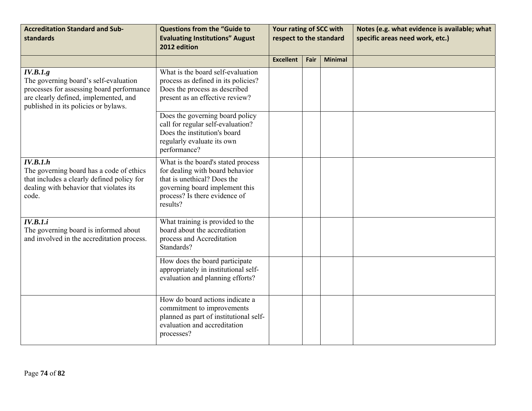| <b>Accreditation Standard and Sub-</b><br>standards                                                                                                                             | <b>Questions from the "Guide to</b><br><b>Evaluating Institutions" August</b><br>2012 edition                                                                                       | Your rating of SCC with<br>respect to the standard |      |                | Notes (e.g. what evidence is available; what<br>specific areas need work, etc.) |
|---------------------------------------------------------------------------------------------------------------------------------------------------------------------------------|-------------------------------------------------------------------------------------------------------------------------------------------------------------------------------------|----------------------------------------------------|------|----------------|---------------------------------------------------------------------------------|
|                                                                                                                                                                                 |                                                                                                                                                                                     | <b>Excellent</b>                                   | Fair | <b>Minimal</b> |                                                                                 |
| IV.B.1.g<br>The governing board's self-evaluation<br>processes for assessing board performance<br>are clearly defined, implemented, and<br>published in its policies or bylaws. | What is the board self-evaluation<br>process as defined in its policies?<br>Does the process as described<br>present as an effective review?                                        |                                                    |      |                |                                                                                 |
|                                                                                                                                                                                 | Does the governing board policy<br>call for regular self-evaluation?<br>Does the institution's board<br>regularly evaluate its own<br>performance?                                  |                                                    |      |                |                                                                                 |
| IV.B.1.h<br>The governing board has a code of ethics<br>that includes a clearly defined policy for<br>dealing with behavior that violates its<br>code.                          | What is the board's stated process<br>for dealing with board behavior<br>that is unethical? Does the<br>governing board implement this<br>process? Is there evidence of<br>results? |                                                    |      |                |                                                                                 |
| IV.B.1.i<br>The governing board is informed about<br>and involved in the accreditation process.                                                                                 | What training is provided to the<br>board about the accreditation<br>process and Accreditation<br>Standards?                                                                        |                                                    |      |                |                                                                                 |
|                                                                                                                                                                                 | How does the board participate<br>appropriately in institutional self-<br>evaluation and planning efforts?                                                                          |                                                    |      |                |                                                                                 |
|                                                                                                                                                                                 | How do board actions indicate a<br>commitment to improvements<br>planned as part of institutional self-<br>evaluation and accreditation<br>processes?                               |                                                    |      |                |                                                                                 |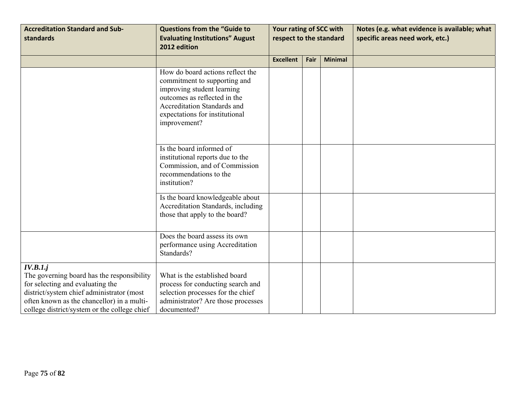| <b>Accreditation Standard and Sub-</b><br>standards                                                                                                                                                                                   | <b>Questions from the "Guide to</b><br><b>Evaluating Institutions" August</b><br>2012 edition                                                                                                                          | Your rating of SCC with<br>respect to the standard |      |                | Notes (e.g. what evidence is available; what<br>specific areas need work, etc.) |
|---------------------------------------------------------------------------------------------------------------------------------------------------------------------------------------------------------------------------------------|------------------------------------------------------------------------------------------------------------------------------------------------------------------------------------------------------------------------|----------------------------------------------------|------|----------------|---------------------------------------------------------------------------------|
|                                                                                                                                                                                                                                       |                                                                                                                                                                                                                        | <b>Excellent</b>                                   | Fair | <b>Minimal</b> |                                                                                 |
|                                                                                                                                                                                                                                       | How do board actions reflect the<br>commitment to supporting and<br>improving student learning<br>outcomes as reflected in the<br><b>Accreditation Standards and</b><br>expectations for institutional<br>improvement? |                                                    |      |                |                                                                                 |
|                                                                                                                                                                                                                                       | Is the board informed of<br>institutional reports due to the<br>Commission, and of Commission<br>recommendations to the<br>institution?                                                                                |                                                    |      |                |                                                                                 |
|                                                                                                                                                                                                                                       | Is the board knowledgeable about<br>Accreditation Standards, including<br>those that apply to the board?                                                                                                               |                                                    |      |                |                                                                                 |
|                                                                                                                                                                                                                                       | Does the board assess its own<br>performance using Accreditation<br>Standards?                                                                                                                                         |                                                    |      |                |                                                                                 |
| IV.B.1.j<br>The governing board has the responsibility<br>for selecting and evaluating the<br>district/system chief administrator (most<br>often known as the chancellor) in a multi-<br>college district/system or the college chief | What is the established board<br>process for conducting search and<br>selection processes for the chief<br>administrator? Are those processes<br>documented?                                                           |                                                    |      |                |                                                                                 |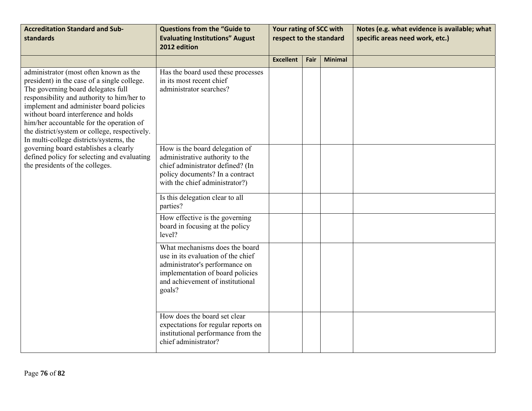| <b>Accreditation Standard and Sub-</b><br>standards                                                                                                                                                                                                                                                                                                                                                                                                                                                                             | <b>Questions from the "Guide to</b><br><b>Evaluating Institutions" August</b><br>2012 edition                                                                                            | Your rating of SCC with<br>respect to the standard |      |                | Notes (e.g. what evidence is available; what<br>specific areas need work, etc.) |
|---------------------------------------------------------------------------------------------------------------------------------------------------------------------------------------------------------------------------------------------------------------------------------------------------------------------------------------------------------------------------------------------------------------------------------------------------------------------------------------------------------------------------------|------------------------------------------------------------------------------------------------------------------------------------------------------------------------------------------|----------------------------------------------------|------|----------------|---------------------------------------------------------------------------------|
|                                                                                                                                                                                                                                                                                                                                                                                                                                                                                                                                 |                                                                                                                                                                                          | <b>Excellent</b>                                   | Fair | <b>Minimal</b> |                                                                                 |
| administrator (most often known as the<br>president) in the case of a single college.<br>The governing board delegates full<br>responsibility and authority to him/her to<br>implement and administer board policies<br>without board interference and holds<br>him/her accountable for the operation of<br>the district/system or college, respectively.<br>In multi-college districts/systems, the<br>governing board establishes a clearly<br>defined policy for selecting and evaluating<br>the presidents of the colleges. | Has the board used these processes<br>in its most recent chief<br>administrator searches?                                                                                                |                                                    |      |                |                                                                                 |
|                                                                                                                                                                                                                                                                                                                                                                                                                                                                                                                                 | How is the board delegation of<br>administrative authority to the<br>chief administrator defined? (In<br>policy documents? In a contract<br>with the chief administrator?)               |                                                    |      |                |                                                                                 |
|                                                                                                                                                                                                                                                                                                                                                                                                                                                                                                                                 | Is this delegation clear to all<br>parties?                                                                                                                                              |                                                    |      |                |                                                                                 |
|                                                                                                                                                                                                                                                                                                                                                                                                                                                                                                                                 | How effective is the governing<br>board in focusing at the policy<br>level?                                                                                                              |                                                    |      |                |                                                                                 |
|                                                                                                                                                                                                                                                                                                                                                                                                                                                                                                                                 | What mechanisms does the board<br>use in its evaluation of the chief<br>administrator's performance on<br>implementation of board policies<br>and achievement of institutional<br>goals? |                                                    |      |                |                                                                                 |
|                                                                                                                                                                                                                                                                                                                                                                                                                                                                                                                                 | How does the board set clear<br>expectations for regular reports on<br>institutional performance from the<br>chief administrator?                                                        |                                                    |      |                |                                                                                 |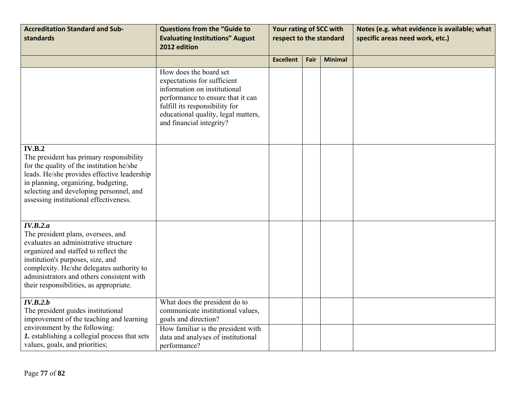| <b>Accreditation Standard and Sub-</b><br><b>standards</b>                                                                                                                                                                                                                                                | <b>Questions from the "Guide to</b><br><b>Evaluating Institutions" August</b><br>2012 edition                                                                                                                                   | Your rating of SCC with<br>respect to the standard |      |                | Notes (e.g. what evidence is available; what<br>specific areas need work, etc.) |
|-----------------------------------------------------------------------------------------------------------------------------------------------------------------------------------------------------------------------------------------------------------------------------------------------------------|---------------------------------------------------------------------------------------------------------------------------------------------------------------------------------------------------------------------------------|----------------------------------------------------|------|----------------|---------------------------------------------------------------------------------|
|                                                                                                                                                                                                                                                                                                           |                                                                                                                                                                                                                                 | <b>Excellent</b>                                   | Fair | <b>Minimal</b> |                                                                                 |
|                                                                                                                                                                                                                                                                                                           | How does the board set<br>expectations for sufficient<br>information on institutional<br>performance to ensure that it can<br>fulfill its responsibility for<br>educational quality, legal matters,<br>and financial integrity? |                                                    |      |                |                                                                                 |
| IV.B.2<br>The president has primary responsibility<br>for the quality of the institution he/she<br>leads. He/she provides effective leadership<br>in planning, organizing, budgeting,<br>selecting and developing personnel, and<br>assessing institutional effectiveness.                                |                                                                                                                                                                                                                                 |                                                    |      |                |                                                                                 |
| IV.B.2.a<br>The president plans, oversees, and<br>evaluates an administrative structure<br>organized and staffed to reflect the<br>institution's purposes, size, and<br>complexity. He/she delegates authority to<br>administrators and others consistent with<br>their responsibilities, as appropriate. |                                                                                                                                                                                                                                 |                                                    |      |                |                                                                                 |
| IV.B.2.b<br>The president guides institutional<br>improvement of the teaching and learning<br>environment by the following:<br>1. establishing a collegial process that sets<br>values, goals, and priorities;                                                                                            | What does the president do to<br>communicate institutional values,<br>goals and direction?<br>How familiar is the president with<br>data and analyses of institutional<br>performance?                                          |                                                    |      |                |                                                                                 |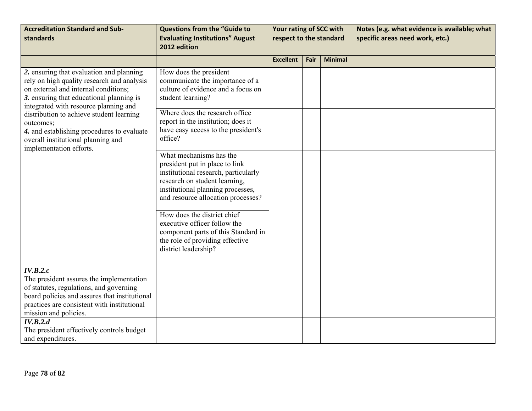| <b>Accreditation Standard and Sub-</b><br>standards                                                                                                                                                                                                                                                                                                                                         | <b>Questions from the "Guide to</b><br><b>Evaluating Institutions" August</b><br>2012 edition                                                                                                                                                                                                                                                                                  | Your rating of SCC with<br>respect to the standard |      |                | Notes (e.g. what evidence is available; what<br>specific areas need work, etc.) |
|---------------------------------------------------------------------------------------------------------------------------------------------------------------------------------------------------------------------------------------------------------------------------------------------------------------------------------------------------------------------------------------------|--------------------------------------------------------------------------------------------------------------------------------------------------------------------------------------------------------------------------------------------------------------------------------------------------------------------------------------------------------------------------------|----------------------------------------------------|------|----------------|---------------------------------------------------------------------------------|
|                                                                                                                                                                                                                                                                                                                                                                                             |                                                                                                                                                                                                                                                                                                                                                                                | <b>Excellent</b>                                   | Fair | <b>Minimal</b> |                                                                                 |
| 2. ensuring that evaluation and planning<br>rely on high quality research and analysis<br>on external and internal conditions;<br>3. ensuring that educational planning is<br>integrated with resource planning and<br>distribution to achieve student learning<br>outcomes;<br>4. and establishing procedures to evaluate<br>overall institutional planning and<br>implementation efforts. | How does the president<br>communicate the importance of a<br>culture of evidence and a focus on<br>student learning?                                                                                                                                                                                                                                                           |                                                    |      |                |                                                                                 |
|                                                                                                                                                                                                                                                                                                                                                                                             | Where does the research office<br>report in the institution; does it<br>have easy access to the president's<br>office?                                                                                                                                                                                                                                                         |                                                    |      |                |                                                                                 |
|                                                                                                                                                                                                                                                                                                                                                                                             | What mechanisms has the<br>president put in place to link<br>institutional research, particularly<br>research on student learning,<br>institutional planning processes,<br>and resource allocation processes?<br>How does the district chief<br>executive officer follow the<br>component parts of this Standard in<br>the role of providing effective<br>district leadership? |                                                    |      |                |                                                                                 |
| IV.B.2.c<br>The president assures the implementation<br>of statutes, regulations, and governing<br>board policies and assures that institutional<br>practices are consistent with institutional<br>mission and policies.                                                                                                                                                                    |                                                                                                                                                                                                                                                                                                                                                                                |                                                    |      |                |                                                                                 |
| IV.B.2.d<br>The president effectively controls budget<br>and expenditures.                                                                                                                                                                                                                                                                                                                  |                                                                                                                                                                                                                                                                                                                                                                                |                                                    |      |                |                                                                                 |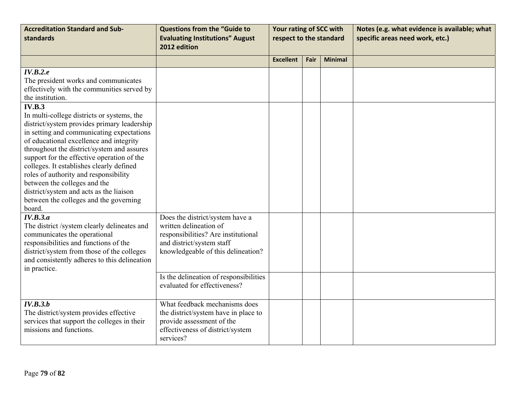| <b>Accreditation Standard and Sub-</b><br>standards                                                                                                                                                                                                                                                                                                                                                                                                                                               | <b>Questions from the "Guide to</b><br><b>Evaluating Institutions" August</b><br>2012 edition                                                                       | Your rating of SCC with<br>respect to the standard |      |                | Notes (e.g. what evidence is available; what<br>specific areas need work, etc.) |
|---------------------------------------------------------------------------------------------------------------------------------------------------------------------------------------------------------------------------------------------------------------------------------------------------------------------------------------------------------------------------------------------------------------------------------------------------------------------------------------------------|---------------------------------------------------------------------------------------------------------------------------------------------------------------------|----------------------------------------------------|------|----------------|---------------------------------------------------------------------------------|
|                                                                                                                                                                                                                                                                                                                                                                                                                                                                                                   |                                                                                                                                                                     | <b>Excellent</b>                                   | Fair | <b>Minimal</b> |                                                                                 |
| IV.B.2.e<br>The president works and communicates<br>effectively with the communities served by<br>the institution.<br>IV.B.3                                                                                                                                                                                                                                                                                                                                                                      |                                                                                                                                                                     |                                                    |      |                |                                                                                 |
| In multi-college districts or systems, the<br>district/system provides primary leadership<br>in setting and communicating expectations<br>of educational excellence and integrity<br>throughout the district/system and assures<br>support for the effective operation of the<br>colleges. It establishes clearly defined<br>roles of authority and responsibility<br>between the colleges and the<br>district/system and acts as the liaison<br>between the colleges and the governing<br>board. |                                                                                                                                                                     |                                                    |      |                |                                                                                 |
| IV.B.3.a<br>The district /system clearly delineates and<br>communicates the operational<br>responsibilities and functions of the<br>district/system from those of the colleges<br>and consistently adheres to this delineation<br>in practice.                                                                                                                                                                                                                                                    | Does the district/system have a<br>written delineation of<br>responsibilities? Are institutional<br>and district/system staff<br>knowledgeable of this delineation? |                                                    |      |                |                                                                                 |
|                                                                                                                                                                                                                                                                                                                                                                                                                                                                                                   | Is the delineation of responsibilities<br>evaluated for effectiveness?                                                                                              |                                                    |      |                |                                                                                 |
| IV.B.3.b<br>The district/system provides effective<br>services that support the colleges in their<br>missions and functions.                                                                                                                                                                                                                                                                                                                                                                      | What feedback mechanisms does<br>the district/system have in place to<br>provide assessment of the<br>effectiveness of district/system<br>services?                 |                                                    |      |                |                                                                                 |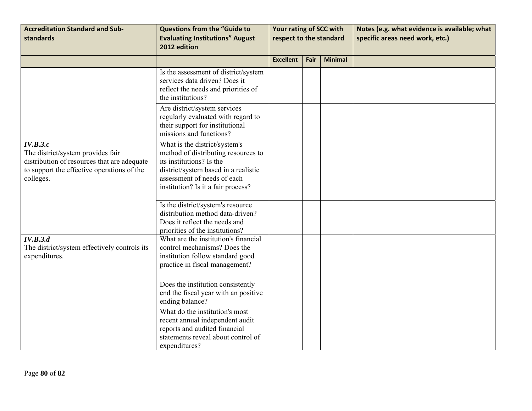| <b>Accreditation Standard and Sub-</b><br>standards                                                                                                     | <b>Questions from the "Guide to</b><br><b>Evaluating Institutions" August</b><br>2012 edition                                                                                                                 | Your rating of SCC with<br>respect to the standard |      |                | Notes (e.g. what evidence is available; what<br>specific areas need work, etc.) |
|---------------------------------------------------------------------------------------------------------------------------------------------------------|---------------------------------------------------------------------------------------------------------------------------------------------------------------------------------------------------------------|----------------------------------------------------|------|----------------|---------------------------------------------------------------------------------|
|                                                                                                                                                         |                                                                                                                                                                                                               | <b>Excellent</b>                                   | Fair | <b>Minimal</b> |                                                                                 |
|                                                                                                                                                         | Is the assessment of district/system<br>services data driven? Does it<br>reflect the needs and priorities of<br>the institutions?                                                                             |                                                    |      |                |                                                                                 |
|                                                                                                                                                         | Are district/system services<br>regularly evaluated with regard to<br>their support for institutional<br>missions and functions?                                                                              |                                                    |      |                |                                                                                 |
| IV.B.3.c<br>The district/system provides fair<br>distribution of resources that are adequate<br>to support the effective operations of the<br>colleges. | What is the district/system's<br>method of distributing resources to<br>its institutions? Is the<br>district/system based in a realistic<br>assessment of needs of each<br>institution? Is it a fair process? |                                                    |      |                |                                                                                 |
|                                                                                                                                                         | Is the district/system's resource<br>distribution method data-driven?<br>Does it reflect the needs and<br>priorities of the institutions?                                                                     |                                                    |      |                |                                                                                 |
| IV.B.3.d<br>The district/system effectively controls its<br>expenditures.                                                                               | What are the institution's financial<br>control mechanisms? Does the<br>institution follow standard good<br>practice in fiscal management?                                                                    |                                                    |      |                |                                                                                 |
|                                                                                                                                                         | Does the institution consistently<br>end the fiscal year with an positive<br>ending balance?                                                                                                                  |                                                    |      |                |                                                                                 |
|                                                                                                                                                         | What do the institution's most<br>recent annual independent audit<br>reports and audited financial<br>statements reveal about control of<br>expenditures?                                                     |                                                    |      |                |                                                                                 |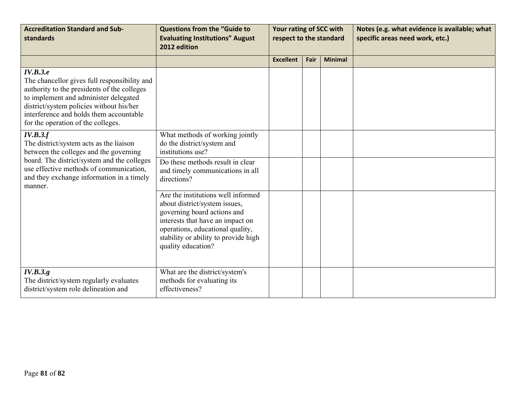| <b>Accreditation Standard and Sub-</b><br>standards                                                                                                                                                                                                                           | <b>Questions from the "Guide to</b><br><b>Evaluating Institutions" August</b><br>2012 edition                                                                                                                                            | Your rating of SCC with<br>respect to the standard |      |                | Notes (e.g. what evidence is available; what<br>specific areas need work, etc.) |
|-------------------------------------------------------------------------------------------------------------------------------------------------------------------------------------------------------------------------------------------------------------------------------|------------------------------------------------------------------------------------------------------------------------------------------------------------------------------------------------------------------------------------------|----------------------------------------------------|------|----------------|---------------------------------------------------------------------------------|
|                                                                                                                                                                                                                                                                               |                                                                                                                                                                                                                                          | <b>Excellent</b>                                   | Fair | <b>Minimal</b> |                                                                                 |
| IV.B.3.e<br>The chancellor gives full responsibility and<br>authority to the presidents of the colleges<br>to implement and administer delegated<br>district/system policies without his/her<br>interference and holds them accountable<br>for the operation of the colleges. |                                                                                                                                                                                                                                          |                                                    |      |                |                                                                                 |
| IV.B.3.f<br>The district/system acts as the liaison<br>between the colleges and the governing                                                                                                                                                                                 | What methods of working jointly<br>do the district/system and<br>institutions use?                                                                                                                                                       |                                                    |      |                |                                                                                 |
| board. The district/system and the colleges<br>use effective methods of communication,<br>and they exchange information in a timely<br>manner.                                                                                                                                | Do these methods result in clear<br>and timely communications in all<br>directions?                                                                                                                                                      |                                                    |      |                |                                                                                 |
|                                                                                                                                                                                                                                                                               | Are the institutions well informed<br>about district/system issues,<br>governing board actions and<br>interests that have an impact on<br>operations, educational quality,<br>stability or ability to provide high<br>quality education? |                                                    |      |                |                                                                                 |
| IV.B.3.g.<br>The district/system regularly evaluates<br>district/system role delineation and                                                                                                                                                                                  | What are the district/system's<br>methods for evaluating its<br>effectiveness?                                                                                                                                                           |                                                    |      |                |                                                                                 |